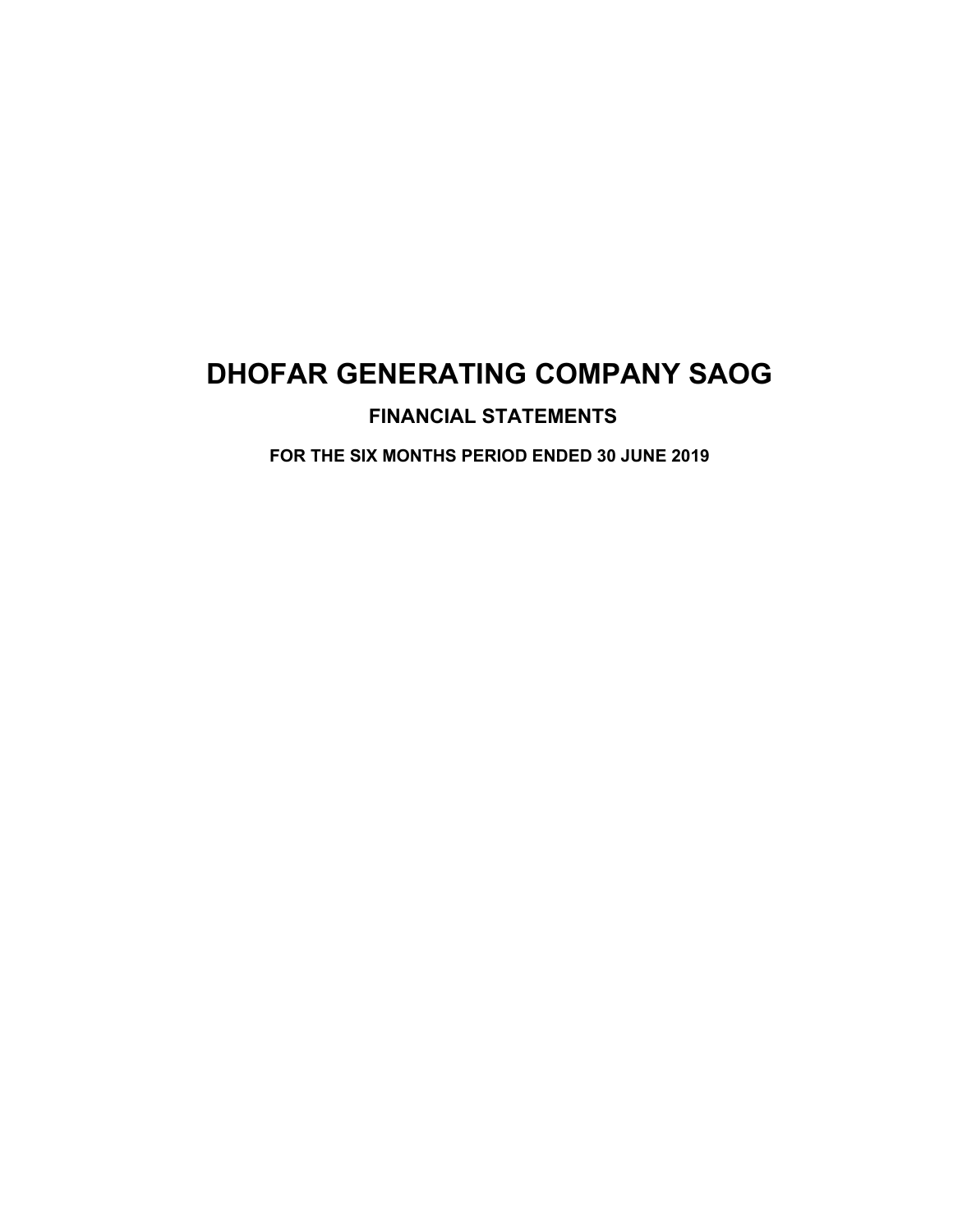## **FINANCIAL STATEMENTS**

**FOR THE SIX MONTHS PERIOD ENDED 30 JUNE 2019**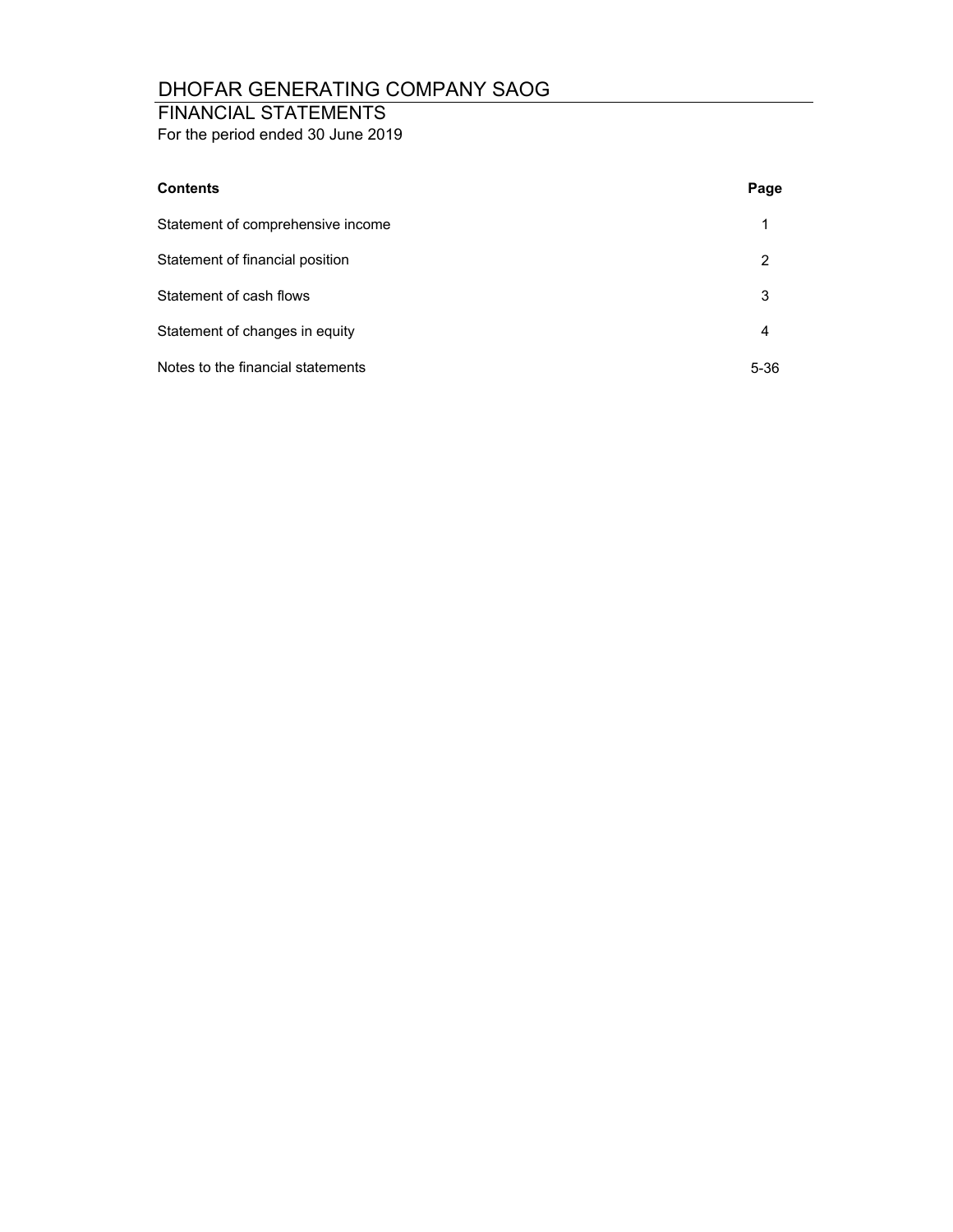## FINANCIAL STATEMENTS

For the period ended 30 June 2019

| <b>Contents</b>                   | Page |
|-----------------------------------|------|
| Statement of comprehensive income | 1    |
| Statement of financial position   | 2    |
| Statement of cash flows           | 3    |
| Statement of changes in equity    | 4    |
| Notes to the financial statements | 5-36 |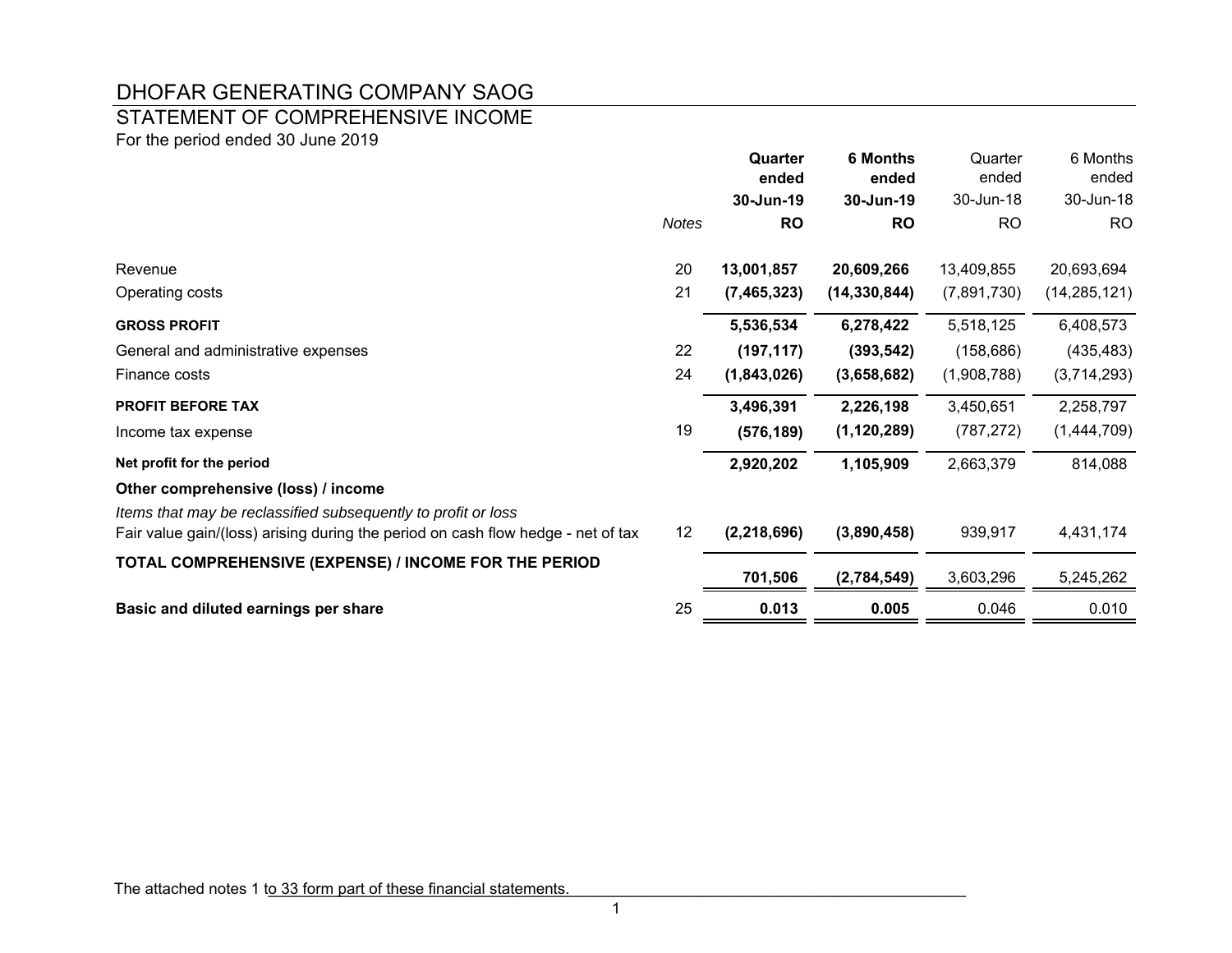## STATEMENT OF COMPREHENSIVE INCOME

For the period ended 30 June 2019

|                                                                                                                                                   |       | Quarter<br>ended | <b>6 Months</b><br>ended | Quarter<br>ended | 6 Months<br>ended |
|---------------------------------------------------------------------------------------------------------------------------------------------------|-------|------------------|--------------------------|------------------|-------------------|
|                                                                                                                                                   |       | 30-Jun-19        | 30-Jun-19                | 30-Jun-18        | 30-Jun-18         |
|                                                                                                                                                   | Notes | <b>RO</b>        | <b>RO</b>                | <b>RO</b>        | <b>RO</b>         |
| Revenue                                                                                                                                           | 20    | 13,001,857       | 20,609,266               | 13,409,855       | 20,693,694        |
| Operating costs                                                                                                                                   | 21    | (7, 465, 323)    | (14, 330, 844)           | (7,891,730)      | (14, 285, 121)    |
| <b>GROSS PROFIT</b>                                                                                                                               |       | 5,536,534        | 6,278,422                | 5,518,125        | 6,408,573         |
| General and administrative expenses                                                                                                               | 22    | (197, 117)       | (393, 542)               | (158, 686)       | (435, 483)        |
| Finance costs                                                                                                                                     | 24    | (1,843,026)      | (3,658,682)              | (1,908,788)      | (3,714,293)       |
| <b>PROFIT BEFORE TAX</b>                                                                                                                          |       | 3,496,391        | 2,226,198                | 3,450,651        | 2,258,797         |
| Income tax expense                                                                                                                                | 19    | (576, 189)       | (1, 120, 289)            | (787, 272)       | (1,444,709)       |
| Net profit for the period                                                                                                                         |       | 2,920,202        | 1,105,909                | 2,663,379        | 814,088           |
| Other comprehensive (loss) / income                                                                                                               |       |                  |                          |                  |                   |
| Items that may be reclassified subsequently to profit or loss<br>Fair value gain/(loss) arising during the period on cash flow hedge - net of tax | 12    | (2, 218, 696)    | (3,890,458)              | 939,917          | 4,431,174         |
| TOTAL COMPREHENSIVE (EXPENSE) / INCOME FOR THE PERIOD                                                                                             |       | 701,506          | (2,784,549)              | 3,603,296        | 5,245,262         |
| Basic and diluted earnings per share                                                                                                              | 25    | 0.013            | 0.005                    | 0.046            | 0.010             |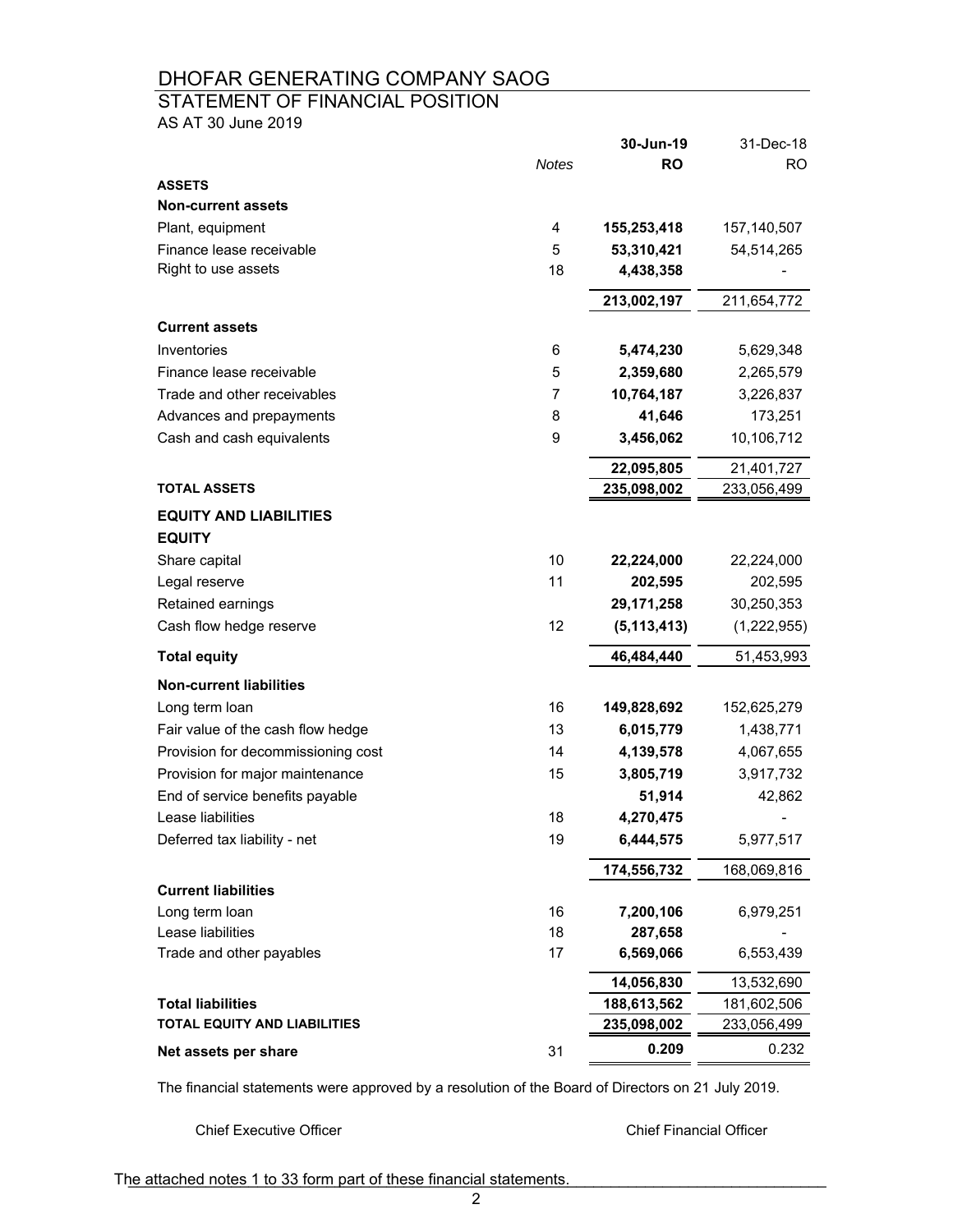# STATEMENT OF FINANCIAL POSITION

AS AT 30 June 2019

|                                     |                | 30-Jun-19     | 31-Dec-18   |
|-------------------------------------|----------------|---------------|-------------|
|                                     | <b>Notes</b>   | <b>RO</b>     | <b>RO</b>   |
| <b>ASSETS</b>                       |                |               |             |
| <b>Non-current assets</b>           |                |               |             |
| Plant, equipment                    | 4              | 155,253,418   | 157,140,507 |
| Finance lease receivable            | 5              | 53,310,421    | 54,514,265  |
| Right to use assets                 | 18             | 4,438,358     |             |
|                                     |                | 213,002,197   | 211,654,772 |
| <b>Current assets</b>               |                |               |             |
| Inventories                         | 6              | 5,474,230     | 5,629,348   |
| Finance lease receivable            | 5              | 2,359,680     | 2,265,579   |
| Trade and other receivables         | $\overline{7}$ | 10,764,187    | 3,226,837   |
| Advances and prepayments            | 8              | 41,646        | 173,251     |
| Cash and cash equivalents           | 9              | 3,456,062     | 10,106,712  |
|                                     |                | 22,095,805    | 21,401,727  |
| <b>TOTAL ASSETS</b>                 |                | 235,098,002   | 233,056,499 |
| <b>EQUITY AND LIABILITIES</b>       |                |               |             |
| <b>EQUITY</b>                       |                |               |             |
| Share capital                       | 10             | 22,224,000    | 22,224,000  |
| Legal reserve                       | 11             | 202,595       | 202,595     |
| Retained earnings                   |                | 29,171,258    | 30,250,353  |
| Cash flow hedge reserve             | 12             | (5, 113, 413) | (1,222,955) |
| <b>Total equity</b>                 |                | 46,484,440    | 51,453,993  |
| <b>Non-current liabilities</b>      |                |               |             |
| Long term loan                      | 16             | 149,828,692   | 152,625,279 |
| Fair value of the cash flow hedge   | 13             | 6,015,779     | 1,438,771   |
| Provision for decommissioning cost  | 14             | 4,139,578     | 4,067,655   |
| Provision for major maintenance     | 15             | 3,805,719     | 3,917,732   |
| End of service benefits payable     |                | 51,914        | 42,862      |
| Lease liabilities                   | 18             | 4,270,475     |             |
| Deferred tax liability - net        | 19             | 6,444,575     | 5,977,517   |
|                                     |                | 174,556,732   | 168,069,816 |
| <b>Current liabilities</b>          |                |               |             |
| Long term loan                      | 16             | 7,200,106     | 6,979,251   |
| Lease liabilities                   | 18             | 287,658       |             |
| Trade and other payables            | 17             | 6,569,066     | 6,553,439   |
|                                     |                | 14,056,830    | 13,532,690  |
| <b>Total liabilities</b>            |                | 188,613,562   | 181,602,506 |
| <b>TOTAL EQUITY AND LIABILITIES</b> |                | 235,098,002   | 233,056,499 |
| Net assets per share                | 31             | 0.209         | 0.232       |

The financial statements were approved by a resolution of the Board of Directors on 21 July 2019.

Chief Executive Officer Chief Financial Officer

The attached notes 1 to 33 form part of these financial statements.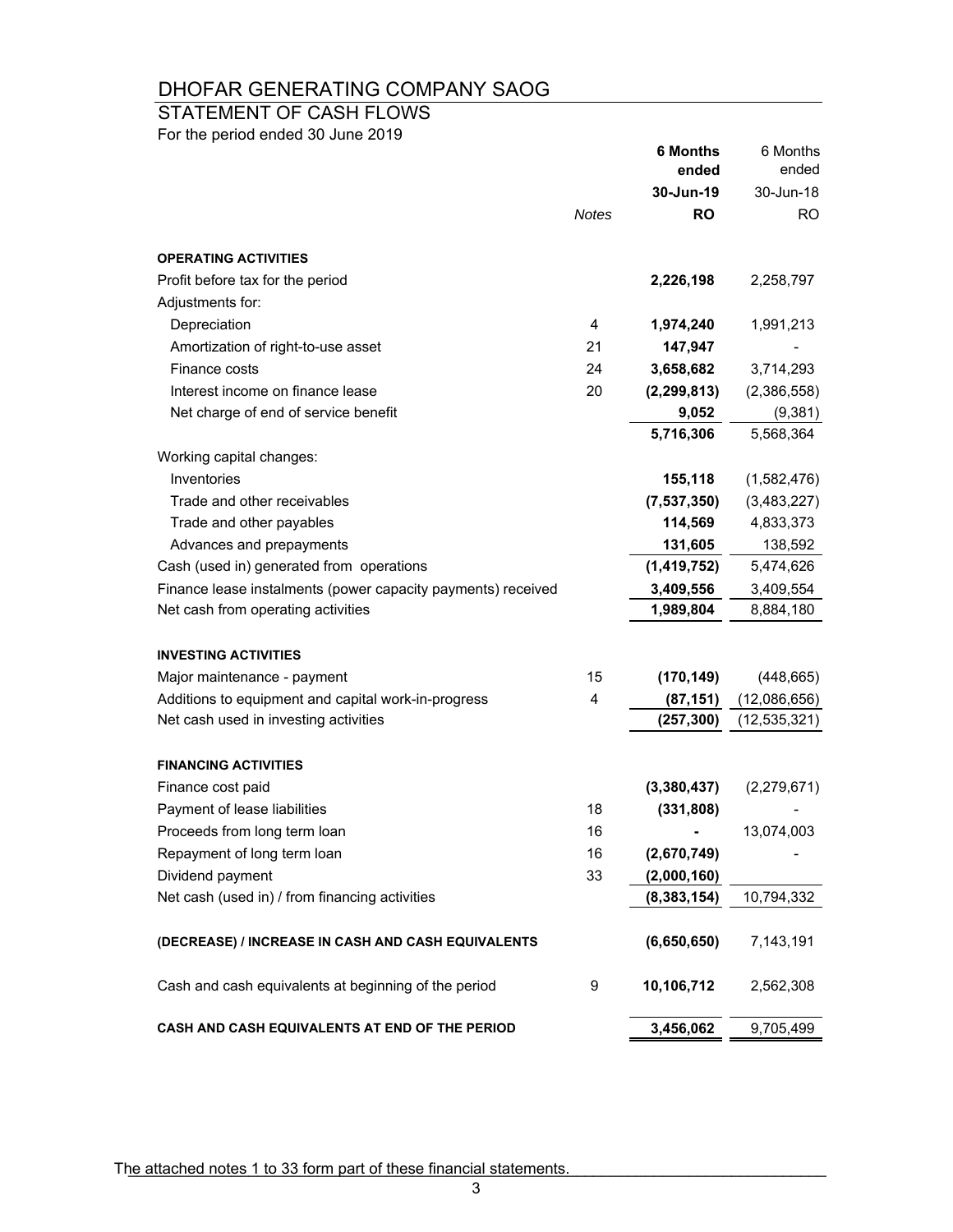# STATEMENT OF CASH FLOWS

For the period ended 30 June 2019

|                                                              |       | <b>6 Months</b><br>ended | 6 Months       |
|--------------------------------------------------------------|-------|--------------------------|----------------|
|                                                              |       |                          | ended          |
|                                                              |       | 30-Jun-19                | 30-Jun-18      |
|                                                              | Notes | <b>RO</b>                | RO.            |
| <b>OPERATING ACTIVITIES</b>                                  |       |                          |                |
| Profit before tax for the period                             |       | 2,226,198                | 2,258,797      |
| Adjustments for:                                             |       |                          |                |
| Depreciation                                                 | 4     | 1,974,240                | 1,991,213      |
| Amortization of right-to-use asset                           | 21    | 147,947                  |                |
| Finance costs                                                | 24    | 3,658,682                | 3,714,293      |
| Interest income on finance lease                             | 20    | (2, 299, 813)            | (2,386,558)    |
| Net charge of end of service benefit                         |       | 9,052                    | (9, 381)       |
|                                                              |       | 5,716,306                | 5,568,364      |
| Working capital changes:                                     |       |                          |                |
| Inventories                                                  |       | 155,118                  | (1,582,476)    |
| Trade and other receivables                                  |       | (7,537,350)              | (3,483,227)    |
| Trade and other payables                                     |       | 114,569                  | 4,833,373      |
| Advances and prepayments                                     |       | 131,605                  | 138,592        |
| Cash (used in) generated from operations                     |       | (1,419,752)              | 5,474,626      |
| Finance lease instalments (power capacity payments) received |       | 3,409,556                | 3,409,554      |
| Net cash from operating activities                           |       | 1,989,804                | 8,884,180      |
|                                                              |       |                          |                |
| <b>INVESTING ACTIVITIES</b>                                  |       |                          |                |
| Major maintenance - payment                                  | 15    | (170, 149)               | (448, 665)     |
| Additions to equipment and capital work-in-progress          | 4     | (87, 151)                | (12,086,656)   |
| Net cash used in investing activities                        |       | (257, 300)               | (12, 535, 321) |
| <b>FINANCING ACTIVITIES</b>                                  |       |                          |                |
| Finance cost paid                                            |       | (3,380,437)              | (2,279,671)    |
| Payment of lease liabilities                                 | 18    | (331, 808)               |                |
| Proceeds from long term loan                                 | 16    |                          | 13,074,003     |
| Repayment of long term loan                                  | 16    | (2,670,749)              |                |
| Dividend payment                                             | 33    | (2,000,160)              |                |
| Net cash (used in) / from financing activities               |       | (8, 383, 154)            | 10,794,332     |
|                                                              |       |                          |                |
| (DECREASE) / INCREASE IN CASH AND CASH EQUIVALENTS           |       | (6,650,650)              | 7,143,191      |
| Cash and cash equivalents at beginning of the period         | 9     | 10,106,712               | 2,562,308      |
| CASH AND CASH EQUIVALENTS AT END OF THE PERIOD               |       | 3,456,062                | 9,705,499      |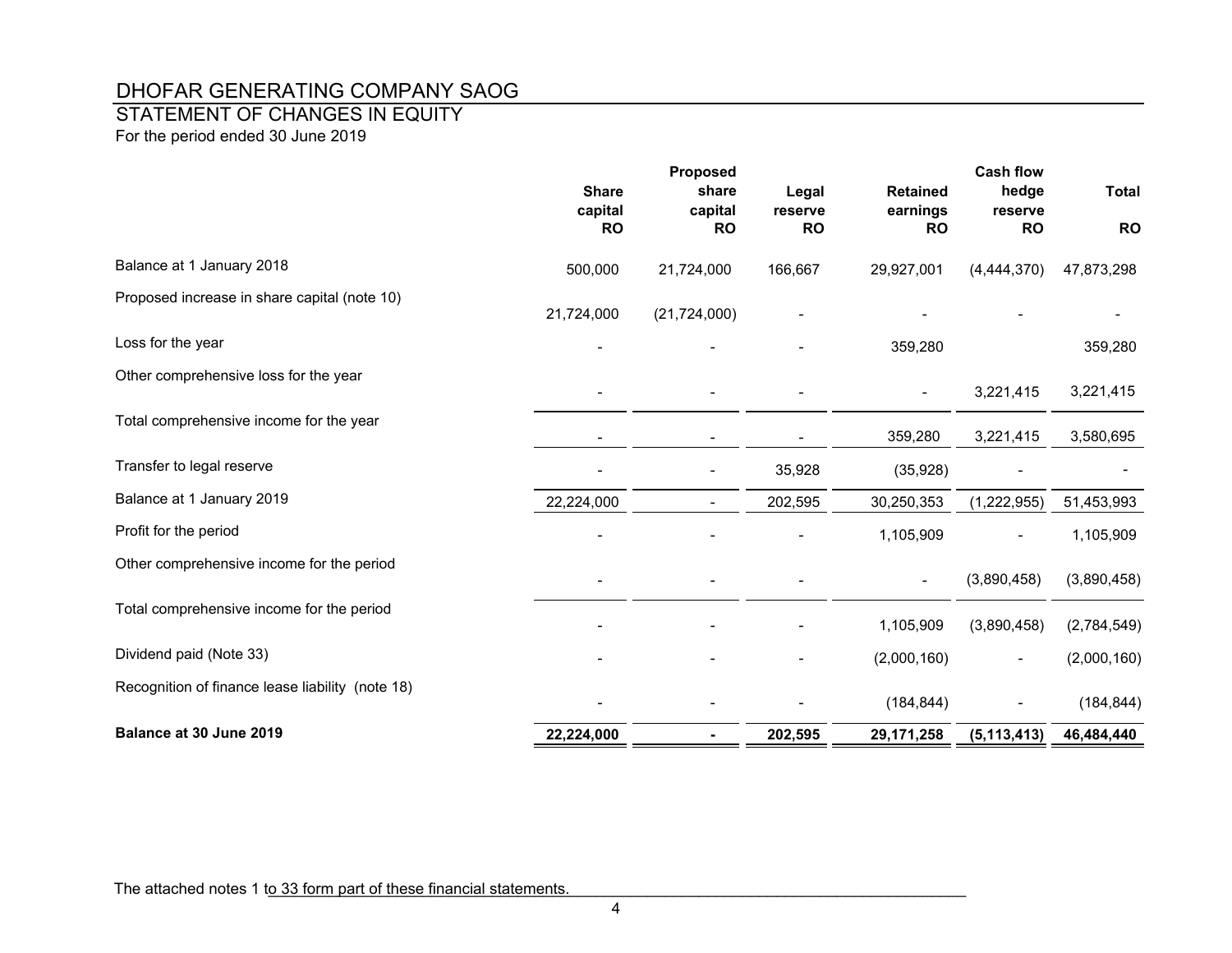## STATEMENT OF CHANGES IN EQUITY

For the period ended 30 June 2019

|                                                  |                      | <b>Proposed</b>          |                      |                       | <b>Cash flow</b>     |              |
|--------------------------------------------------|----------------------|--------------------------|----------------------|-----------------------|----------------------|--------------|
|                                                  | <b>Share</b>         | share                    | Legal                | <b>Retained</b>       | hedge                | <b>Total</b> |
|                                                  | capital<br><b>RO</b> | capital<br><b>RO</b>     | reserve<br><b>RO</b> | earnings<br><b>RO</b> | reserve<br><b>RO</b> | <b>RO</b>    |
| Balance at 1 January 2018                        | 500,000              | 21,724,000               | 166,667              | 29,927,001            | (4,444,370)          | 47,873,298   |
| Proposed increase in share capital (note 10)     | 21,724,000           | (21, 724, 000)           |                      |                       |                      |              |
| Loss for the year                                |                      |                          |                      | 359,280               |                      | 359,280      |
| Other comprehensive loss for the year            |                      |                          |                      |                       | 3,221,415            | 3,221,415    |
| Total comprehensive income for the year          |                      |                          |                      | 359,280               | 3,221,415            | 3,580,695    |
| Transfer to legal reserve                        |                      | $\overline{\phantom{a}}$ | 35,928               | (35, 928)             |                      |              |
| Balance at 1 January 2019                        | 22,224,000           |                          | 202,595              | 30,250,353            | (1,222,955)          | 51,453,993   |
| Profit for the period                            |                      |                          |                      | 1,105,909             |                      | 1,105,909    |
| Other comprehensive income for the period        |                      |                          |                      |                       | (3,890,458)          | (3,890,458)  |
| Total comprehensive income for the period        |                      |                          |                      | 1,105,909             | (3,890,458)          | (2,784,549)  |
| Dividend paid (Note 33)                          |                      |                          |                      | (2,000,160)           |                      | (2,000,160)  |
| Recognition of finance lease liability (note 18) |                      |                          |                      | (184, 844)            |                      | (184, 844)   |
| Balance at 30 June 2019                          | 22,224,000           | $\blacksquare$           | 202,595              | 29,171,258            | (5, 113, 413)        | 46,484,440   |

The attached notes 1 to 33 form part of these financial statements.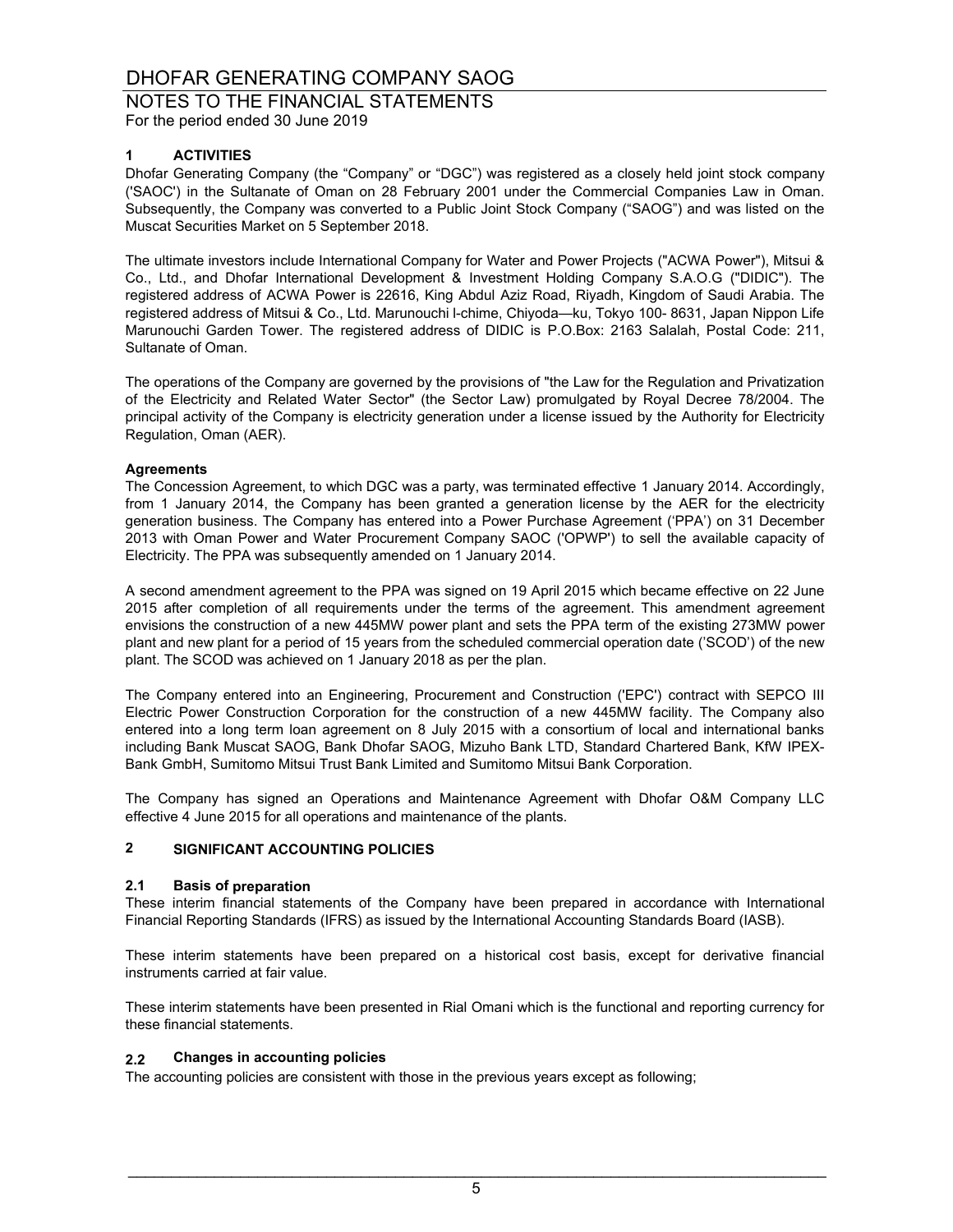NOTES TO THE FINANCIAL STATEMENTS

For the period ended 30 June 2019

### **1 ACTIVITIES**

Dhofar Generating Company (the "Company" or "DGC") was registered as a closely held joint stock company ('SAOC') in the Sultanate of Oman on 28 February 2001 under the Commercial Companies Law in Oman. Subsequently, the Company was converted to a Public Joint Stock Company ("SAOG") and was listed on the Muscat Securities Market on 5 September 2018.

The ultimate investors include International Company for Water and Power Projects ("ACWA Power"), Mitsui & Co., Ltd., and Dhofar International Development & Investment Holding Company S.A.O.G ("DIDIC"). The registered address of ACWA Power is 22616, King Abdul Aziz Road, Riyadh, Kingdom of Saudi Arabia. The registered address of Mitsui & Co., Ltd. Marunouchi l-chime, Chiyoda—ku, Tokyo 100- 8631, Japan Nippon Life Marunouchi Garden Tower. The registered address of DIDIC is P.O.Box: 2163 Salalah, Postal Code: 211, Sultanate of Oman.

The operations of the Company are governed by the provisions of "the Law for the Regulation and Privatization of the Electricity and Related Water Sector" (the Sector Law) promulgated by Royal Decree 78/2004. The principal activity of the Company is electricity generation under a license issued by the Authority for Electricity Regulation, Oman (AER).

#### **Agreements**

The Concession Agreement, to which DGC was a party, was terminated effective 1 January 2014. Accordingly, from 1 January 2014, the Company has been granted a generation license by the AER for the electricity generation business. The Company has entered into a Power Purchase Agreement ('PPA') on 31 December 2013 with Oman Power and Water Procurement Company SAOC ('OPWP') to sell the available capacity of Electricity. The PPA was subsequently amended on 1 January 2014.

A second amendment agreement to the PPA was signed on 19 April 2015 which became effective on 22 June 2015 after completion of all requirements under the terms of the agreement. This amendment agreement envisions the construction of a new 445MW power plant and sets the PPA term of the existing 273MW power plant and new plant for a period of 15 years from the scheduled commercial operation date ('SCOD') of the new plant. The SCOD was achieved on 1 January 2018 as per the plan.

The Company entered into an Engineering, Procurement and Construction ('EPC') contract with SEPCO III Electric Power Construction Corporation for the construction of a new 445MW facility. The Company also entered into a long term loan agreement on 8 July 2015 with a consortium of local and international banks including Bank Muscat SAOG, Bank Dhofar SAOG, Mizuho Bank LTD, Standard Chartered Bank, KfW IPEX-Bank GmbH, Sumitomo Mitsui Trust Bank Limited and Sumitomo Mitsui Bank Corporation.

The Company has signed an Operations and Maintenance Agreement with Dhofar O&M Company LLC effective 4 June 2015 for all operations and maintenance of the plants.

### **2 SIGNIFICANT ACCOUNTING POLICIES**

#### **2.1 Basis of preparation**

These interim financial statements of the Company have been prepared in accordance with International Financial Reporting Standards (IFRS) as issued by the International Accounting Standards Board (IASB).

These interim statements have been prepared on a historical cost basis, except for derivative financial instruments carried at fair value.

These interim statements have been presented in Rial Omani which is the functional and reporting currency for these financial statements.

#### **2.2 Changes in accounting policies**

The accounting policies are consistent with those in the previous years except as following;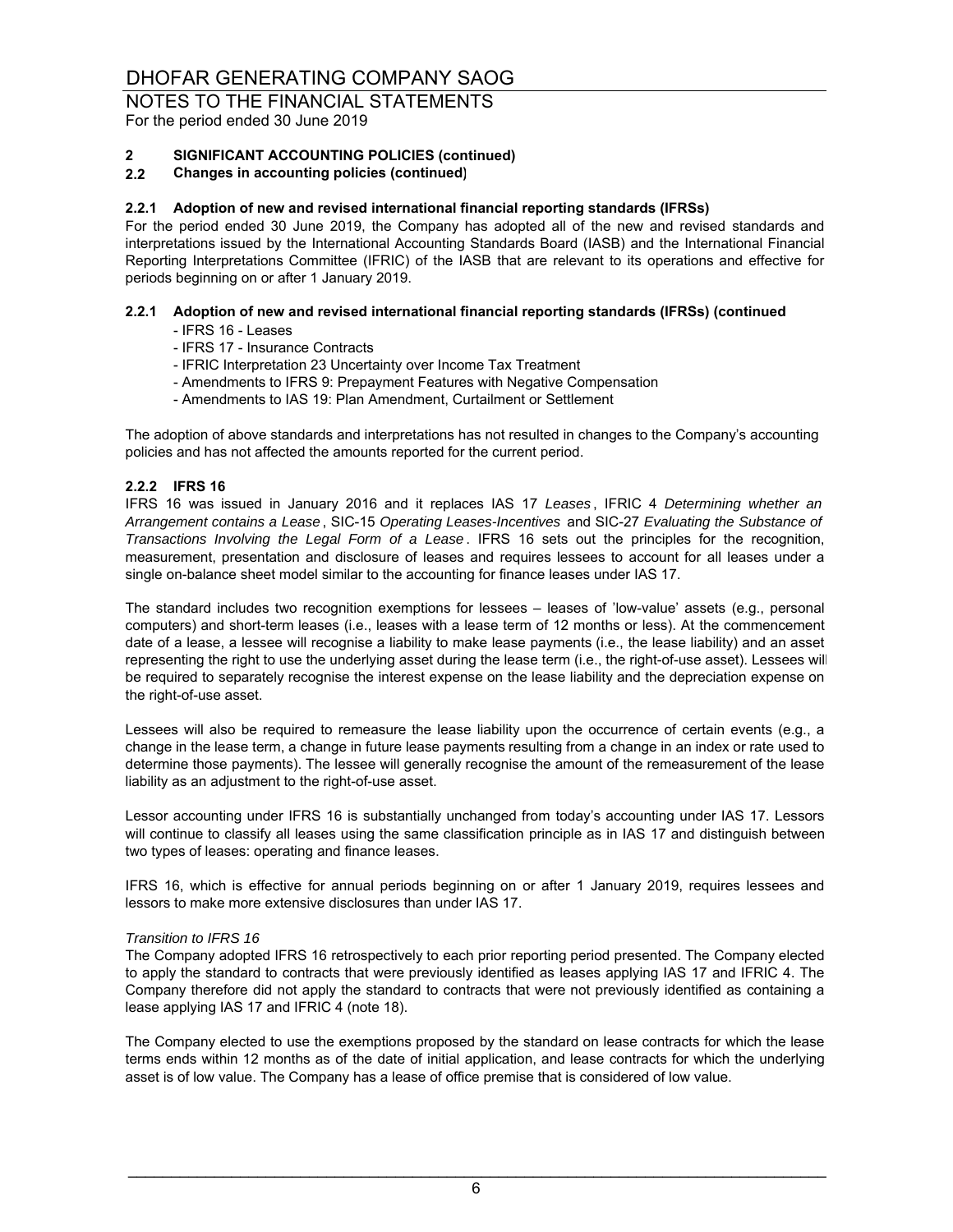For the period ended 30 June 2019

### **2 SIGNIFICANT ACCOUNTING POLICIES (continued)**

#### **2.2 Changes in accounting policies (continued)**

#### **2.2.1 Adoption of new and revised international financial reporting standards (IFRSs)**

For the period ended 30 June 2019, the Company has adopted all of the new and revised standards and interpretations issued by the International Accounting Standards Board (IASB) and the International Financial Reporting Interpretations Committee (IFRIC) of the IASB that are relevant to its operations and effective for periods beginning on or after 1 January 2019.

### **2.2.1 Adoption of new and revised international financial reporting standards (IFRSs) (continued**

- IFRS 16 Leases
- IFRS 17 Insurance Contracts
- IFRIC Interpretation 23 Uncertainty over Income Tax Treatment
- Amendments to IFRS 9: Prepayment Features with Negative Compensation
- Amendments to IAS 19: Plan Amendment, Curtailment or Settlement

The adoption of above standards and interpretations has not resulted in changes to the Company's accounting policies and has not affected the amounts reported for the current period.

#### **2.2.2 IFRS 16**

IFRS 16 was issued in January 2016 and it replaces IAS 17 *Leases* , IFRIC 4 *Determining whether an Arrangement contains a Lease* , SIC-15 *Operating Leases-Incentives* and SIC-27 *Evaluating the Substance of Transactions Involving the Legal Form of a Lease* . IFRS 16 sets out the principles for the recognition, measurement, presentation and disclosure of leases and requires lessees to account for all leases under a single on-balance sheet model similar to the accounting for finance leases under IAS 17.

The standard includes two recognition exemptions for lessees – leases of 'low-value' assets (e.g., personal computers) and short-term leases (i.e., leases with a lease term of 12 months or less). At the commencement date of a lease, a lessee will recognise a liability to make lease payments (i.e., the lease liability) and an asset representing the right to use the underlying asset during the lease term (i.e., the right-of-use asset). Lessees will be required to separately recognise the interest expense on the lease liability and the depreciation expense on the right-of-use asset.

Lessees will also be required to remeasure the lease liability upon the occurrence of certain events (e.g., a change in the lease term, a change in future lease payments resulting from a change in an index or rate used to determine those payments). The lessee will generally recognise the amount of the remeasurement of the lease liability as an adjustment to the right-of-use asset.

Lessor accounting under IFRS 16 is substantially unchanged from today's accounting under IAS 17. Lessors will continue to classify all leases using the same classification principle as in IAS 17 and distinguish between two types of leases: operating and finance leases.

IFRS 16, which is effective for annual periods beginning on or after 1 January 2019, requires lessees and lessors to make more extensive disclosures than under IAS 17.

#### *Transition to IFRS 16*

The Company adopted IFRS 16 retrospectively to each prior reporting period presented. The Company elected to apply the standard to contracts that were previously identified as leases applying IAS 17 and IFRIC 4. The Company therefore did not apply the standard to contracts that were not previously identified as containing a lease applying IAS 17 and IFRIC 4 (note 18).

The Company elected to use the exemptions proposed by the standard on lease contracts for which the lease terms ends within 12 months as of the date of initial application, and lease contracts for which the underlying asset is of low value. The Company has a lease of office premise that is considered of low value.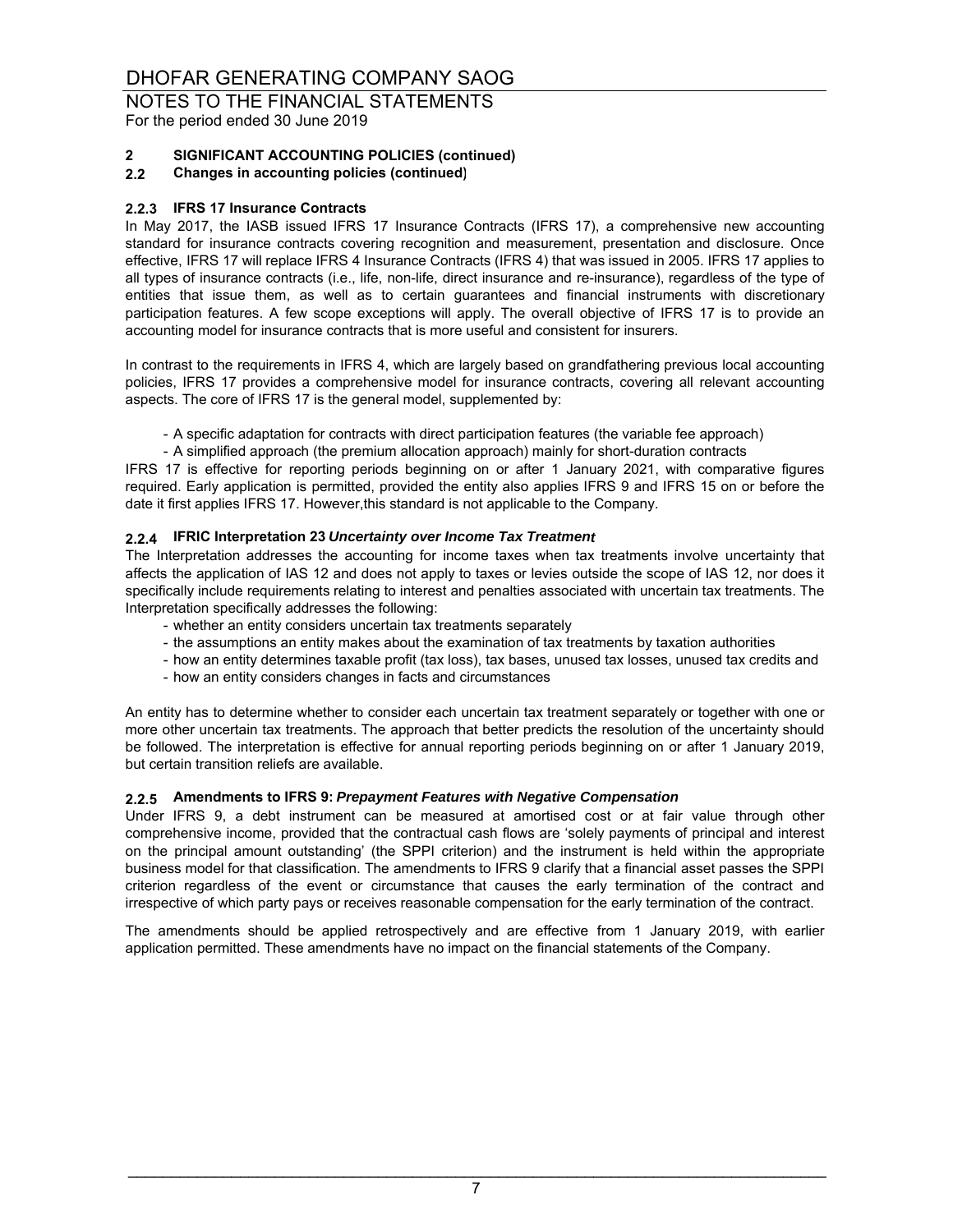For the period ended 30 June 2019

### **2 SIGNIFICANT ACCOUNTING POLICIES (continued)**

**2.2 Changes in accounting policies (continued)**

#### **2.2.3 IFRS 17 Insurance Contracts**

In May 2017, the IASB issued IFRS 17 Insurance Contracts (IFRS 17), a comprehensive new accounting standard for insurance contracts covering recognition and measurement, presentation and disclosure. Once effective, IFRS 17 will replace IFRS 4 Insurance Contracts (IFRS 4) that was issued in 2005. IFRS 17 applies to all types of insurance contracts (i.e., life, non-life, direct insurance and re-insurance), regardless of the type of entities that issue them, as well as to certain guarantees and financial instruments with discretionary participation features. A few scope exceptions will apply. The overall objective of IFRS 17 is to provide an accounting model for insurance contracts that is more useful and consistent for insurers.

In contrast to the requirements in IFRS 4, which are largely based on grandfathering previous local accounting policies, IFRS 17 provides a comprehensive model for insurance contracts, covering all relevant accounting aspects. The core of IFRS 17 is the general model, supplemented by:

- A specific adaptation for contracts with direct participation features (the variable fee approach)

- A simplified approach (the premium allocation approach) mainly for short-duration contracts

IFRS 17 is effective for reporting periods beginning on or after 1 January 2021, with comparative figures required. Early application is permitted, provided the entity also applies IFRS 9 and IFRS 15 on or before the date it first applies IFRS 17. However,this standard is not applicable to the Company.

### **2.2.4 IFRIC Interpretation 23** *Uncertainty over Income Tax Treatment*

The Interpretation addresses the accounting for income taxes when tax treatments involve uncertainty that affects the application of IAS 12 and does not apply to taxes or levies outside the scope of IAS 12, nor does it specifically include requirements relating to interest and penalties associated with uncertain tax treatments. The Interpretation specifically addresses the following:

- whether an entity considers uncertain tax treatments separately
- the assumptions an entity makes about the examination of tax treatments by taxation authorities
- how an entity determines taxable profit (tax loss), tax bases, unused tax losses, unused tax credits and
- how an entity considers changes in facts and circumstances

An entity has to determine whether to consider each uncertain tax treatment separately or together with one or more other uncertain tax treatments. The approach that better predicts the resolution of the uncertainty should be followed. The interpretation is effective for annual reporting periods beginning on or after 1 January 2019, but certain transition reliefs are available.

#### **2.2.5 Amendments to IFRS 9:** *Prepayment Features with Negative Compensation*

Under IFRS 9, a debt instrument can be measured at amortised cost or at fair value through other comprehensive income, provided that the contractual cash flows are 'solely payments of principal and interest on the principal amount outstanding' (the SPPI criterion) and the instrument is held within the appropriate business model for that classification. The amendments to IFRS 9 clarify that a financial asset passes the SPPI criterion regardless of the event or circumstance that causes the early termination of the contract and irrespective of which party pays or receives reasonable compensation for the early termination of the contract.

The amendments should be applied retrospectively and are effective from 1 January 2019, with earlier application permitted. These amendments have no impact on the financial statements of the Company.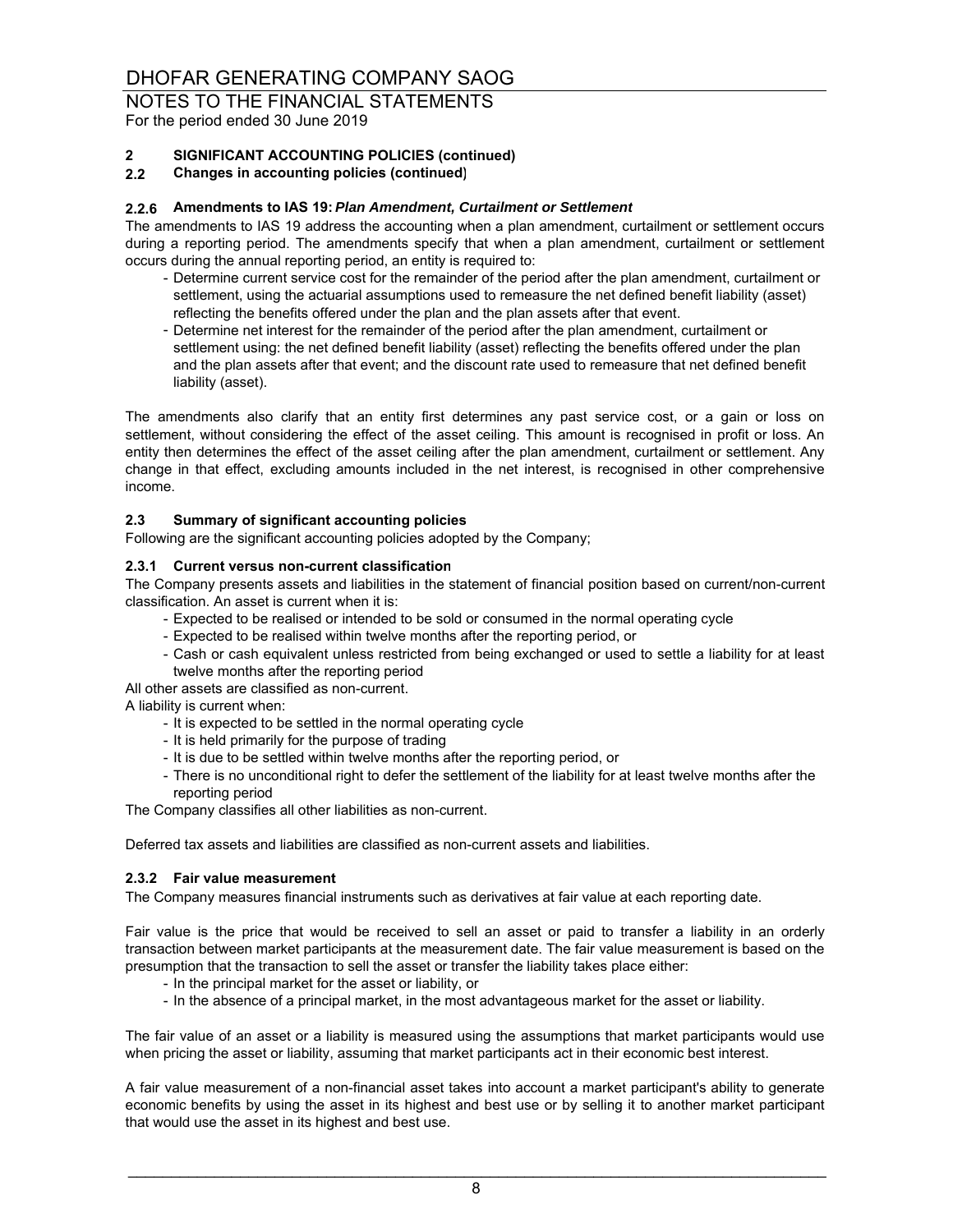For the period ended 30 June 2019

### **2 SIGNIFICANT ACCOUNTING POLICIES (continued)**

#### **2.2 Changes in accounting policies (continued)**

#### **2.2.6 Amendments to IAS 19:** *Plan Amendment, Curtailment or Settlement*

The amendments to IAS 19 address the accounting when a plan amendment, curtailment or settlement occurs during a reporting period. The amendments specify that when a plan amendment, curtailment or settlement occurs during the annual reporting period, an entity is required to:

- Determine current service cost for the remainder of the period after the plan amendment, curtailment or settlement, using the actuarial assumptions used to remeasure the net defined benefit liability (asset) reflecting the benefits offered under the plan and the plan assets after that event.
- Determine net interest for the remainder of the period after the plan amendment, curtailment or settlement using: the net defined benefit liability (asset) reflecting the benefits offered under the plan and the plan assets after that event; and the discount rate used to remeasure that net defined benefit liability (asset).

The amendments also clarify that an entity first determines any past service cost, or a gain or loss on settlement, without considering the effect of the asset ceiling. This amount is recognised in profit or loss. An entity then determines the effect of the asset ceiling after the plan amendment, curtailment or settlement. Any change in that effect, excluding amounts included in the net interest, is recognised in other comprehensive income.

#### **2.3 Summary of significant accounting policies**

Following are the significant accounting policies adopted by the Company;

#### **2.3.1 Current versus non-current classification**

The Company presents assets and liabilities in the statement of financial position based on current/non-current classification. An asset is current when it is:

- Expected to be realised or intended to be sold or consumed in the normal operating cycle
- Expected to be realised within twelve months after the reporting period, or
- Cash or cash equivalent unless restricted from being exchanged or used to settle a liability for at least twelve months after the reporting period
- All other assets are classified as non-current.

A liability is current when:

- It is expected to be settled in the normal operating cycle
- It is held primarily for the purpose of trading
- It is due to be settled within twelve months after the reporting period, or
- There is no unconditional right to defer the settlement of the liability for at least twelve months after the reporting period

The Company classifies all other liabilities as non-current.

Deferred tax assets and liabilities are classified as non-current assets and liabilities.

#### **2.3.2 Fair value measurement**

The Company measures financial instruments such as derivatives at fair value at each reporting date.

Fair value is the price that would be received to sell an asset or paid to transfer a liability in an orderly transaction between market participants at the measurement date. The fair value measurement is based on the presumption that the transaction to sell the asset or transfer the liability takes place either:

- In the principal market for the asset or liability, or
- In the absence of a principal market, in the most advantageous market for the asset or liability.

The fair value of an asset or a liability is measured using the assumptions that market participants would use when pricing the asset or liability, assuming that market participants act in their economic best interest.

A fair value measurement of a non-financial asset takes into account a market participant's ability to generate economic benefits by using the asset in its highest and best use or by selling it to another market participant that would use the asset in its highest and best use.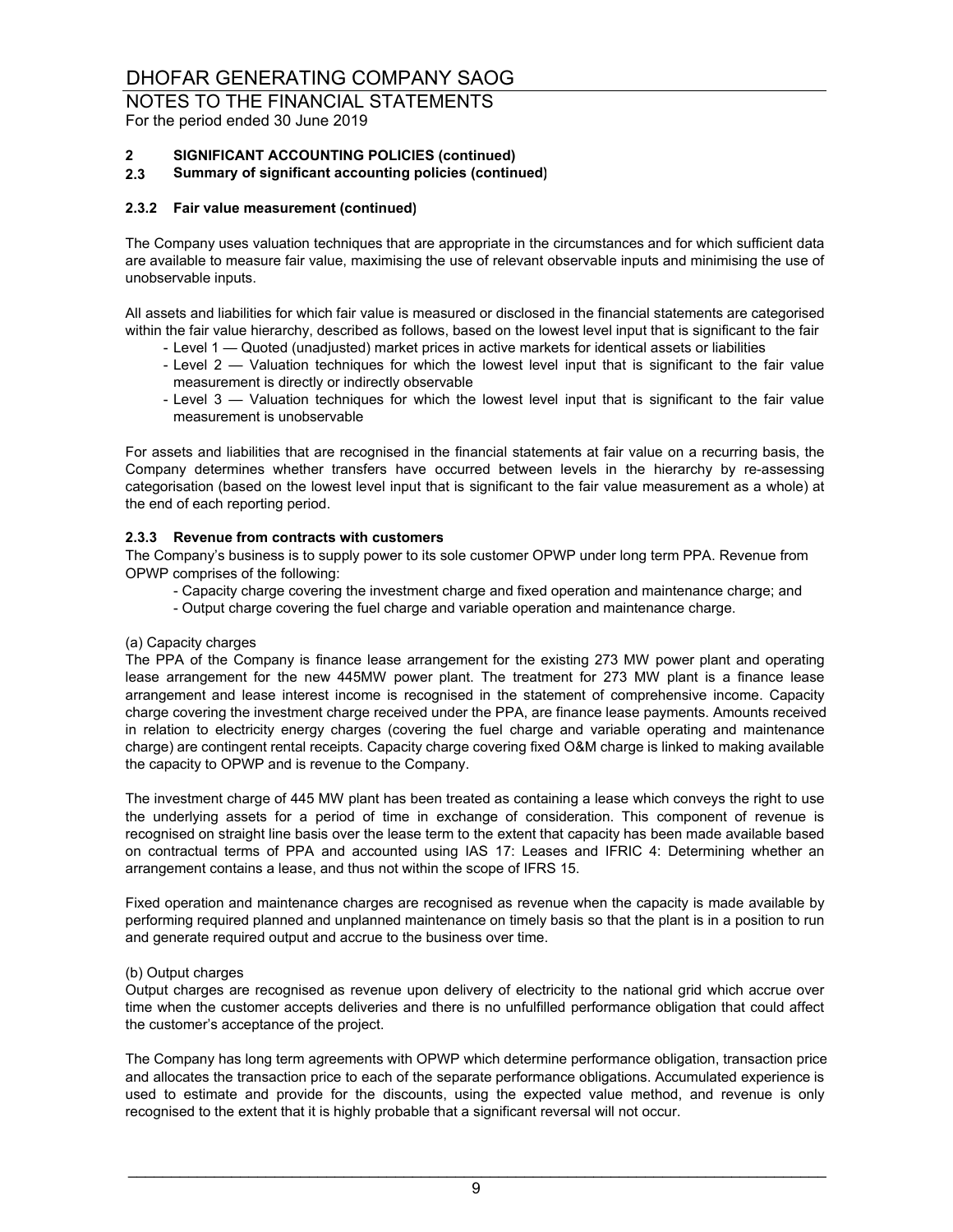For the period ended 30 June 2019

### **2 SIGNIFICANT ACCOUNTING POLICIES (continued)**

#### **2.3 Summary of significant accounting policies (continued)**

#### **2.3.2 Fair value measurement (continued)**

The Company uses valuation techniques that are appropriate in the circumstances and for which sufficient data are available to measure fair value, maximising the use of relevant observable inputs and minimising the use of unobservable inputs.

All assets and liabilities for which fair value is measured or disclosed in the financial statements are categorised within the fair value hierarchy, described as follows, based on the lowest level input that is significant to the fair

- Level 1 Quoted (unadjusted) market prices in active markets for identical assets or liabilities
- Level 2 Valuation techniques for which the lowest level input that is significant to the fair value measurement is directly or indirectly observable
- Level 3 Valuation techniques for which the lowest level input that is significant to the fair value measurement is unobservable

For assets and liabilities that are recognised in the financial statements at fair value on a recurring basis, the Company determines whether transfers have occurred between levels in the hierarchy by re-assessing categorisation (based on the lowest level input that is significant to the fair value measurement as a whole) at the end of each reporting period.

#### **2.3.3 Revenue from contracts with customers**

The Company's business is to supply power to its sole customer OPWP under long term PPA. Revenue from OPWP comprises of the following:

- Capacity charge covering the investment charge and fixed operation and maintenance charge; and
- Output charge covering the fuel charge and variable operation and maintenance charge.

#### (a) Capacity charges

The PPA of the Company is finance lease arrangement for the existing 273 MW power plant and operating lease arrangement for the new 445MW power plant. The treatment for 273 MW plant is a finance lease arrangement and lease interest income is recognised in the statement of comprehensive income. Capacity charge covering the investment charge received under the PPA, are finance lease payments. Amounts received in relation to electricity energy charges (covering the fuel charge and variable operating and maintenance charge) are contingent rental receipts. Capacity charge covering fixed O&M charge is linked to making available the capacity to OPWP and is revenue to the Company.

The investment charge of 445 MW plant has been treated as containing a lease which conveys the right to use the underlying assets for a period of time in exchange of consideration. This component of revenue is recognised on straight line basis over the lease term to the extent that capacity has been made available based on contractual terms of PPA and accounted using IAS 17: Leases and IFRIC 4: Determining whether an arrangement contains a lease, and thus not within the scope of IFRS 15.

Fixed operation and maintenance charges are recognised as revenue when the capacity is made available by performing required planned and unplanned maintenance on timely basis so that the plant is in a position to run and generate required output and accrue to the business over time.

#### (b) Output charges

Output charges are recognised as revenue upon delivery of electricity to the national grid which accrue over time when the customer accepts deliveries and there is no unfulfilled performance obligation that could affect the customer's acceptance of the project.

The Company has long term agreements with OPWP which determine performance obligation, transaction price and allocates the transaction price to each of the separate performance obligations. Accumulated experience is used to estimate and provide for the discounts, using the expected value method, and revenue is only recognised to the extent that it is highly probable that a significant reversal will not occur.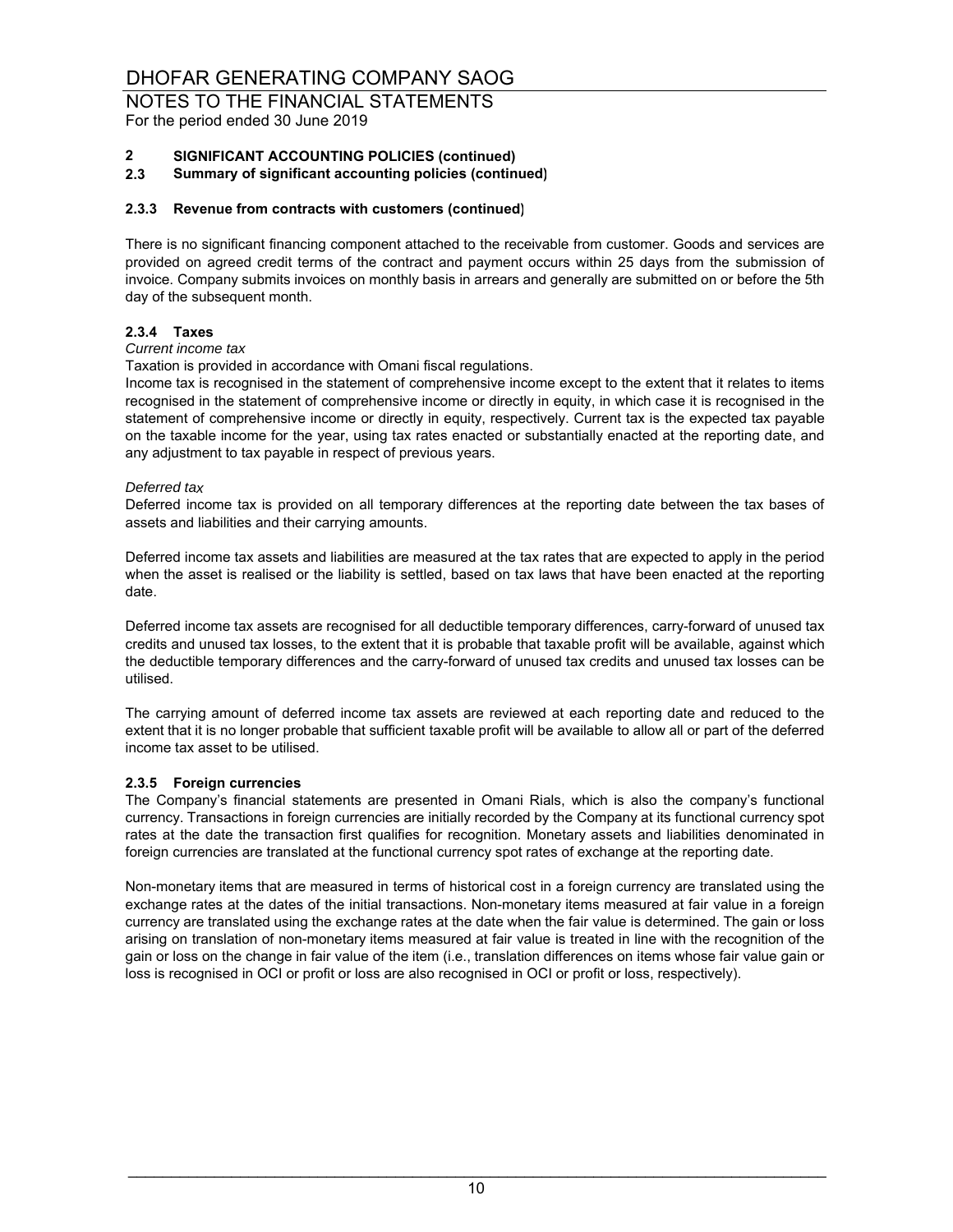For the period ended 30 June 2019

### **2 SIGNIFICANT ACCOUNTING POLICIES (continued)**

**2.3 Summary of significant accounting policies (continued)**

#### **2.3.3 Revenue from contracts with customers (continued)**

There is no significant financing component attached to the receivable from customer. Goods and services are provided on agreed credit terms of the contract and payment occurs within 25 days from the submission of invoice. Company submits invoices on monthly basis in arrears and generally are submitted on or before the 5th day of the subsequent month.

### **2.3.4 Taxes**

#### *Current income tax*

Taxation is provided in accordance with Omani fiscal regulations.

Income tax is recognised in the statement of comprehensive income except to the extent that it relates to items recognised in the statement of comprehensive income or directly in equity, in which case it is recognised in the statement of comprehensive income or directly in equity, respectively. Current tax is the expected tax payable on the taxable income for the year, using tax rates enacted or substantially enacted at the reporting date, and any adjustment to tax payable in respect of previous years.

#### *Deferred tax*

Deferred income tax is provided on all temporary differences at the reporting date between the tax bases of assets and liabilities and their carrying amounts.

Deferred income tax assets and liabilities are measured at the tax rates that are expected to apply in the period when the asset is realised or the liability is settled, based on tax laws that have been enacted at the reporting date.

Deferred income tax assets are recognised for all deductible temporary differences, carry-forward of unused tax credits and unused tax losses, to the extent that it is probable that taxable profit will be available, against which the deductible temporary differences and the carry-forward of unused tax credits and unused tax losses can be utilised.

The carrying amount of deferred income tax assets are reviewed at each reporting date and reduced to the extent that it is no longer probable that sufficient taxable profit will be available to allow all or part of the deferred income tax asset to be utilised.

#### **2.3.5 Foreign currencies**

The Company's financial statements are presented in Omani Rials, which is also the company's functional currency. Transactions in foreign currencies are initially recorded by the Company at its functional currency spot rates at the date the transaction first qualifies for recognition. Monetary assets and liabilities denominated in foreign currencies are translated at the functional currency spot rates of exchange at the reporting date.

Non-monetary items that are measured in terms of historical cost in a foreign currency are translated using the exchange rates at the dates of the initial transactions. Non-monetary items measured at fair value in a foreign currency are translated using the exchange rates at the date when the fair value is determined. The gain or loss arising on translation of non-monetary items measured at fair value is treated in line with the recognition of the gain or loss on the change in fair value of the item (i.e., translation differences on items whose fair value gain or loss is recognised in OCI or profit or loss are also recognised in OCI or profit or loss, respectively).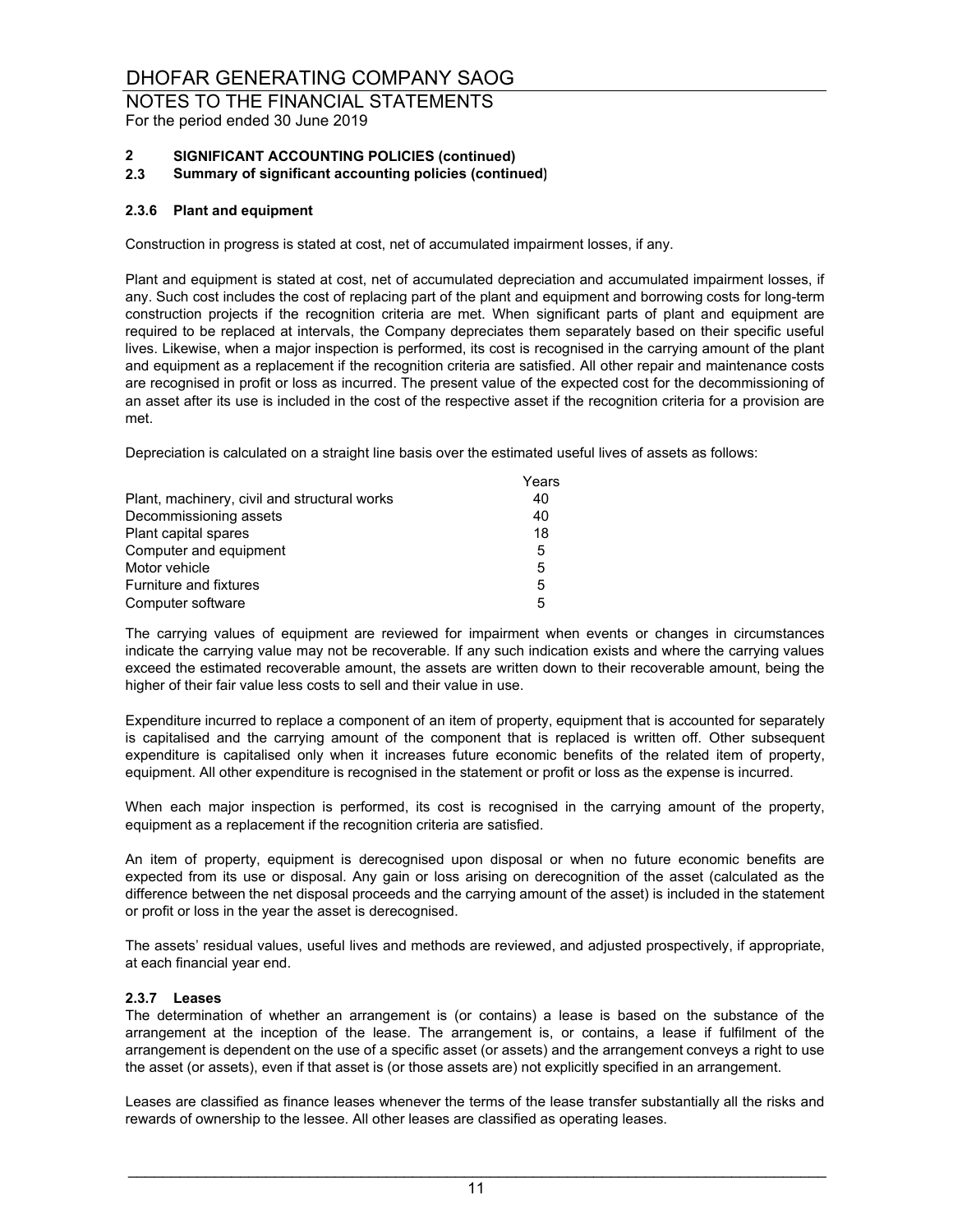For the period ended 30 June 2019

#### **2 SIGNIFICANT ACCOUNTING POLICIES (continued)**

**2.3 Summary of significant accounting policies (continued)**

#### **2.3.6 Plant and equipment**

Construction in progress is stated at cost, net of accumulated impairment losses, if any.

Plant and equipment is stated at cost, net of accumulated depreciation and accumulated impairment losses, if any. Such cost includes the cost of replacing part of the plant and equipment and borrowing costs for long-term construction projects if the recognition criteria are met. When significant parts of plant and equipment are required to be replaced at intervals, the Company depreciates them separately based on their specific useful lives. Likewise, when a major inspection is performed, its cost is recognised in the carrying amount of the plant and equipment as a replacement if the recognition criteria are satisfied. All other repair and maintenance costs are recognised in profit or loss as incurred. The present value of the expected cost for the decommissioning of an asset after its use is included in the cost of the respective asset if the recognition criteria for a provision are met.

Depreciation is calculated on a straight line basis over the estimated useful lives of assets as follows:

|                                              | Years |
|----------------------------------------------|-------|
| Plant, machinery, civil and structural works | 40    |
| Decommissioning assets                       | 40    |
| Plant capital spares                         | 18    |
| Computer and equipment                       | 5     |
| Motor vehicle                                | 5     |
| Furniture and fixtures                       | 5     |
| Computer software                            | 5     |

The carrying values of equipment are reviewed for impairment when events or changes in circumstances indicate the carrying value may not be recoverable. If any such indication exists and where the carrying values exceed the estimated recoverable amount, the assets are written down to their recoverable amount, being the higher of their fair value less costs to sell and their value in use.

Expenditure incurred to replace a component of an item of property, equipment that is accounted for separately is capitalised and the carrying amount of the component that is replaced is written off. Other subsequent expenditure is capitalised only when it increases future economic benefits of the related item of property, equipment. All other expenditure is recognised in the statement or profit or loss as the expense is incurred.

When each major inspection is performed, its cost is recognised in the carrying amount of the property, equipment as a replacement if the recognition criteria are satisfied.

An item of property, equipment is derecognised upon disposal or when no future economic benefits are expected from its use or disposal. Any gain or loss arising on derecognition of the asset (calculated as the difference between the net disposal proceeds and the carrying amount of the asset) is included in the statement or profit or loss in the year the asset is derecognised.

The assets' residual values, useful lives and methods are reviewed, and adjusted prospectively, if appropriate, at each financial year end.

#### **2.3.7 Leases**

The determination of whether an arrangement is (or contains) a lease is based on the substance of the arrangement at the inception of the lease. The arrangement is, or contains, a lease if fulfilment of the arrangement is dependent on the use of a specific asset (or assets) and the arrangement conveys a right to use the asset (or assets), even if that asset is (or those assets are) not explicitly specified in an arrangement.

Leases are classified as finance leases whenever the terms of the lease transfer substantially all the risks and rewards of ownership to the lessee. All other leases are classified as operating leases.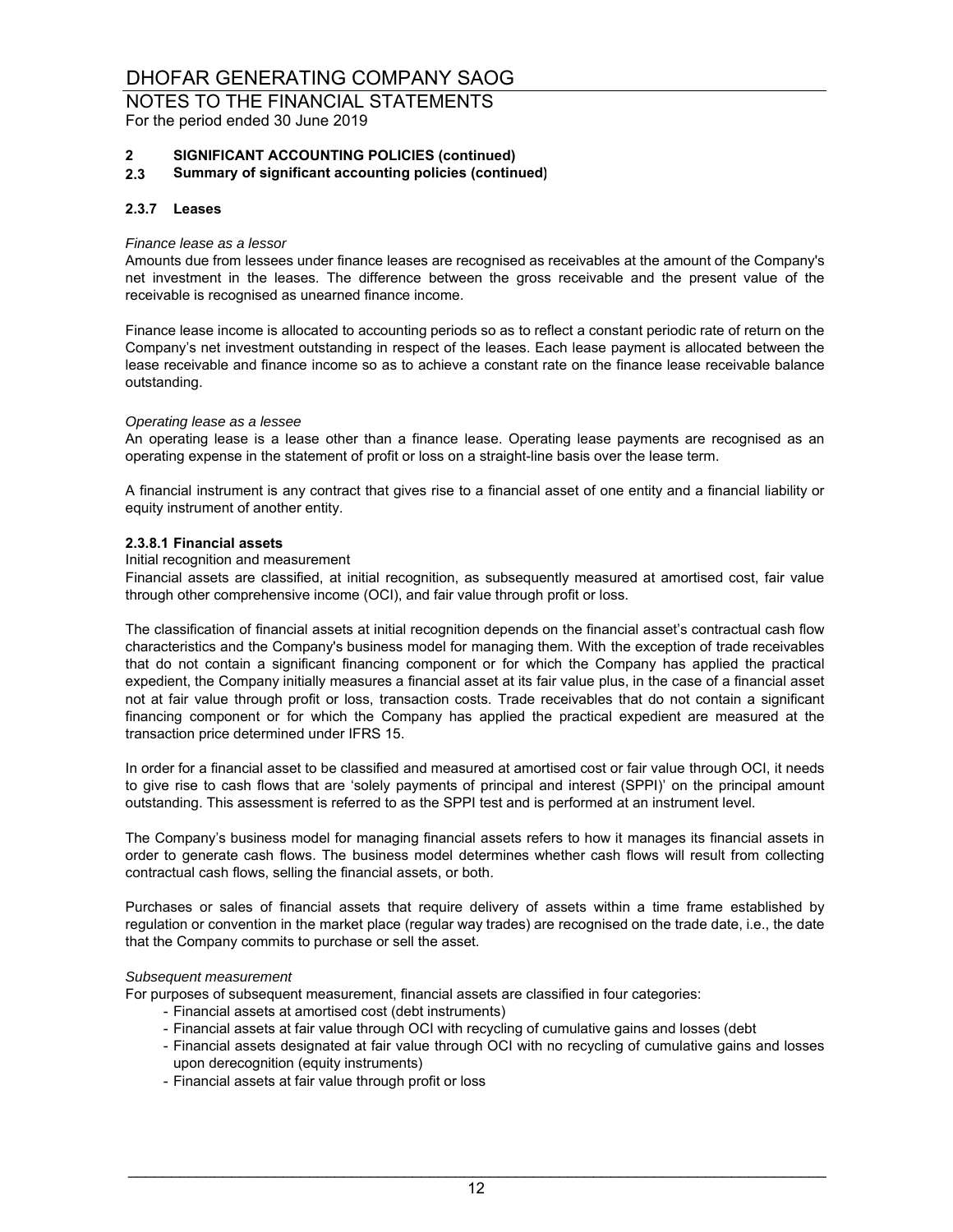For the period ended 30 June 2019

#### **2 SIGNIFICANT ACCOUNTING POLICIES (continued)**

**2.3 Summary of significant accounting policies (continued)**

#### **2.3.7 Leases**

#### *Finance lease as a lessor*

Amounts due from lessees under finance leases are recognised as receivables at the amount of the Company's net investment in the leases. The difference between the gross receivable and the present value of the receivable is recognised as unearned finance income.

Finance lease income is allocated to accounting periods so as to reflect a constant periodic rate of return on the Company's net investment outstanding in respect of the leases. Each lease payment is allocated between the lease receivable and finance income so as to achieve a constant rate on the finance lease receivable balance outstanding.

#### *Operating lease as a lessee*

An operating lease is a lease other than a finance lease. Operating lease payments are recognised as an operating expense in the statement of profit or loss on a straight-line basis over the lease term.

A financial instrument is any contract that gives rise to a financial asset of one entity and a financial liability or equity instrument of another entity.

#### **2.3.8.1 Financial assets**

#### Initial recognition and measurement

Financial assets are classified, at initial recognition, as subsequently measured at amortised cost, fair value through other comprehensive income (OCI), and fair value through profit or loss.

The classification of financial assets at initial recognition depends on the financial asset's contractual cash flow characteristics and the Company's business model for managing them. With the exception of trade receivables that do not contain a significant financing component or for which the Company has applied the practical expedient, the Company initially measures a financial asset at its fair value plus, in the case of a financial asset not at fair value through profit or loss, transaction costs. Trade receivables that do not contain a significant financing component or for which the Company has applied the practical expedient are measured at the transaction price determined under IFRS 15.

In order for a financial asset to be classified and measured at amortised cost or fair value through OCI, it needs to give rise to cash flows that are 'solely payments of principal and interest (SPPI)' on the principal amount outstanding. This assessment is referred to as the SPPI test and is performed at an instrument level.

The Company's business model for managing financial assets refers to how it manages its financial assets in order to generate cash flows. The business model determines whether cash flows will result from collecting contractual cash flows, selling the financial assets, or both.

Purchases or sales of financial assets that require delivery of assets within a time frame established by regulation or convention in the market place (regular way trades) are recognised on the trade date, i.e., the date that the Company commits to purchase or sell the asset.

#### *Subsequent measurement*

For purposes of subsequent measurement, financial assets are classified in four categories:

- Financial assets at amortised cost (debt instruments)
- Financial assets at fair value through OCI with recycling of cumulative gains and losses (debt
- Financial assets designated at fair value through OCI with no recycling of cumulative gains and losses upon derecognition (equity instruments)
- Financial assets at fair value through profit or loss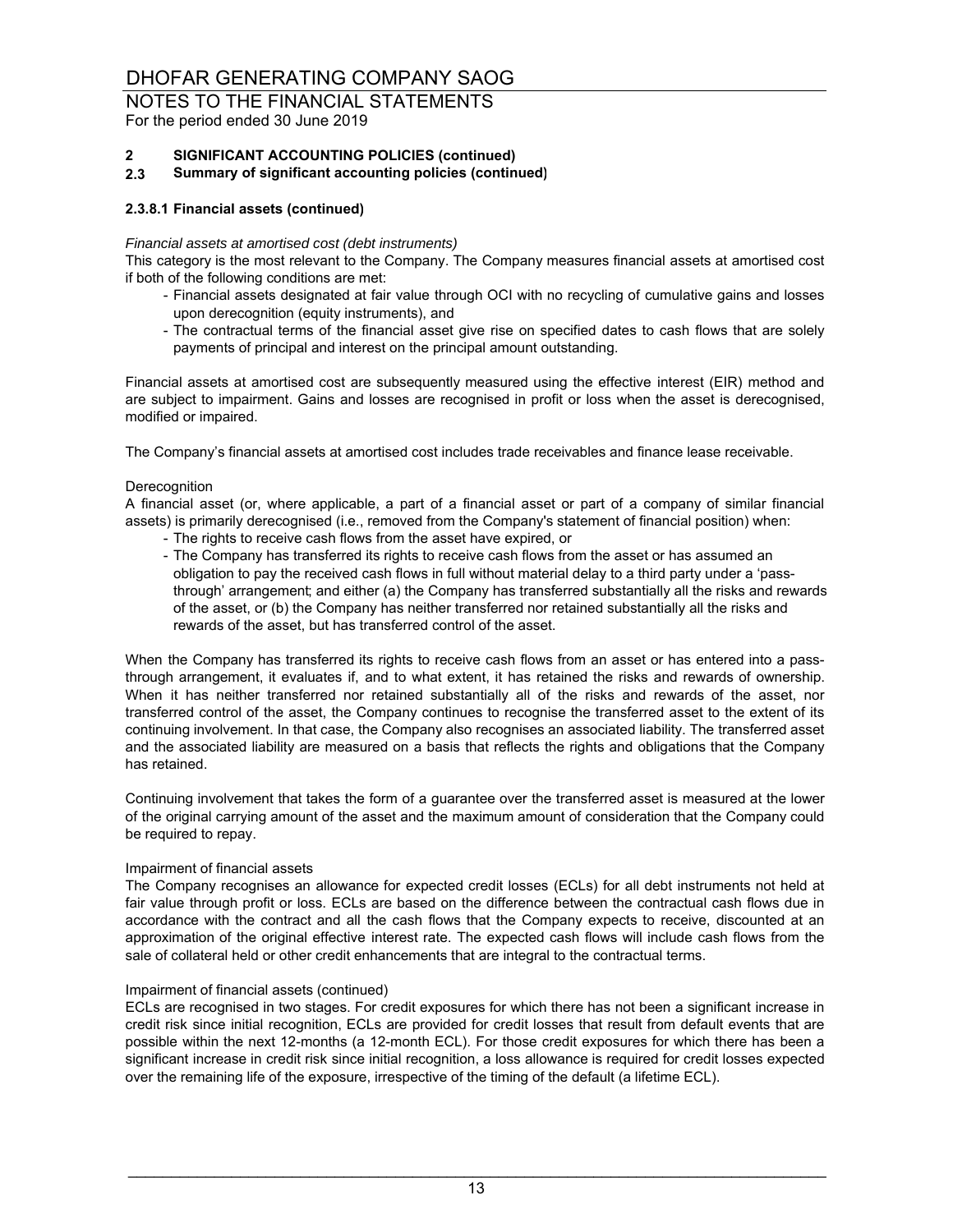For the period ended 30 June 2019

### **2 SIGNIFICANT ACCOUNTING POLICIES (continued)**

**2.3 Summary of significant accounting policies (continued)**

#### **2.3.8.1 Financial assets (continued)**

#### *Financial assets at amortised cost (debt instruments)*

This category is the most relevant to the Company. The Company measures financial assets at amortised cost if both of the following conditions are met:

- Financial assets designated at fair value through OCI with no recycling of cumulative gains and losses upon derecognition (equity instruments), and
- The contractual terms of the financial asset give rise on specified dates to cash flows that are solely payments of principal and interest on the principal amount outstanding.

Financial assets at amortised cost are subsequently measured using the effective interest (EIR) method and are subject to impairment. Gains and losses are recognised in profit or loss when the asset is derecognised, modified or impaired.

The Company's financial assets at amortised cost includes trade receivables and finance lease receivable.

#### **Derecognition**

A financial asset (or, where applicable, a part of a financial asset or part of a company of similar financial assets) is primarily derecognised (i.e., removed from the Company's statement of financial position) when:

- The rights to receive cash flows from the asset have expired, or
- The Company has transferred its rights to receive cash flows from the asset or has assumed an obligation to pay the received cash flows in full without material delay to a third party under a 'passthrough' arrangement; and either (a) the Company has transferred substantially all the risks and rewards of the asset, or (b) the Company has neither transferred nor retained substantially all the risks and rewards of the asset, but has transferred control of the asset.

When the Company has transferred its rights to receive cash flows from an asset or has entered into a passthrough arrangement, it evaluates if, and to what extent, it has retained the risks and rewards of ownership. When it has neither transferred nor retained substantially all of the risks and rewards of the asset, nor transferred control of the asset, the Company continues to recognise the transferred asset to the extent of its continuing involvement. In that case, the Company also recognises an associated liability. The transferred asset and the associated liability are measured on a basis that reflects the rights and obligations that the Company has retained.

Continuing involvement that takes the form of a guarantee over the transferred asset is measured at the lower of the original carrying amount of the asset and the maximum amount of consideration that the Company could be required to repay.

#### Impairment of financial assets

The Company recognises an allowance for expected credit losses (ECLs) for all debt instruments not held at fair value through profit or loss. ECLs are based on the difference between the contractual cash flows due in accordance with the contract and all the cash flows that the Company expects to receive, discounted at an approximation of the original effective interest rate. The expected cash flows will include cash flows from the sale of collateral held or other credit enhancements that are integral to the contractual terms.

#### Impairment of financial assets (continued)

ECLs are recognised in two stages. For credit exposures for which there has not been a significant increase in credit risk since initial recognition, ECLs are provided for credit losses that result from default events that are possible within the next 12-months (a 12-month ECL). For those credit exposures for which there has been a significant increase in credit risk since initial recognition, a loss allowance is required for credit losses expected over the remaining life of the exposure, irrespective of the timing of the default (a lifetime ECL).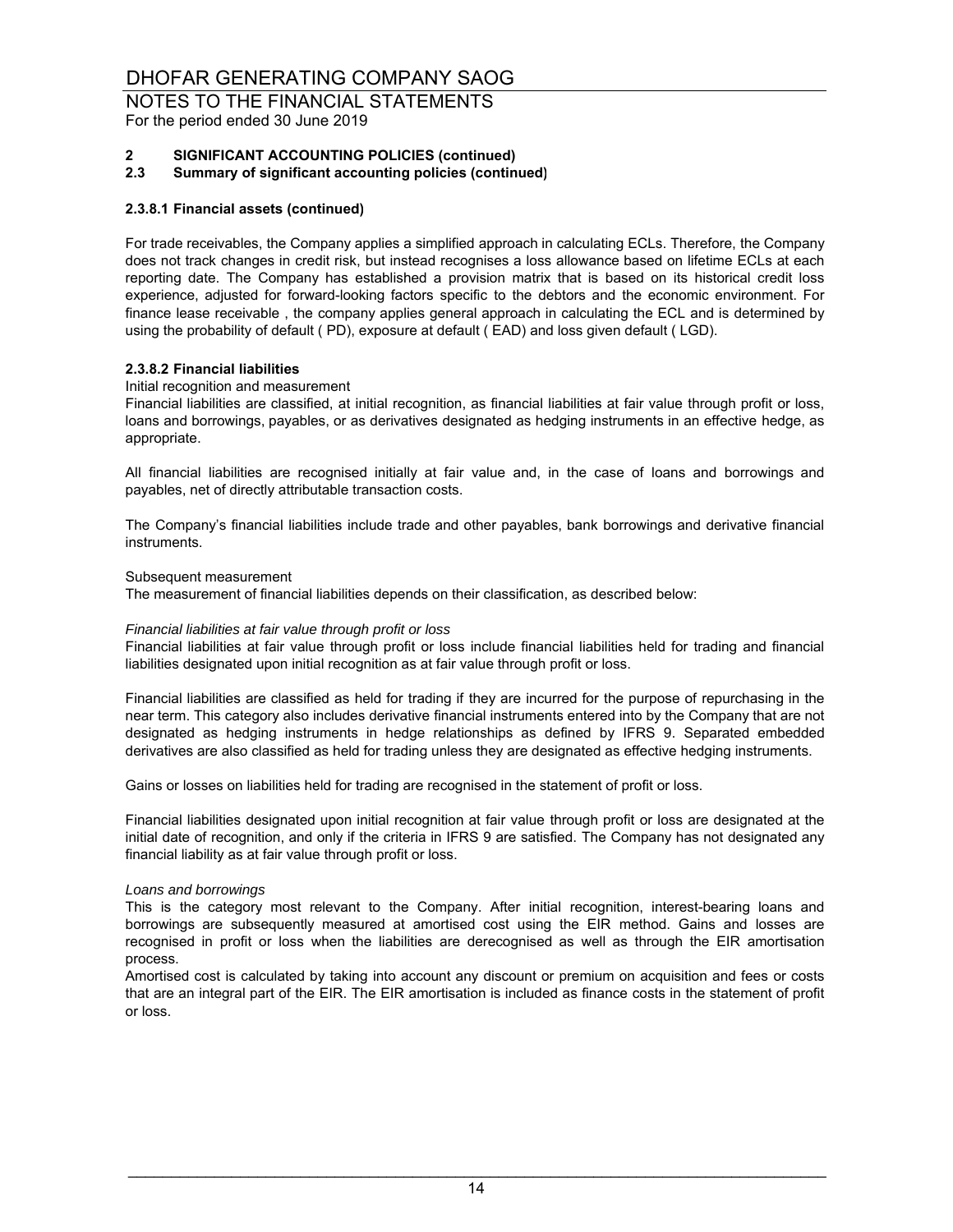For the period ended 30 June 2019

### **2 SIGNIFICANT ACCOUNTING POLICIES (continued)**

**2.3 Summary of significant accounting policies (continued)**

#### **2.3.8.1 Financial assets (continued)**

For trade receivables, the Company applies a simplified approach in calculating ECLs. Therefore, the Company does not track changes in credit risk, but instead recognises a loss allowance based on lifetime ECLs at each reporting date. The Company has established a provision matrix that is based on its historical credit loss experience, adjusted for forward-looking factors specific to the debtors and the economic environment. For finance lease receivable , the company applies general approach in calculating the ECL and is determined by using the probability of default ( PD), exposure at default ( EAD) and loss given default ( LGD).

#### **2.3.8.2 Financial liabilities**

#### Initial recognition and measurement

Financial liabilities are classified, at initial recognition, as financial liabilities at fair value through profit or loss, loans and borrowings, payables, or as derivatives designated as hedging instruments in an effective hedge, as appropriate.

All financial liabilities are recognised initially at fair value and, in the case of loans and borrowings and payables, net of directly attributable transaction costs.

The Company's financial liabilities include trade and other payables, bank borrowings and derivative financial instruments.

#### Subsequent measurement

The measurement of financial liabilities depends on their classification, as described below:

#### *Financial liabilities at fair value through profit or loss*

Financial liabilities at fair value through profit or loss include financial liabilities held for trading and financial liabilities designated upon initial recognition as at fair value through profit or loss.

Financial liabilities are classified as held for trading if they are incurred for the purpose of repurchasing in the near term. This category also includes derivative financial instruments entered into by the Company that are not designated as hedging instruments in hedge relationships as defined by IFRS 9. Separated embedded derivatives are also classified as held for trading unless they are designated as effective hedging instruments.

Gains or losses on liabilities held for trading are recognised in the statement of profit or loss.

Financial liabilities designated upon initial recognition at fair value through profit or loss are designated at the initial date of recognition, and only if the criteria in IFRS 9 are satisfied. The Company has not designated any financial liability as at fair value through profit or loss.

#### *Loans and borrowings*

This is the category most relevant to the Company. After initial recognition, interest-bearing loans and borrowings are subsequently measured at amortised cost using the EIR method. Gains and losses are recognised in profit or loss when the liabilities are derecognised as well as through the EIR amortisation process.

Amortised cost is calculated by taking into account any discount or premium on acquisition and fees or costs that are an integral part of the EIR. The EIR amortisation is included as finance costs in the statement of profit or loss.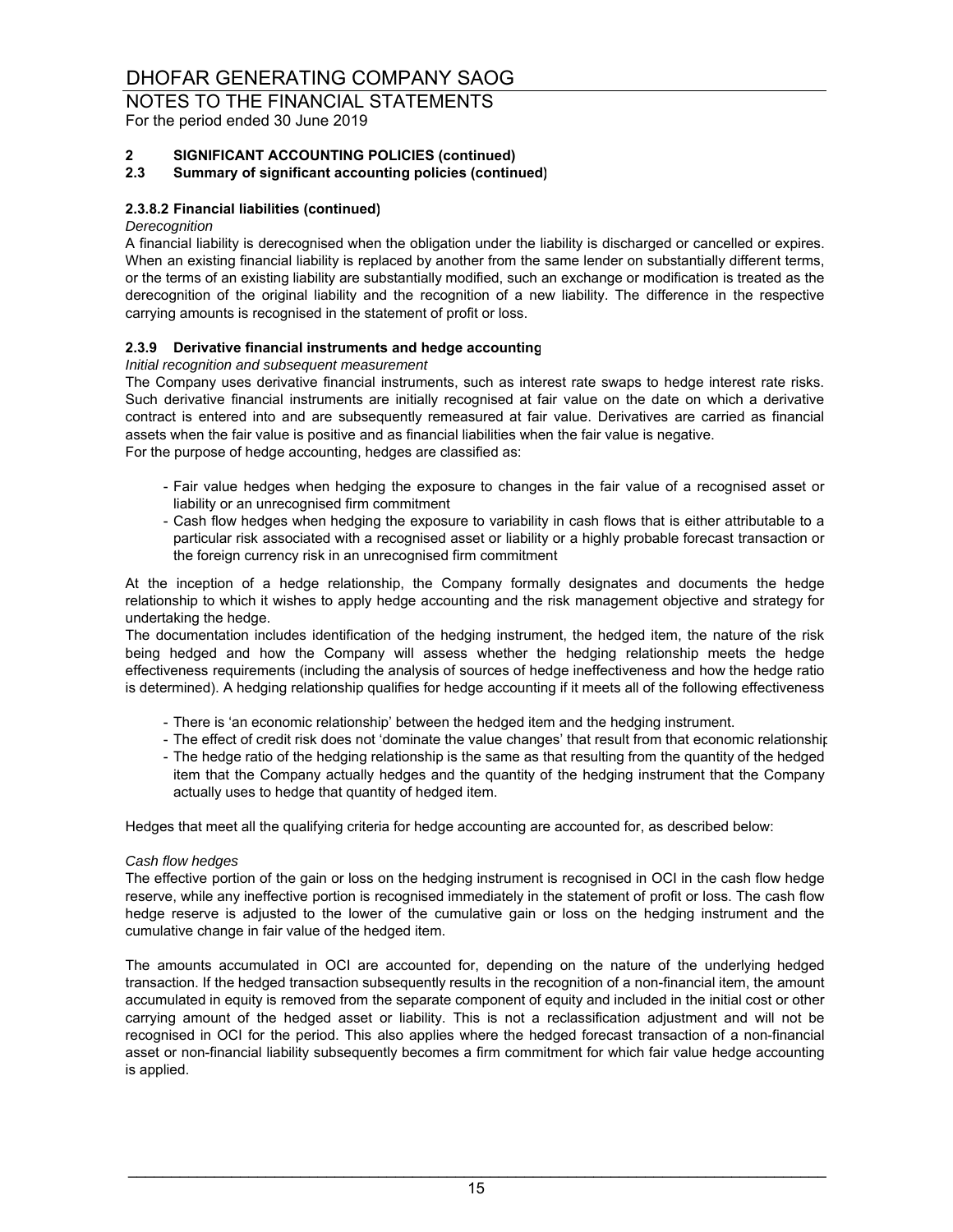For the period ended 30 June 2019

#### **2 SIGNIFICANT ACCOUNTING POLICIES (continued)**

#### **2.3 Summary of significant accounting policies (continued)**

#### **2.3.8.2 Financial liabilities (continued)**

#### *Derecognition*

A financial liability is derecognised when the obligation under the liability is discharged or cancelled or expires. When an existing financial liability is replaced by another from the same lender on substantially different terms, or the terms of an existing liability are substantially modified, such an exchange or modification is treated as the derecognition of the original liability and the recognition of a new liability. The difference in the respective carrying amounts is recognised in the statement of profit or loss.

#### **2.3.9 Derivative financial instruments and hedge accounting**

#### *Initial recognition and subsequent measurement*

For the purpose of hedge accounting, hedges are classified as: The Company uses derivative financial instruments, such as interest rate swaps to hedge interest rate risks. Such derivative financial instruments are initially recognised at fair value on the date on which a derivative contract is entered into and are subsequently remeasured at fair value. Derivatives are carried as financial assets when the fair value is positive and as financial liabilities when the fair value is negative.

- Fair value hedges when hedging the exposure to changes in the fair value of a recognised asset or liability or an unrecognised firm commitment
- Cash flow hedges when hedging the exposure to variability in cash flows that is either attributable to a particular risk associated with a recognised asset or liability or a highly probable forecast transaction or the foreign currency risk in an unrecognised firm commitment

At the inception of a hedge relationship, the Company formally designates and documents the hedge relationship to which it wishes to apply hedge accounting and the risk management objective and strategy for undertaking the hedge.

The documentation includes identification of the hedging instrument, the hedged item, the nature of the risk being hedged and how the Company will assess whether the hedging relationship meets the hedge effectiveness requirements (including the analysis of sources of hedge ineffectiveness and how the hedge ratio is determined). A hedging relationship qualifies for hedge accounting if it meets all of the following effectiveness

- There is 'an economic relationship' between the hedged item and the hedging instrument.
- The effect of credit risk does not 'dominate the value changes' that result from that economic relationship
- The hedge ratio of the hedging relationship is the same as that resulting from the quantity of the hedged item that the Company actually hedges and the quantity of the hedging instrument that the Company actually uses to hedge that quantity of hedged item.

Hedges that meet all the qualifying criteria for hedge accounting are accounted for, as described below:

#### *Cash flow hedges*

The effective portion of the gain or loss on the hedging instrument is recognised in OCI in the cash flow hedge reserve, while any ineffective portion is recognised immediately in the statement of profit or loss. The cash flow hedge reserve is adjusted to the lower of the cumulative gain or loss on the hedging instrument and the cumulative change in fair value of the hedged item.

The amounts accumulated in OCI are accounted for, depending on the nature of the underlying hedged transaction. If the hedged transaction subsequently results in the recognition of a non-financial item, the amount accumulated in equity is removed from the separate component of equity and included in the initial cost or other carrying amount of the hedged asset or liability. This is not a reclassification adjustment and will not be recognised in OCI for the period. This also applies where the hedged forecast transaction of a non-financial asset or non-financial liability subsequently becomes a firm commitment for which fair value hedge accounting is applied.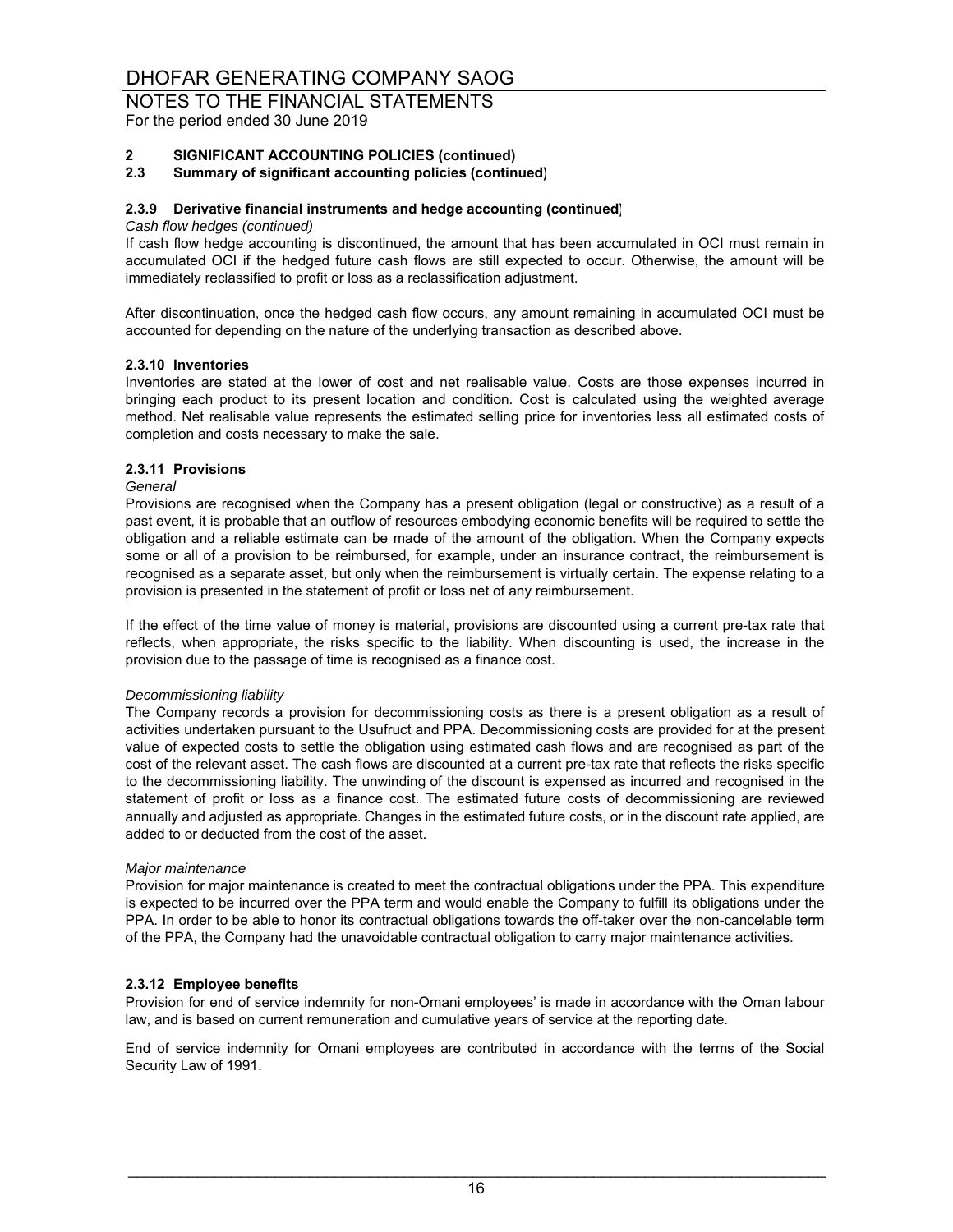## NOTES TO THE FINANCIAL STATEMENTS

For the period ended 30 June 2019

#### **2 SIGNIFICANT ACCOUNTING POLICIES (continued)**

#### **2.3 Summary of significant accounting policies (continued)**

#### **2.3.9 Derivative financial instruments and hedge accounting (continued)**

#### *Cash flow hedges (continued)*

If cash flow hedge accounting is discontinued, the amount that has been accumulated in OCI must remain in accumulated OCI if the hedged future cash flows are still expected to occur. Otherwise, the amount will be immediately reclassified to profit or loss as a reclassification adjustment.

After discontinuation, once the hedged cash flow occurs, any amount remaining in accumulated OCI must be accounted for depending on the nature of the underlying transaction as described above.

#### **2.3.10 Inventories**

Inventories are stated at the lower of cost and net realisable value. Costs are those expenses incurred in bringing each product to its present location and condition. Cost is calculated using the weighted average method. Net realisable value represents the estimated selling price for inventories less all estimated costs of completion and costs necessary to make the sale.

#### **2.3.11 Provisions**

#### *General*

Provisions are recognised when the Company has a present obligation (legal or constructive) as a result of a past event, it is probable that an outflow of resources embodying economic benefits will be required to settle the obligation and a reliable estimate can be made of the amount of the obligation. When the Company expects some or all of a provision to be reimbursed, for example, under an insurance contract, the reimbursement is recognised as a separate asset, but only when the reimbursement is virtually certain. The expense relating to a provision is presented in the statement of profit or loss net of any reimbursement.

If the effect of the time value of money is material, provisions are discounted using a current pre-tax rate that reflects, when appropriate, the risks specific to the liability. When discounting is used, the increase in the provision due to the passage of time is recognised as a finance cost.

#### *Decommissioning liability*

The Company records a provision for decommissioning costs as there is a present obligation as a result of activities undertaken pursuant to the Usufruct and PPA. Decommissioning costs are provided for at the present value of expected costs to settle the obligation using estimated cash flows and are recognised as part of the cost of the relevant asset. The cash flows are discounted at a current pre-tax rate that reflects the risks specific to the decommissioning liability. The unwinding of the discount is expensed as incurred and recognised in the statement of profit or loss as a finance cost. The estimated future costs of decommissioning are reviewed annually and adjusted as appropriate. Changes in the estimated future costs, or in the discount rate applied, are added to or deducted from the cost of the asset.

#### *Major maintenance*

Provision for major maintenance is created to meet the contractual obligations under the PPA. This expenditure is expected to be incurred over the PPA term and would enable the Company to fulfill its obligations under the PPA. In order to be able to honor its contractual obligations towards the off-taker over the non-cancelable term of the PPA, the Company had the unavoidable contractual obligation to carry major maintenance activities.

#### **2.3.12 Employee benefits**

Provision for end of service indemnity for non-Omani employees' is made in accordance with the Oman labour law, and is based on current remuneration and cumulative years of service at the reporting date.

End of service indemnity for Omani employees are contributed in accordance with the terms of the Social Security Law of 1991.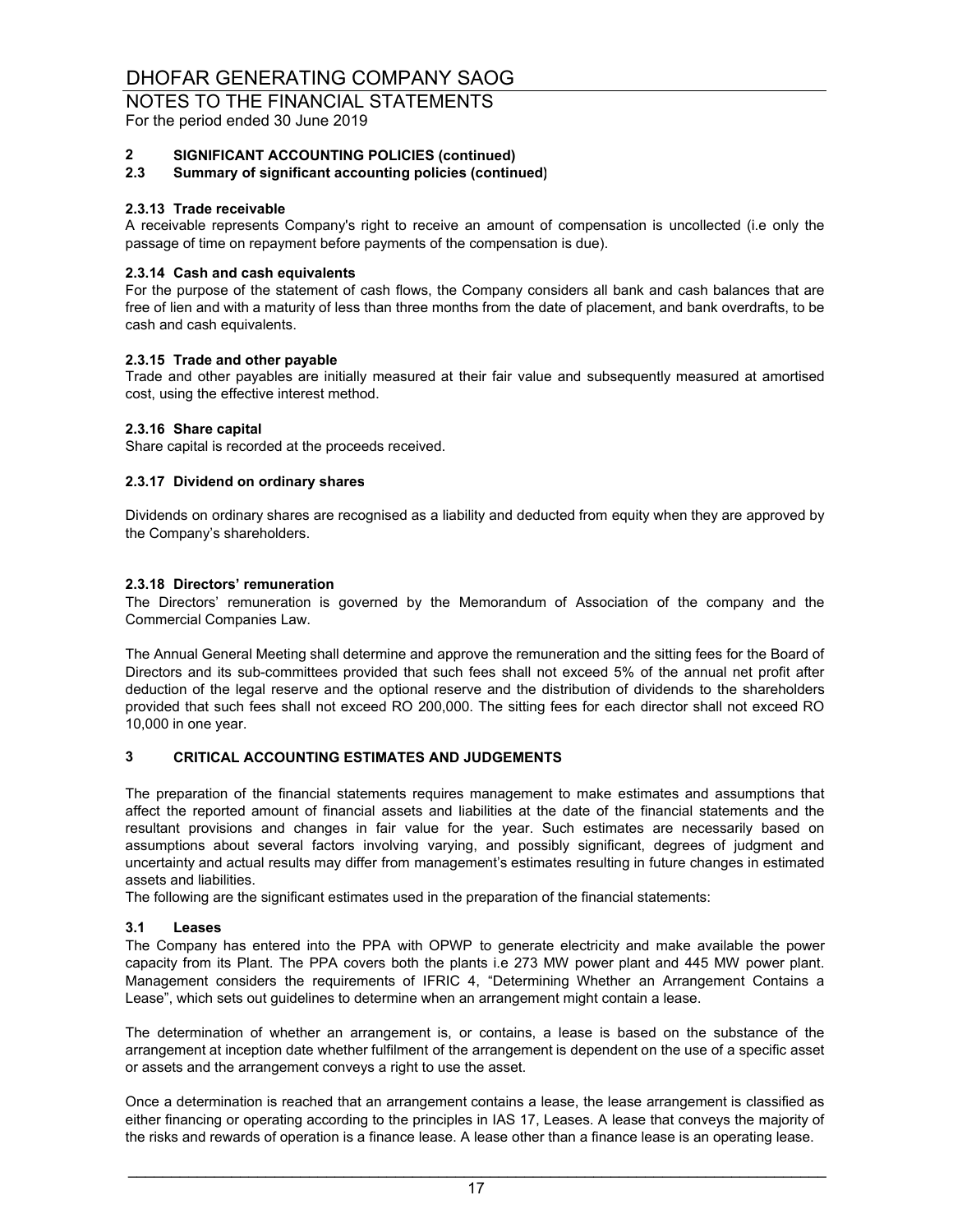For the period ended 30 June 2019

#### **2 SIGNIFICANT ACCOUNTING POLICIES (continued)**

#### **2.3 Summary of significant accounting policies (continued)**

#### **2.3.13 Trade receivable**

A receivable represents Company's right to receive an amount of compensation is uncollected (i.e only the passage of time on repayment before payments of the compensation is due).

#### **2.3.14 Cash and cash equivalents**

For the purpose of the statement of cash flows, the Company considers all bank and cash balances that are free of lien and with a maturity of less than three months from the date of placement, and bank overdrafts, to be cash and cash equivalents.

#### **2.3.15 Trade and other payable**

Trade and other payables are initially measured at their fair value and subsequently measured at amortised cost, using the effective interest method.

#### **2.3.16 Share capital**

Share capital is recorded at the proceeds received.

#### **2.3.17 Dividend on ordinary shares**

Dividends on ordinary shares are recognised as a liability and deducted from equity when they are approved by the Company's shareholders.

#### **2.3.18 Directors' remuneration**

The Directors' remuneration is governed by the Memorandum of Association of the company and the Commercial Companies Law.

The Annual General Meeting shall determine and approve the remuneration and the sitting fees for the Board of Directors and its sub-committees provided that such fees shall not exceed 5% of the annual net profit after deduction of the legal reserve and the optional reserve and the distribution of dividends to the shareholders provided that such fees shall not exceed RO 200,000. The sitting fees for each director shall not exceed RO 10,000 in one year.

### **3 CRITICAL ACCOUNTING ESTIMATES AND JUDGEMENTS**

The preparation of the financial statements requires management to make estimates and assumptions that affect the reported amount of financial assets and liabilities at the date of the financial statements and the resultant provisions and changes in fair value for the year. Such estimates are necessarily based on assumptions about several factors involving varying, and possibly significant, degrees of judgment and uncertainty and actual results may differ from management's estimates resulting in future changes in estimated assets and liabilities.

The following are the significant estimates used in the preparation of the financial statements:

#### **3.1 Leases**

The Company has entered into the PPA with OPWP to generate electricity and make available the power capacity from its Plant. The PPA covers both the plants i.e 273 MW power plant and 445 MW power plant. Management considers the requirements of IFRIC 4, "Determining Whether an Arrangement Contains a Lease", which sets out guidelines to determine when an arrangement might contain a lease.

The determination of whether an arrangement is, or contains, a lease is based on the substance of the arrangement at inception date whether fulfilment of the arrangement is dependent on the use of a specific asset or assets and the arrangement conveys a right to use the asset.

Once a determination is reached that an arrangement contains a lease, the lease arrangement is classified as either financing or operating according to the principles in IAS 17, Leases. A lease that conveys the majority of the risks and rewards of operation is a finance lease. A lease other than a finance lease is an operating lease.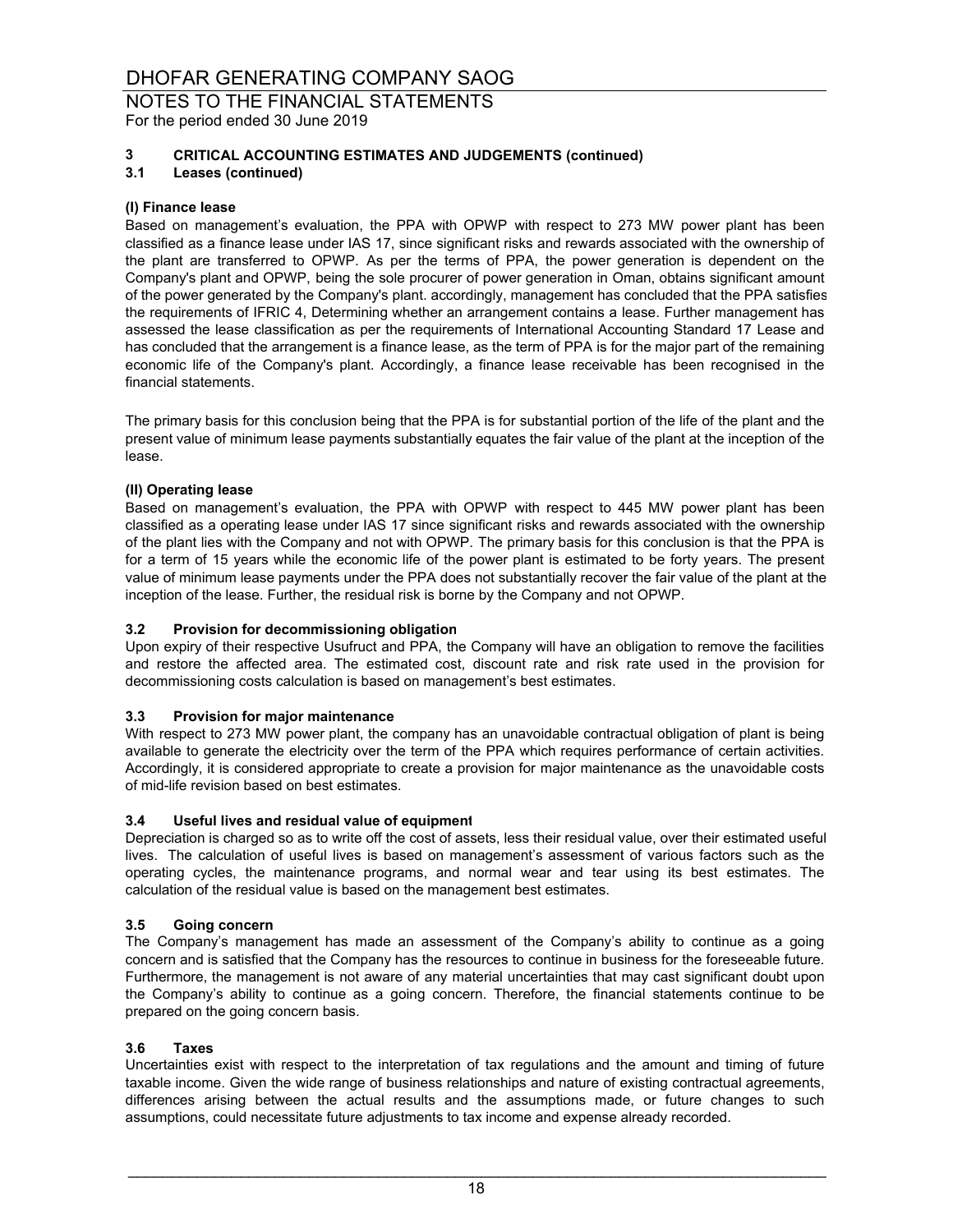For the period ended 30 June 2019

### **3 CRITICAL ACCOUNTING ESTIMATES AND JUDGEMENTS (continued)**

**3.1 Leases (continued)**

#### **(I) Finance lease**

Based on management's evaluation, the PPA with OPWP with respect to 273 MW power plant has been classified as a finance lease under IAS 17, since significant risks and rewards associated with the ownership of the plant are transferred to OPWP. As per the terms of PPA, the power generation is dependent on the Company's plant and OPWP, being the sole procurer of power generation in Oman, obtains significant amount of the power generated by the Company's plant. accordingly, management has concluded that the PPA satisfies the requirements of IFRIC 4, Determining whether an arrangement contains a lease. Further management has assessed the lease classification as per the requirements of International Accounting Standard 17 Lease and has concluded that the arrangement is a finance lease, as the term of PPA is for the major part of the remaining economic life of the Company's plant. Accordingly, a finance lease receivable has been recognised in the financial statements.

The primary basis for this conclusion being that the PPA is for substantial portion of the life of the plant and the present value of minimum lease payments substantially equates the fair value of the plant at the inception of the lease.

#### **(II) Operating lease**

Based on management's evaluation, the PPA with OPWP with respect to 445 MW power plant has been classified as a operating lease under IAS 17 since significant risks and rewards associated with the ownership of the plant lies with the Company and not with OPWP. The primary basis for this conclusion is that the PPA is for a term of 15 years while the economic life of the power plant is estimated to be forty years. The present value of minimum lease payments under the PPA does not substantially recover the fair value of the plant at the inception of the lease. Further, the residual risk is borne by the Company and not OPWP.

#### **3.2 Provision for decommissioning obligation**

Upon expiry of their respective Usufruct and PPA, the Company will have an obligation to remove the facilities and restore the affected area. The estimated cost, discount rate and risk rate used in the provision for decommissioning costs calculation is based on management's best estimates.

#### **3.3 Provision for major maintenance**

With respect to 273 MW power plant, the company has an unavoidable contractual obligation of plant is being available to generate the electricity over the term of the PPA which requires performance of certain activities. Accordingly, it is considered appropriate to create a provision for major maintenance as the unavoidable costs of mid-life revision based on best estimates.

#### **3.4 Useful lives and residual value of equipment**

Depreciation is charged so as to write off the cost of assets, less their residual value, over their estimated useful lives. The calculation of useful lives is based on management's assessment of various factors such as the operating cycles, the maintenance programs, and normal wear and tear using its best estimates. The calculation of the residual value is based on the management best estimates.

#### **3.5 Going concern**

The Company's management has made an assessment of the Company's ability to continue as a going concern and is satisfied that the Company has the resources to continue in business for the foreseeable future. Furthermore, the management is not aware of any material uncertainties that may cast significant doubt upon the Company's ability to continue as a going concern. Therefore, the financial statements continue to be prepared on the going concern basis.

#### **3.6 Taxes**

Uncertainties exist with respect to the interpretation of tax regulations and the amount and timing of future taxable income. Given the wide range of business relationships and nature of existing contractual agreements, differences arising between the actual results and the assumptions made, or future changes to such assumptions, could necessitate future adjustments to tax income and expense already recorded.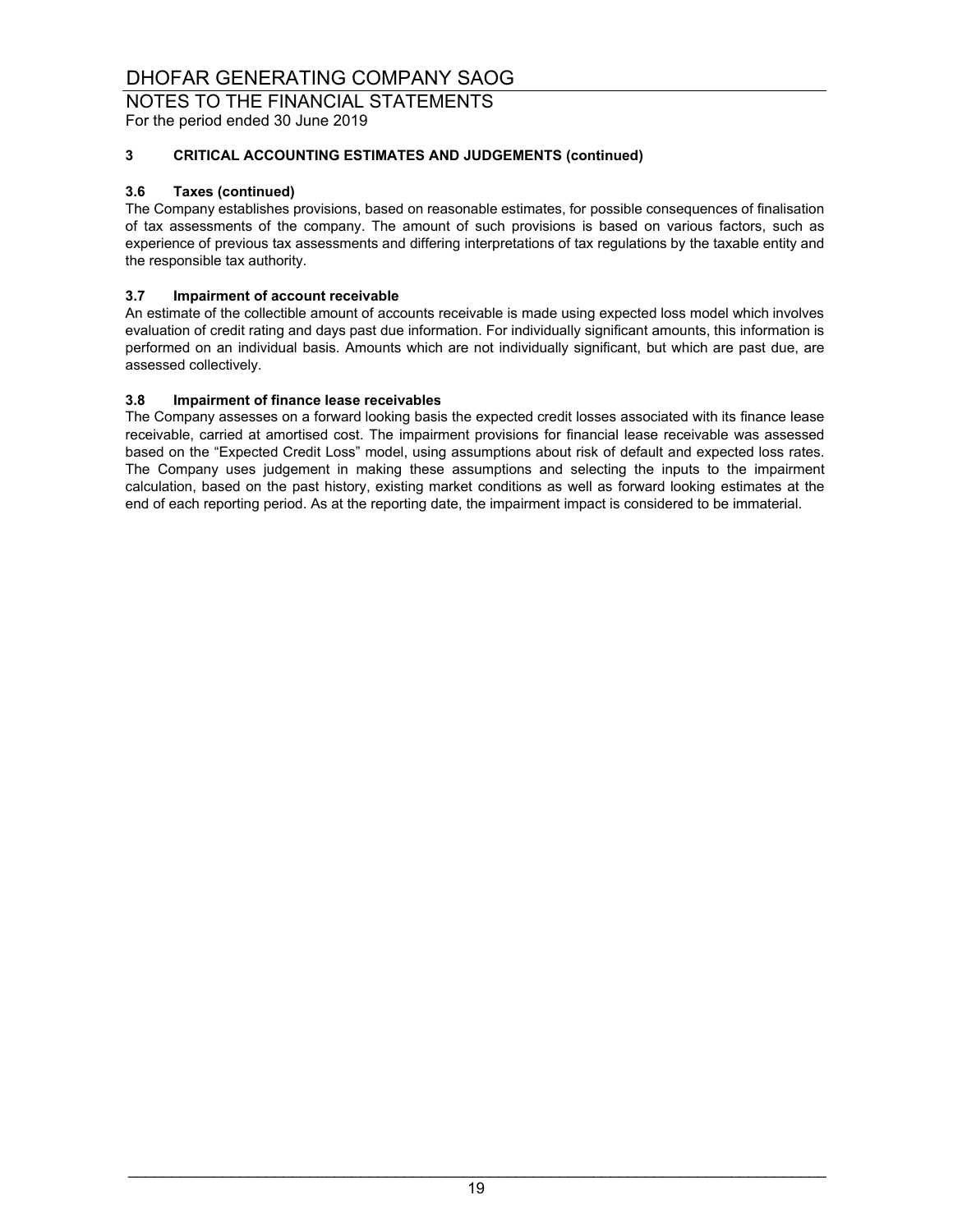### NOTES TO THE FINANCIAL STATEMENTS

For the period ended 30 June 2019

## **3 CRITICAL ACCOUNTING ESTIMATES AND JUDGEMENTS (continued)**

#### **3.6 Taxes (continued)**

The Company establishes provisions, based on reasonable estimates, for possible consequences of finalisation of tax assessments of the company. The amount of such provisions is based on various factors, such as experience of previous tax assessments and differing interpretations of tax regulations by the taxable entity and the responsible tax authority.

### **3.7 Impairment of account receivable**

An estimate of the collectible amount of accounts receivable is made using expected loss model which involves evaluation of credit rating and days past due information. For individually significant amounts, this information is performed on an individual basis. Amounts which are not individually significant, but which are past due, are assessed collectively.

#### **3.8 Impairment of finance lease receivables**

The Company assesses on a forward looking basis the expected credit losses associated with its finance lease receivable, carried at amortised cost. The impairment provisions for financial lease receivable was assessed based on the "Expected Credit Loss" model, using assumptions about risk of default and expected loss rates. The Company uses judgement in making these assumptions and selecting the inputs to the impairment calculation, based on the past history, existing market conditions as well as forward looking estimates at the end of each reporting period. As at the reporting date, the impairment impact is considered to be immaterial.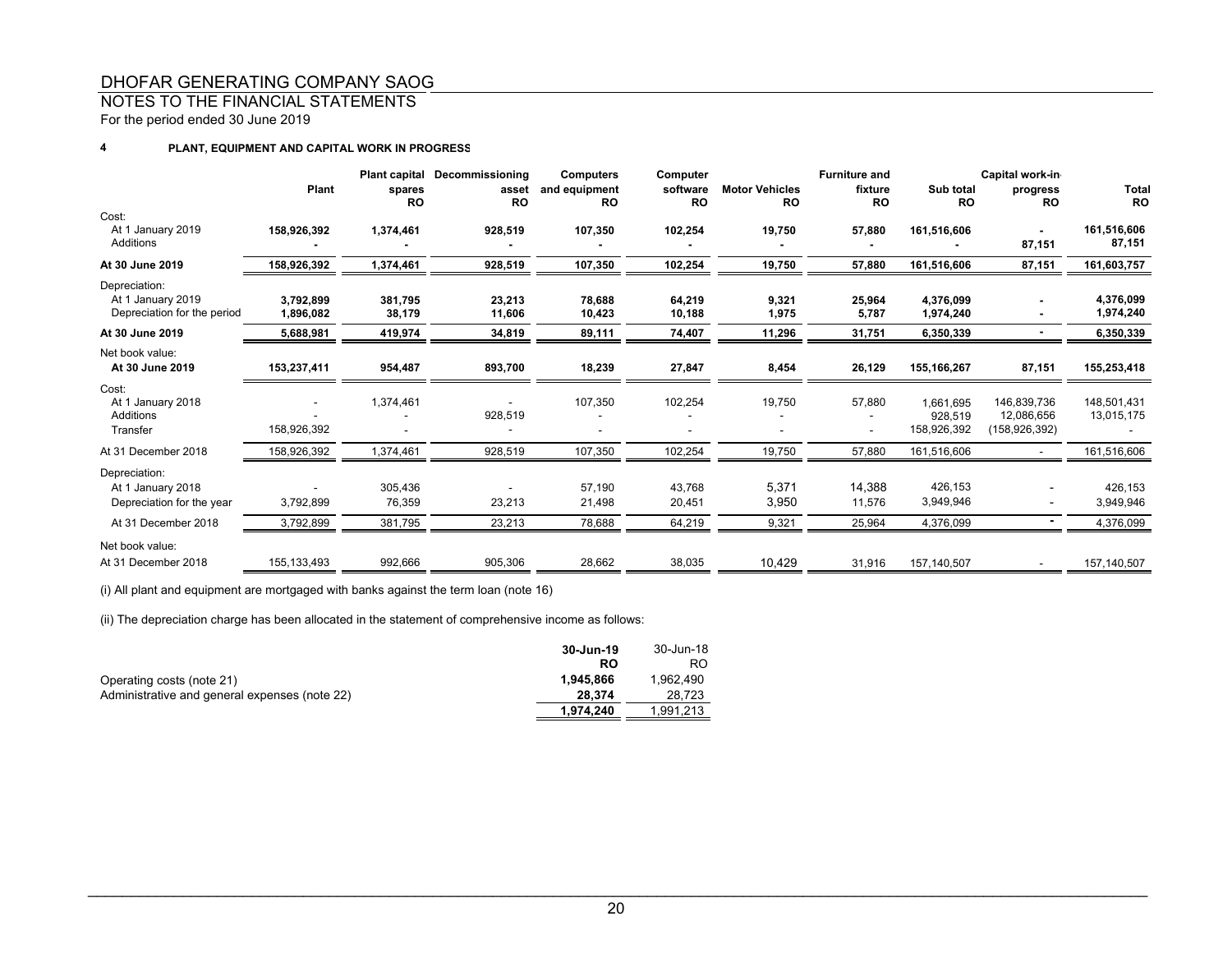## NOTES TO THE FINANCIAL STATEMENTS

For the period ended 30 June 2019

#### **4PLANT, EQUIPMENT AND CAPITAL WORK IN PROGRESS**

|                                                                   | Plant                  | spares<br><b>RO</b> | Plant capital Decommissioning<br>asset<br><b>RO</b> | <b>Computers</b><br>and equipment<br><b>RO</b> | Computer<br>software<br><b>RO</b> | <b>Motor Vehicles</b><br><b>RO</b> | <b>Furniture and</b><br>fixture<br><b>RO</b> | Sub total<br><b>RO</b>              | Capital work-in<br>progress<br><b>RO</b>   | Total<br><b>RO</b>        |
|-------------------------------------------------------------------|------------------------|---------------------|-----------------------------------------------------|------------------------------------------------|-----------------------------------|------------------------------------|----------------------------------------------|-------------------------------------|--------------------------------------------|---------------------------|
| Cost:<br>At 1 January 2019<br>Additions                           | 158,926,392            | 1,374,461           | 928,519                                             | 107,350                                        | 102,254                           | 19,750                             | 57,880                                       | 161,516,606                         | 87,151                                     | 161,516,606<br>87,151     |
| At 30 June 2019                                                   | 158,926,392            | 1,374,461           | 928,519                                             | 107,350                                        | 102,254                           | 19,750                             | 57,880                                       | 161,516,606                         | 87,151                                     | 161,603,757               |
| Depreciation:<br>At 1 January 2019<br>Depreciation for the period | 3.792.899<br>1,896,082 | 381.795<br>38,179   | 23,213<br>11,606                                    | 78,688<br>10,423                               | 64.219<br>10,188                  | 9,321<br>1,975                     | 25,964<br>5,787                              | 4.376.099<br>1,974,240              |                                            | 4,376,099<br>1,974,240    |
| At 30 June 2019                                                   | 5,688,981              | 419,974             | 34,819                                              | 89,111                                         | 74,407                            | 11,296                             | 31,751                                       | 6,350,339                           |                                            | 6,350,339                 |
| Net book value:<br>At 30 June 2019                                | 153,237,411            | 954,487             | 893,700                                             | 18,239                                         | 27,847                            | 8,454                              | 26,129                                       | 155,166,267                         | 87,151                                     | 155,253,418               |
| Cost:<br>At 1 January 2018<br>Additions<br>Transfer               | 158,926,392            | 1,374,461           | 928,519                                             | 107,350                                        | 102,254                           | 19,750                             | 57,880                                       | 1.661.695<br>928.519<br>158,926,392 | 146,839,736<br>12,086,656<br>(158,926,392) | 148,501,431<br>13,015,175 |
| At 31 December 2018                                               | 158,926,392            | 1,374,461           | 928,519                                             | 107,350                                        | 102,254                           | 19,750                             | 57,880                                       | 161,516,606                         |                                            | 161,516,606               |
| Depreciation:<br>At 1 January 2018<br>Depreciation for the year   | 3,792,899              | 305,436<br>76,359   | 23,213                                              | 57,190<br>21,498                               | 43,768<br>20,451                  | 5,371<br>3,950                     | 14,388<br>11,576                             | 426,153<br>3,949,946                |                                            | 426,153<br>3,949,946      |
| At 31 December 2018                                               | 3,792,899              | 381,795             | 23,213                                              | 78,688                                         | 64,219                            | 9,321                              | 25,964                                       | 4,376,099                           |                                            | 4,376,099                 |
| Net book value:<br>At 31 December 2018                            | 155, 133, 493          | 992,666             | 905,306                                             | 28,662                                         | 38,035                            | 10,429                             | 31,916                                       | 157,140,507                         |                                            | 157,140,507               |

(i) All plant and equipment are mortgaged with banks against the term loan (note 16)

(ii) The depreciation charge has been allocated in the statement of comprehensive income as follows:

|                                               | 30-Jun-19 | 30-Jun-18 |
|-----------------------------------------------|-----------|-----------|
|                                               | RO        | RO.       |
| Operating costs (note 21)                     | 1.945.866 | 1.962.490 |
| Administrative and general expenses (note 22) | 28.374    | 28.723    |
|                                               | 1.974.240 | 1.991.213 |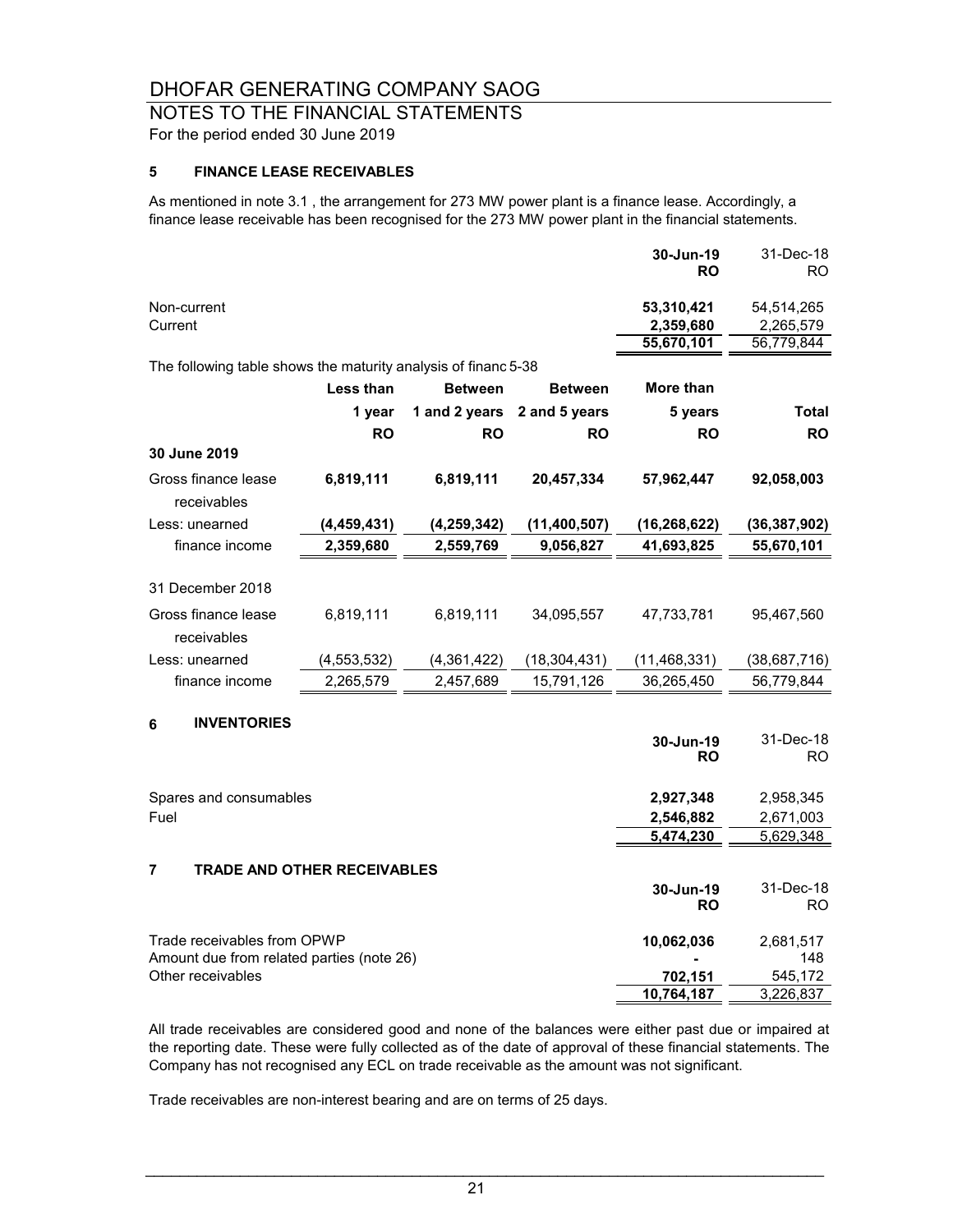# NOTES TO THE FINANCIAL STATEMENTS

For the period ended 30 June 2019

## **5 FINANCE LEASE RECEIVABLES**

As mentioned in note 3.1 , the arrangement for 273 MW power plant is a finance lease. Accordingly, a finance lease receivable has been recognised for the 273 MW power plant in the financial statements.

|                                                                |               |                |                | 30-Jun-19<br>RO         | 31-Dec-18<br>RO.        |
|----------------------------------------------------------------|---------------|----------------|----------------|-------------------------|-------------------------|
| Non-current<br>Current                                         |               |                |                | 53,310,421<br>2,359,680 | 54,514,265<br>2,265,579 |
|                                                                |               |                |                | 55,670,101              | 56,779,844              |
| The following table shows the maturity analysis of financ 5-38 |               |                |                |                         |                         |
|                                                                | Less than     | <b>Between</b> | <b>Between</b> | More than               |                         |
|                                                                | 1 year        | 1 and 2 years  | 2 and 5 years  | 5 years                 | Total                   |
|                                                                | <b>RO</b>     | <b>RO</b>      | <b>RO</b>      | <b>RO</b>               | <b>RO</b>               |
| 30 June 2019                                                   |               |                |                |                         |                         |
| Gross finance lease<br>receivables                             | 6,819,111     | 6,819,111      | 20,457,334     | 57,962,447              | 92,058,003              |
| Less: unearned                                                 | (4, 459, 431) | (4, 259, 342)  | (11,400,507)   | (16, 268, 622)          | (36, 387, 902)          |
| finance income                                                 | 2,359,680     | 2,559,769      | 9,056,827      | 41,693,825              | 55,670,101              |
|                                                                |               |                |                |                         |                         |
| 31 December 2018                                               |               |                |                |                         |                         |
| Gross finance lease                                            | 6,819,111     | 6,819,111      | 34,095,557     | 47,733,781              | 95,467,560              |
| receivables                                                    |               |                |                |                         |                         |
| Less: unearned                                                 | (4,553,532)   | (4,361,422)    | (18, 304, 431) | (11, 468, 331)          | (38,687,716)            |
| finance income                                                 | 2,265,579     | 2,457,689      | 15,791,126     | 36,265,450              | 56,779,844              |
|                                                                |               |                |                |                         |                         |
| <b>INVENTORIES</b><br>6                                        |               |                |                |                         | 31-Dec-18               |
|                                                                |               |                |                | 30-Jun-19<br><b>RO</b>  | RO.                     |
|                                                                |               |                |                |                         |                         |
| Spares and consumables                                         |               |                |                | 2,927,348               | 2,958,345               |
| Fuel                                                           |               |                |                | 2,546,882               | 2,671,003               |
|                                                                |               |                |                | 5,474,230               | 5,629,348               |
|                                                                |               |                |                |                         |                         |
| 7<br><b>TRADE AND OTHER RECEIVABLES</b>                        |               |                |                | 30-Jun-19               | 31-Dec-18               |
|                                                                |               |                |                | <b>RO</b>               | RO.                     |
|                                                                |               |                |                |                         |                         |
| Trade receivables from OPWP                                    |               |                |                | 10,062,036              | 2,681,517               |
| Amount due from related parties (note 26)                      |               |                |                |                         | 148                     |
| Other receivables                                              |               |                |                | 702,151<br>10,764,187   | 545,172                 |
|                                                                |               |                |                |                         | 3,226,837               |

All trade receivables are considered good and none of the balances were either past due or impaired at the reporting date. These were fully collected as of the date of approval of these financial statements. The Company has not recognised any ECL on trade receivable as the amount was not significant.

Trade receivables are non-interest bearing and are on terms of 25 days.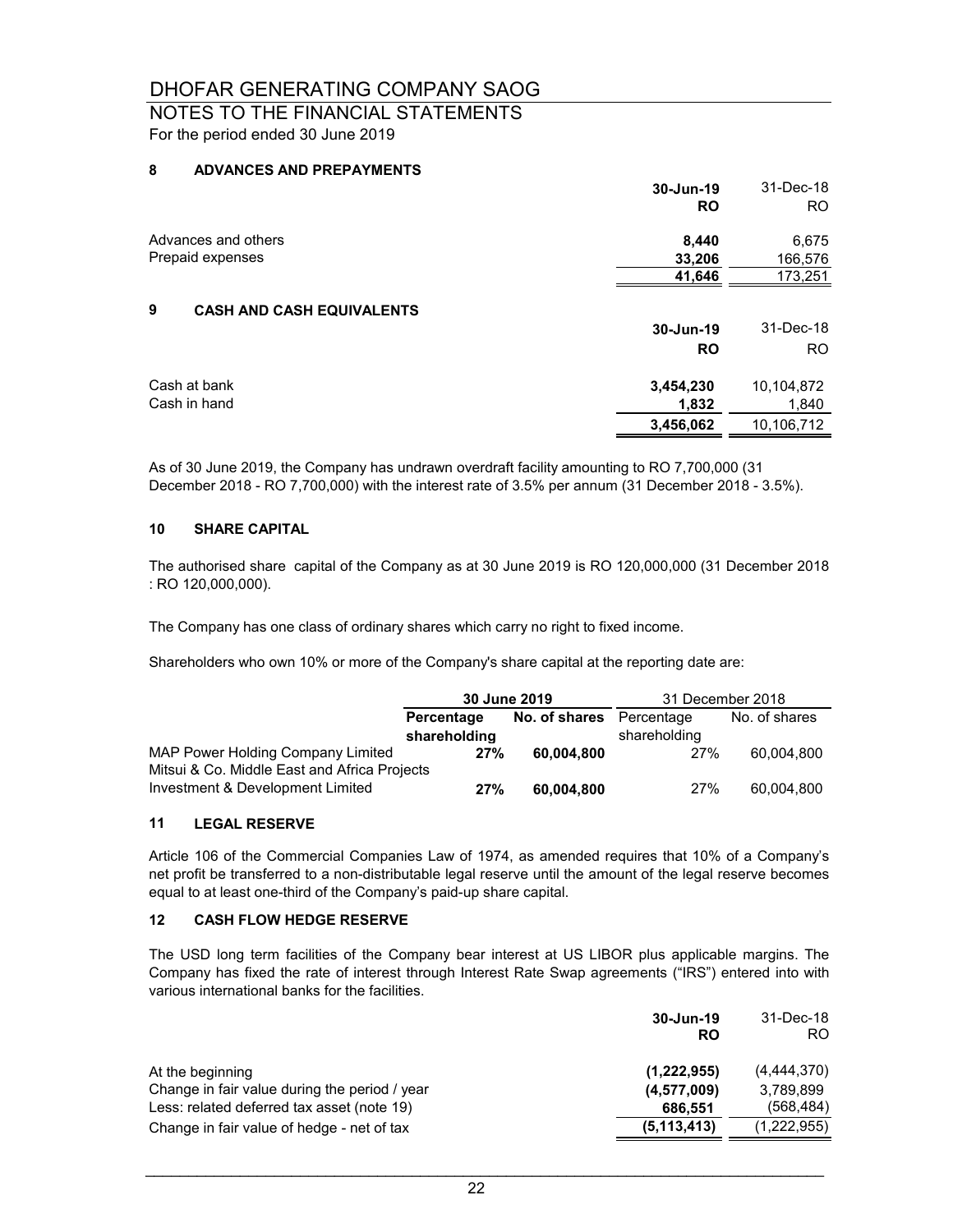## NOTES TO THE FINANCIAL STATEMENTS For the period ended 30 June 2019

### **8 ADVANCES AND PREPAYMENTS**

|                                       | 30-Jun-19<br><b>RO</b> | 31-Dec-18<br>RO. |
|---------------------------------------|------------------------|------------------|
| Advances and others                   | 8,440                  | 6,675            |
| Prepaid expenses                      | 33,206                 | 166,576          |
|                                       | 41,646                 | 173,251          |
| 9<br><b>CASH AND CASH EQUIVALENTS</b> |                        |                  |
|                                       | 30-Jun-19              | 31-Dec-18        |
|                                       | <b>RO</b>              | <b>RO</b>        |
| Cash at bank                          | 3,454,230              | 10,104,872       |
| Cash in hand                          | 1,832                  | 1,840            |
|                                       | 3,456,062              | 10,106,712       |

As of 30 June 2019, the Company has undrawn overdraft facility amounting to RO 7,700,000 (31 December 2018 - RO 7,700,000) with the interest rate of 3.5% per annum (31 December 2018 - 3.5%).

#### **10 SHARE CAPITAL**

The authorised share capital of the Company as at 30 June 2019 is RO 120,000,000 (31 December 2018 : RO 120,000,000).

The Company has one class of ordinary shares which carry no right to fixed income.

Shareholders who own 10% or more of the Company's share capital at the reporting date are:

|                                              | 30 June 2019 |                          | 31 December 2018 |               |
|----------------------------------------------|--------------|--------------------------|------------------|---------------|
|                                              | Percentage   | No. of shares Percentage |                  | No. of shares |
|                                              | shareholding |                          | shareholding     |               |
| MAP Power Holding Company Limited            | 27%          | 60.004.800               | 27%              | 60.004.800    |
| Mitsui & Co. Middle East and Africa Projects |              |                          |                  |               |
| Investment & Development Limited             | 27%          | 60,004,800               | 27%              | 60.004.800    |

### **11 LEGAL RESERVE**

Article 106 of the Commercial Companies Law of 1974, as amended requires that 10% of a Company's net profit be transferred to a non-distributable legal reserve until the amount of the legal reserve becomes equal to at least one-third of the Company's paid-up share capital.

#### **12 CASH FLOW HEDGE RESERVE**

The USD long term facilities of the Company bear interest at US LIBOR plus applicable margins. The Company has fixed the rate of interest through Interest Rate Swap agreements ("IRS") entered into with various international banks for the facilities.

|                                               | 30-Jun-19<br>RO | 31-Dec-18<br>RO. |
|-----------------------------------------------|-----------------|------------------|
| At the beginning                              | (1,222,955)     | (4,444,370)      |
| Change in fair value during the period / year | (4,577,009)     | 3,789,899        |
| Less: related deferred tax asset (note 19)    | 686,551         | (568, 484)       |
| Change in fair value of hedge - net of tax    | (5, 113, 413)   | (1,222,955)      |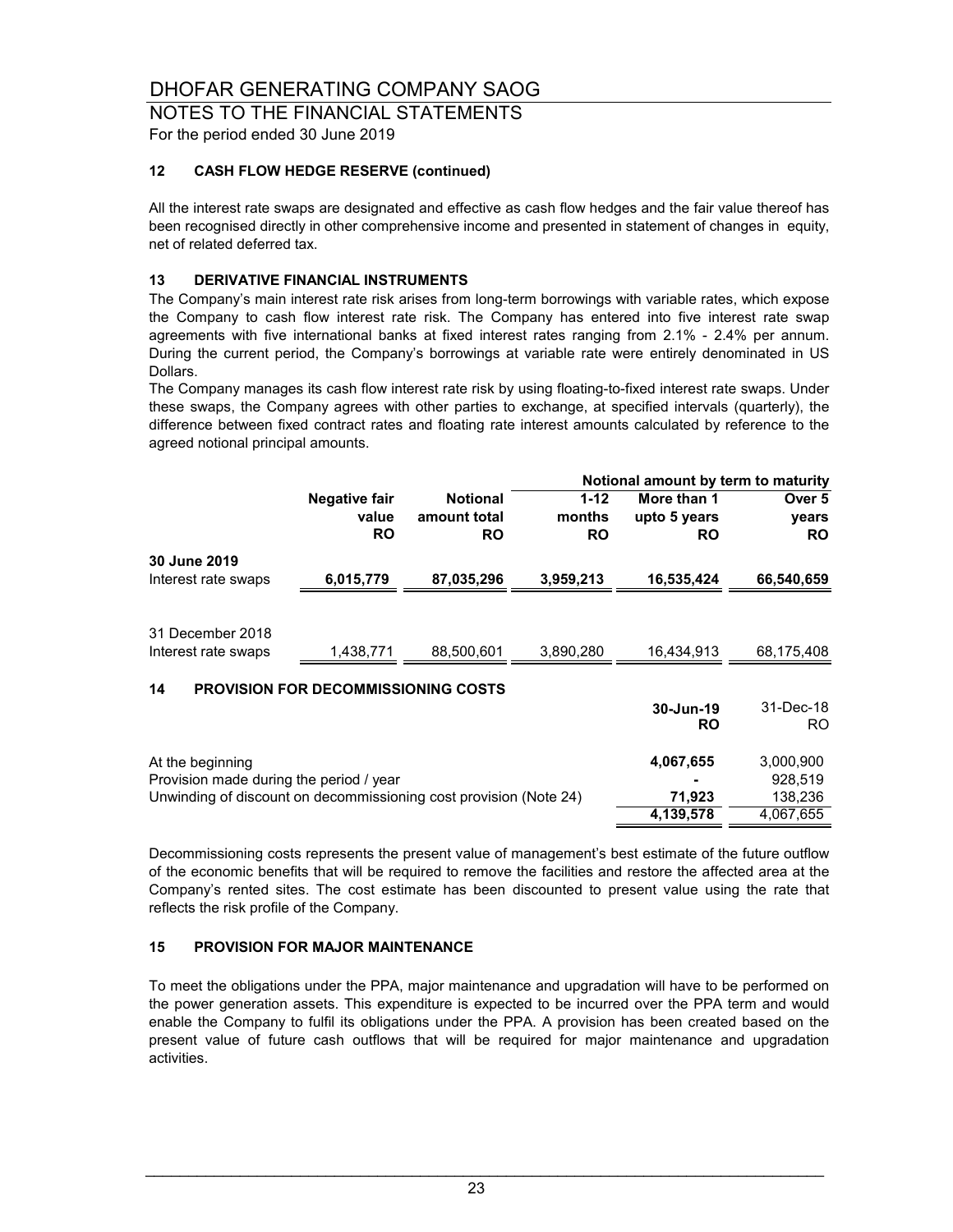### NOTES TO THE FINANCIAL STATEMENTS For the period ended 30 June 2019

## **12 CASH FLOW HEDGE RESERVE (continued)**

All the interest rate swaps are designated and effective as cash flow hedges and the fair value thereof has been recognised directly in other comprehensive income and presented in statement of changes in equity, net of related deferred tax.

### **13 DERIVATIVE FINANCIAL INSTRUMENTS**

The Company's main interest rate risk arises from long-term borrowings with variable rates, which expose the Company to cash flow interest rate risk. The Company has entered into five interest rate swap agreements with five international banks at fixed interest rates ranging from 2.1% - 2.4% per annum. During the current period, the Company's borrowings at variable rate were entirely denominated in US Dollars.

The Company manages its cash flow interest rate risk by using floating-to-fixed interest rate swaps. Under these swaps, the Company agrees with other parties to exchange, at specified intervals (quarterly), the difference between fixed contract rates and floating rate interest amounts calculated by reference to the agreed notional principal amounts.

|                                                                   |                                            |                 |           | Notional amount by term to maturity |            |  |
|-------------------------------------------------------------------|--------------------------------------------|-----------------|-----------|-------------------------------------|------------|--|
|                                                                   | <b>Negative fair</b>                       | <b>Notional</b> | $1 - 12$  | More than 1                         | Over 5     |  |
|                                                                   | value                                      | amount total    | months    | upto 5 years                        | years      |  |
|                                                                   | <b>RO</b>                                  | <b>RO</b>       | <b>RO</b> | <b>RO</b>                           | <b>RO</b>  |  |
| 30 June 2019                                                      |                                            |                 |           |                                     |            |  |
| Interest rate swaps                                               | 6,015,779                                  | 87,035,296      | 3,959,213 | 16,535,424                          | 66,540,659 |  |
|                                                                   |                                            |                 |           |                                     |            |  |
| 31 December 2018                                                  |                                            |                 |           |                                     |            |  |
| Interest rate swaps                                               | 1.438.771                                  | 88.500.601      | 3.890.280 | 16.434.913                          | 68,175,408 |  |
|                                                                   |                                            |                 |           |                                     |            |  |
| 14                                                                | <b>PROVISION FOR DECOMMISSIONING COSTS</b> |                 |           |                                     |            |  |
|                                                                   |                                            |                 |           | 30-Jun-19                           | 31-Dec-18  |  |
|                                                                   |                                            |                 |           | <b>RO</b>                           | RO.        |  |
| At the beginning                                                  |                                            |                 |           | 4,067,655                           | 3,000,900  |  |
| Provision made during the period / year                           |                                            |                 |           |                                     | 928,519    |  |
| Unwinding of discount on decommissioning cost provision (Note 24) |                                            |                 |           | 71,923                              | 138,236    |  |
|                                                                   |                                            |                 |           | 4,139,578                           | 4,067,655  |  |

Decommissioning costs represents the present value of management's best estimate of the future outflow of the economic benefits that will be required to remove the facilities and restore the affected area at the Company's rented sites. The cost estimate has been discounted to present value using the rate that reflects the risk profile of the Company.

#### **15 PROVISION FOR MAJOR MAINTENANCE**

To meet the obligations under the PPA, major maintenance and upgradation will have to be performed on the power generation assets. This expenditure is expected to be incurred over the PPA term and would enable the Company to fulfil its obligations under the PPA. A provision has been created based on the present value of future cash outflows that will be required for major maintenance and upgradation activities.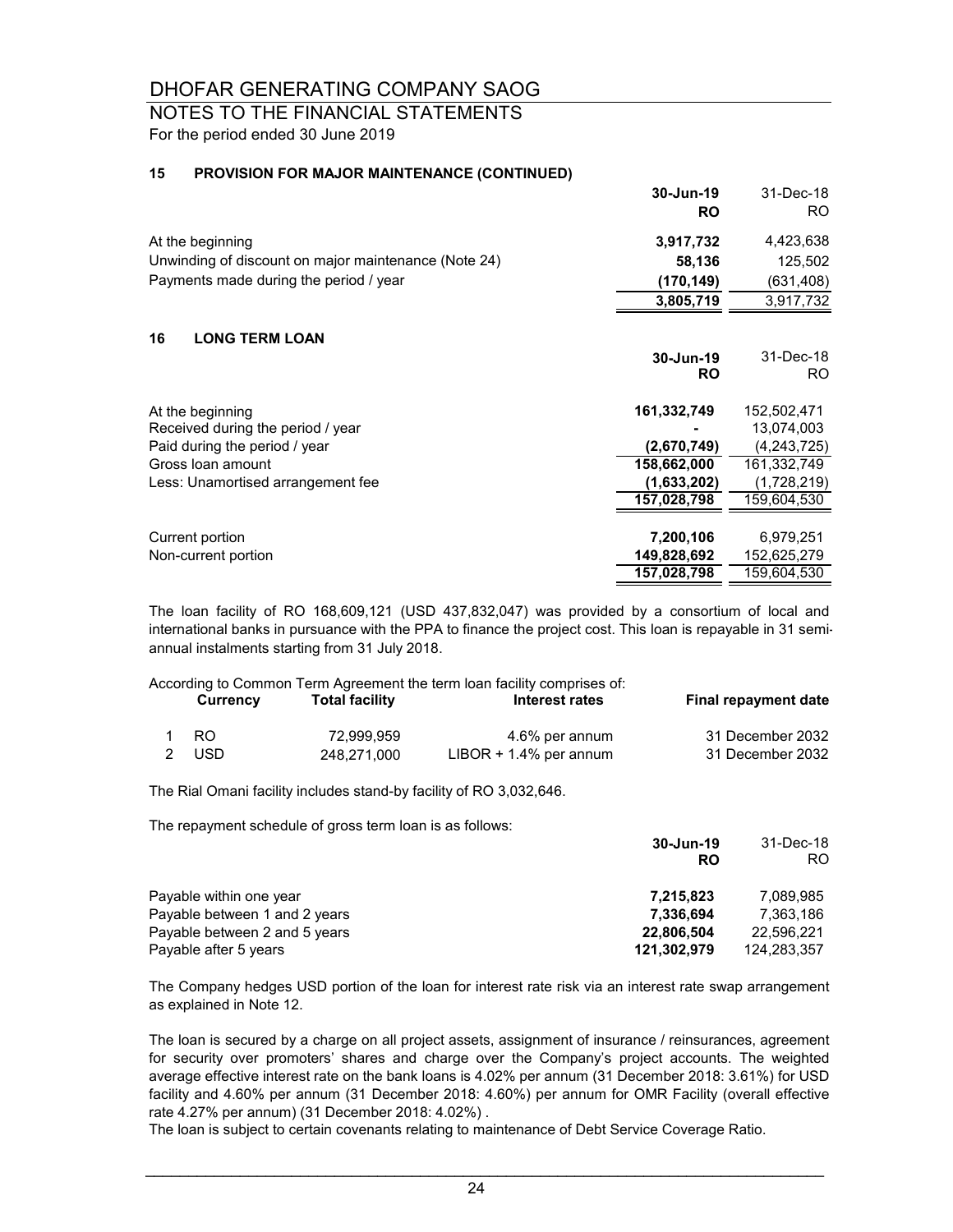# NOTES TO THE FINANCIAL STATEMENTS

For the period ended 30 June 2019

### **15 PROVISION FOR MAJOR MAINTENANCE (CONTINUED)**

|                                                      | 30-Jun-19<br><b>RO</b> | 31-Dec-18<br>RO. |
|------------------------------------------------------|------------------------|------------------|
| At the beginning                                     | 3,917,732              | 4,423,638        |
| Unwinding of discount on major maintenance (Note 24) | 58,136                 | 125,502          |
| Payments made during the period / year               | (170, 149)             | (631,408)        |
|                                                      | 3,805,719              | 3,917,732        |
| 16<br><b>LONG TERM LOAN</b>                          |                        |                  |
|                                                      | 30-Jun-19<br><b>RO</b> | 31-Dec-18<br>RO. |
| At the beginning                                     | 161,332,749            | 152,502,471      |
| Received during the period / year                    |                        | 13,074,003       |
| Paid during the period / year                        | (2,670,749)            | (4,243,725)      |
| Gross loan amount                                    | 158,662,000            | 161,332,749      |
| Less: Unamortised arrangement fee                    | (1,633,202)            | (1,728,219)      |
|                                                      | 157,028,798            | 159,604,530      |
|                                                      |                        |                  |
| Current portion                                      | 7,200,106              | 6,979,251        |
| Non-current portion                                  | 149,828,692            | 152,625,279      |
|                                                      | 157,028,798            | 159,604,530      |

The loan facility of RO 168,609,121 (USD 437,832,047) was provided by a consortium of local and international banks in pursuance with the PPA to finance the project cost. This loan is repayable in 31 semiannual instalments starting from 31 July 2018.

According to Common Term Agreement the term loan facility comprises of:<br>Currenover Total facility

| Currency | <b>Total facility</b> | Interest rates            | <b>Final repayment date</b> |
|----------|-----------------------|---------------------------|-----------------------------|
| -RO      | 72.999.959            | 4.6% per annum            | 31 December 2032            |
| 2 USD    | 248.271.000           | $LIBOR + 1.4\%$ per annum | 31 December 2032            |

The Rial Omani facility includes stand-by facility of RO 3,032,646.

The repayment schedule of gross term loan is as follows:

|                               | 30-Jun-19   | 31-Dec-18   |
|-------------------------------|-------------|-------------|
|                               | <b>RO</b>   | RO          |
| Payable within one year       | 7,215,823   | 7.089.985   |
| Payable between 1 and 2 years | 7.336.694   | 7.363.186   |
| Payable between 2 and 5 years | 22.806.504  | 22,596,221  |
| Payable after 5 years         | 121,302,979 | 124,283,357 |

The Company hedges USD portion of the loan for interest rate risk via an interest rate swap arrangement as explained in Note 12.

The loan is secured by a charge on all project assets, assignment of insurance / reinsurances, agreement for security over promoters' shares and charge over the Company's project accounts. The weighted average effective interest rate on the bank loans is 4.02% per annum (31 December 2018: 3.61%) for USD facility and 4.60% per annum (31 December 2018: 4.60%) per annum for OMR Facility (overall effective rate 4.27% per annum) (31 December 2018: 4.02%) .

The loan is subject to certain covenants relating to maintenance of Debt Service Coverage Ratio.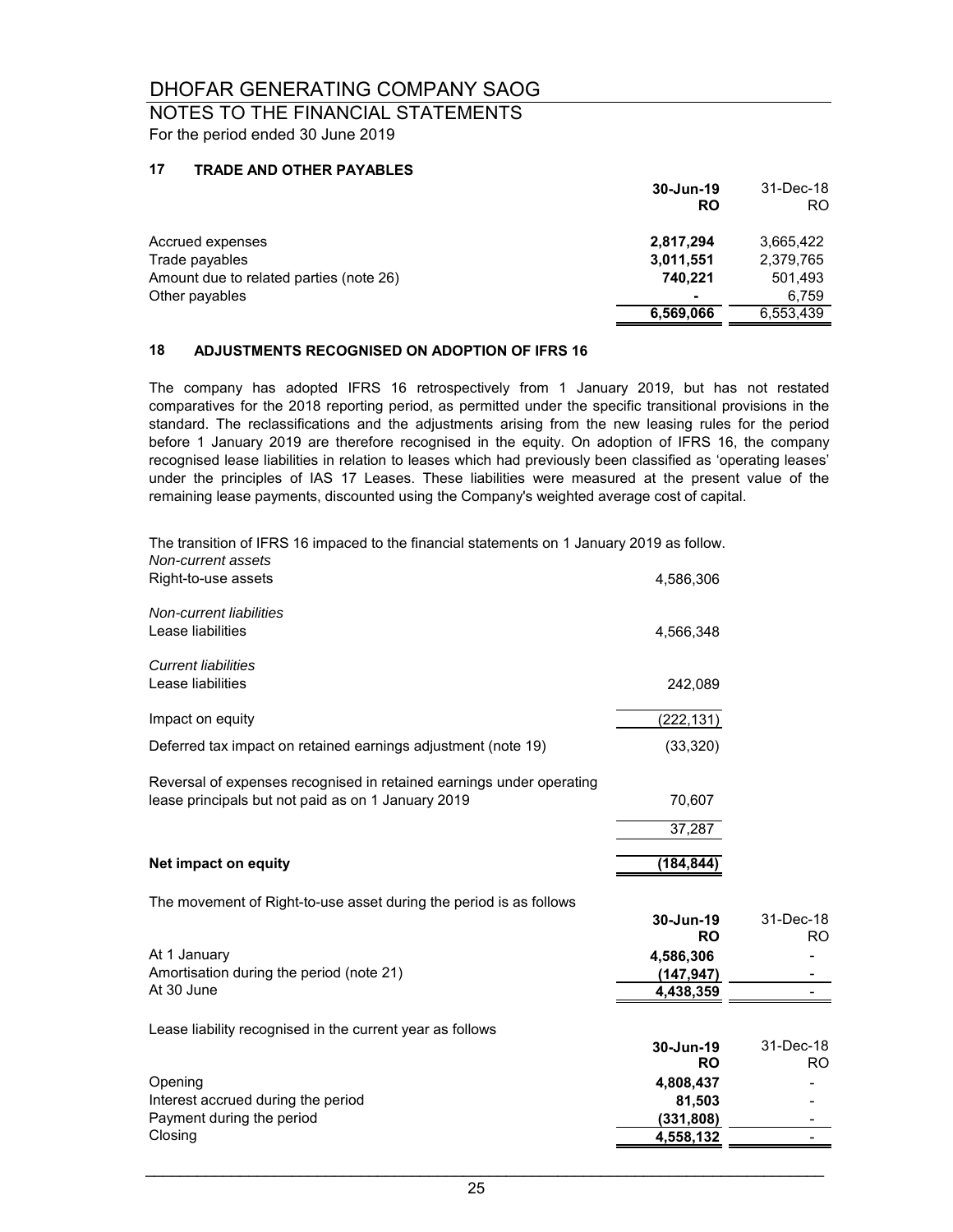NOTES TO THE FINANCIAL STATEMENTS For the period ended 30 June 2019

### **17 TRADE AND OTHER PAYABLES**

|                                         | 30-Jun-19<br><b>RO</b> | 31-Dec-18<br>RO. |
|-----------------------------------------|------------------------|------------------|
| Accrued expenses                        | 2,817,294              | 3,665,422        |
| Trade payables                          | 3,011,551              | 2,379,765        |
| Amount due to related parties (note 26) | 740.221                | 501,493          |
| Other payables                          | ۰                      | 6.759            |
|                                         | 6,569,066              | 6,553,439        |

### **18 ADJUSTMENTS RECOGNISED ON ADOPTION OF IFRS 16**

The company has adopted IFRS 16 retrospectively from 1 January 2019, but has not restated comparatives for the 2018 reporting period, as permitted under the specific transitional provisions in the standard. The reclassifications and the adjustments arising from the new leasing rules for the period before 1 January 2019 are therefore recognised in the equity. On adoption of IFRS 16, the company recognised lease liabilities in relation to leases which had previously been classified as 'operating leases' under the principles of IAS 17 Leases. These liabilities were measured at the present value of the remaining lease payments, discounted using the Company's weighted average cost of capital.

| The transition of IFRS 16 impaced to the financial statements on 1 January 2019 as follow.<br>Non-current assets |                        |                  |
|------------------------------------------------------------------------------------------------------------------|------------------------|------------------|
| Right-to-use assets                                                                                              | 4,586,306              |                  |
| Non-current liabilities                                                                                          |                        |                  |
| Lease liabilities                                                                                                | 4,566,348              |                  |
| <b>Current liabilities</b>                                                                                       |                        |                  |
| Lease liabilities                                                                                                | 242,089                |                  |
| Impact on equity                                                                                                 | (222, 131)             |                  |
| Deferred tax impact on retained earnings adjustment (note 19)                                                    | (33, 320)              |                  |
| Reversal of expenses recognised in retained earnings under operating                                             |                        |                  |
| lease principals but not paid as on 1 January 2019                                                               | 70,607                 |                  |
|                                                                                                                  | 37,287                 |                  |
| Net impact on equity                                                                                             | (184, 844)             |                  |
| The movement of Right-to-use asset during the period is as follows                                               |                        |                  |
|                                                                                                                  | 30-Jun-19<br><b>RO</b> | 31-Dec-18<br>RO. |
| At 1 January                                                                                                     | 4,586,306              |                  |
| Amortisation during the period (note 21)                                                                         | (147, 947)             |                  |
| At 30 June                                                                                                       | 4,438,359              |                  |
| Lease liability recognised in the current year as follows                                                        |                        |                  |
|                                                                                                                  | 30-Jun-19<br><b>RO</b> | 31-Dec-18<br>RO. |
| Opening                                                                                                          | 4,808,437              |                  |
| Interest accrued during the period                                                                               | 81,503                 |                  |
| Payment during the period                                                                                        | (331, 808)             |                  |
| Closing                                                                                                          | 4,558,132              |                  |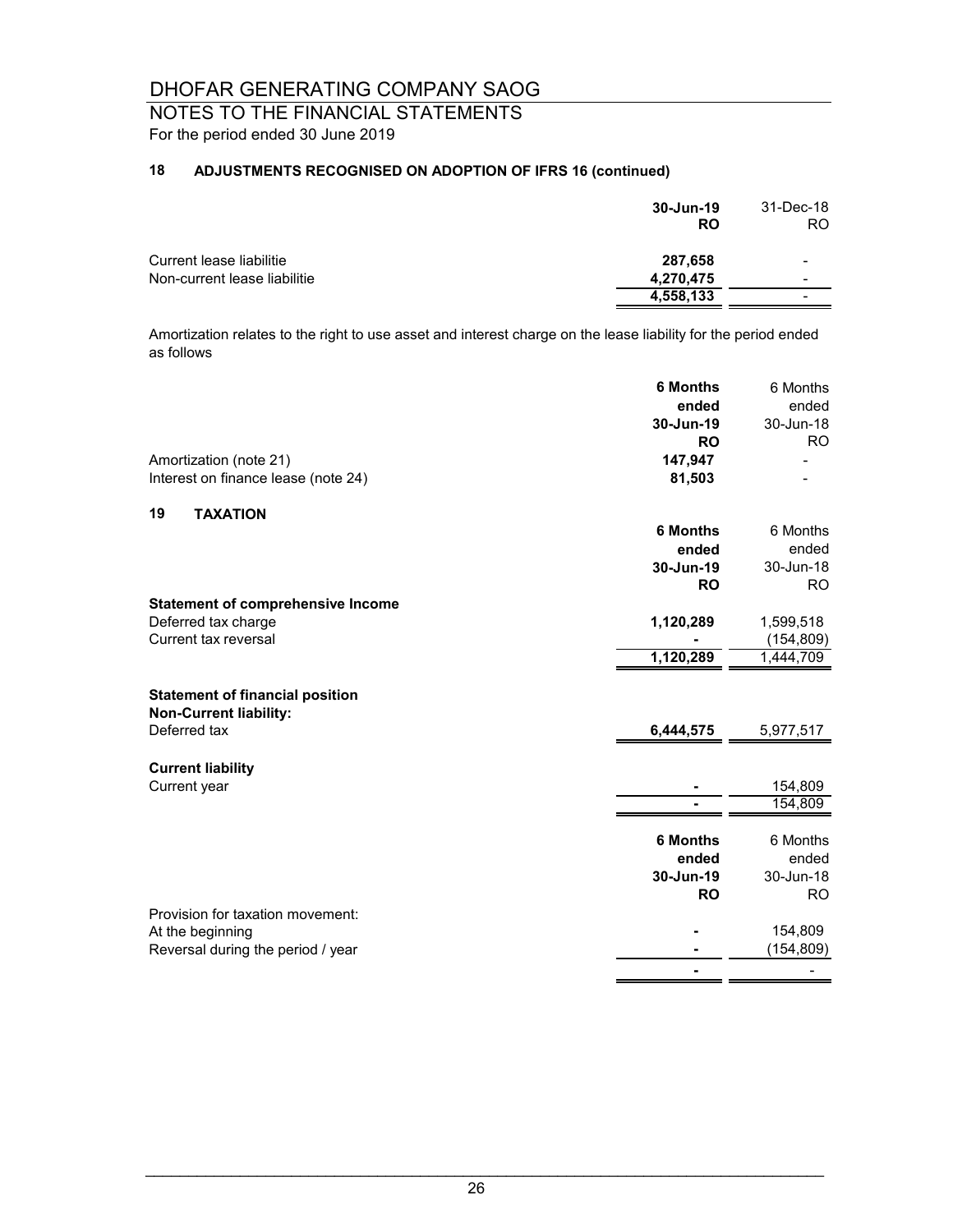## NOTES TO THE FINANCIAL STATEMENTS For the period ended 30 June 2019

## **18 ADJUSTMENTS RECOGNISED ON ADOPTION OF IFRS 16 (continued)**

|                              | 30-Jun-19<br><b>RO</b> | 31-Dec-18<br>RO. |
|------------------------------|------------------------|------------------|
| Current lease liabilitie     | 287,658                |                  |
| Non-current lease liabilitie | 4,270,475              | $\,$             |
|                              | 4,558,133              |                  |

Amortization relates to the right to use asset and interest charge on the lease liability for the period ended as follows

|                                                                         | <b>6 Months</b> | 6 Months   |
|-------------------------------------------------------------------------|-----------------|------------|
|                                                                         | ended           | ended      |
|                                                                         | 30-Jun-19       | 30-Jun-18  |
|                                                                         | <b>RO</b>       | <b>RO</b>  |
| Amortization (note 21)                                                  | 147,947         |            |
| Interest on finance lease (note 24)                                     | 81,503          |            |
| 19<br><b>TAXATION</b>                                                   |                 |            |
|                                                                         | <b>6 Months</b> | 6 Months   |
|                                                                         | ended           | ended      |
|                                                                         | 30-Jun-19       | 30-Jun-18  |
|                                                                         | <b>RO</b>       | <b>RO</b>  |
| <b>Statement of comprehensive Income</b>                                |                 |            |
| Deferred tax charge                                                     | 1,120,289       | 1,599,518  |
| Current tax reversal                                                    |                 | (154, 809) |
|                                                                         | 1,120,289       | 1,444,709  |
| <b>Statement of financial position</b><br><b>Non-Current liability:</b> |                 |            |
| Deferred tax                                                            | 6,444,575       | 5,977,517  |
| <b>Current liability</b>                                                |                 |            |
| Current year                                                            |                 | 154,809    |
|                                                                         |                 | 154,809    |
|                                                                         | <b>6 Months</b> | 6 Months   |
|                                                                         | ended           | ended      |
|                                                                         | 30-Jun-19       | 30-Jun-18  |
|                                                                         | <b>RO</b>       | <b>RO</b>  |
| Provision for taxation movement:                                        |                 |            |
| At the beginning                                                        |                 | 154,809    |
| Reversal during the period / year                                       |                 | (154, 809) |
|                                                                         |                 |            |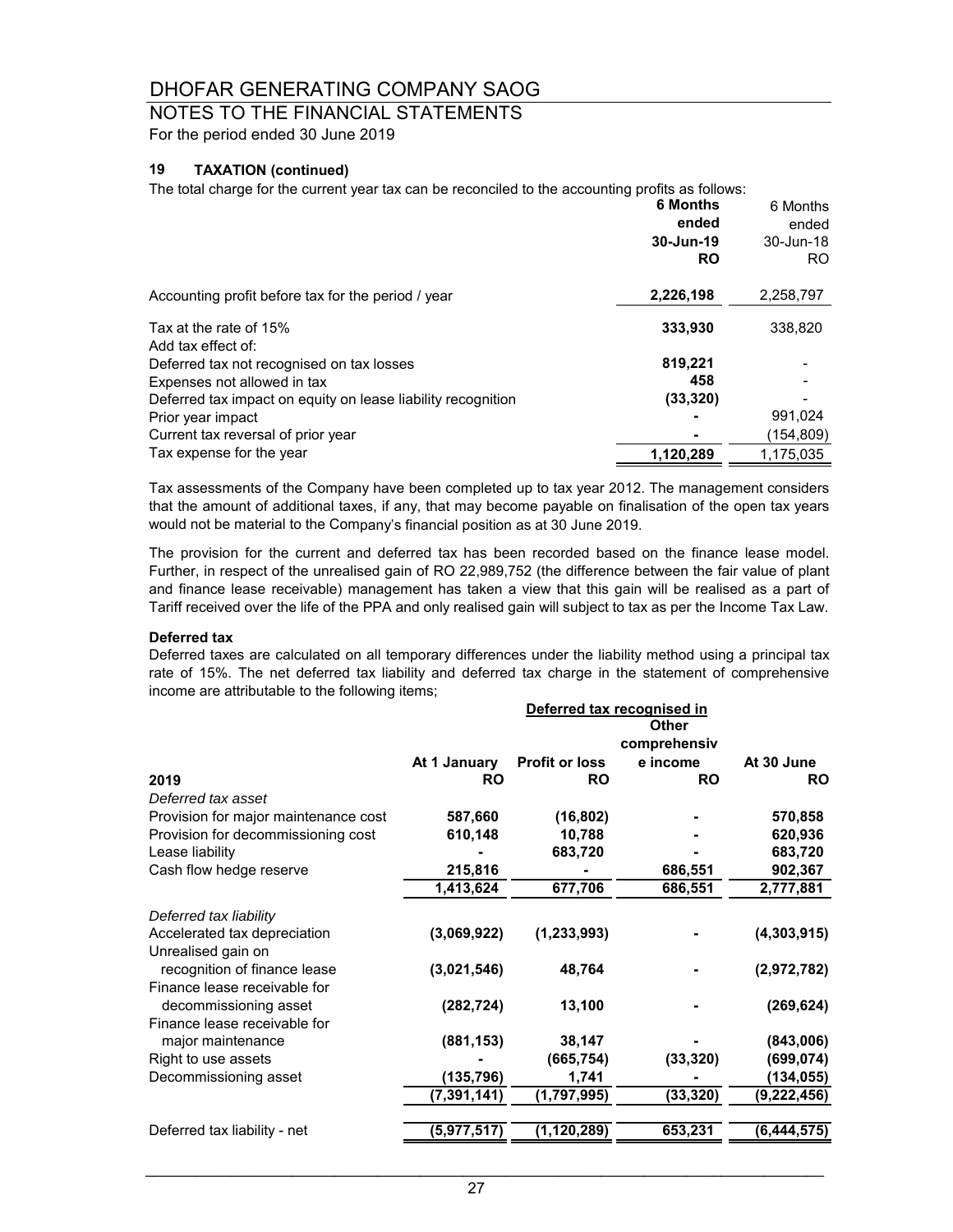# NOTES TO THE FINANCIAL STATEMENTS

For the period ended 30 June 2019

### **19 TAXATION (continued)**

The total charge for the current year tax can be reconciled to the accounting profits as follows:

|                                                              | <b>6 Months</b><br>ended<br>30-Jun-19<br><b>RO</b> | 6 Months<br>ended<br>30-Jun-18<br>RO. |
|--------------------------------------------------------------|----------------------------------------------------|---------------------------------------|
| Accounting profit before tax for the period / year           | 2,226,198                                          | 2,258,797                             |
| Tax at the rate of 15%<br>Add tax effect of:                 | 333,930                                            | 338,820                               |
| Deferred tax not recognised on tax losses                    | 819,221                                            |                                       |
| Expenses not allowed in tax                                  | 458                                                |                                       |
| Deferred tax impact on equity on lease liability recognition | (33, 320)                                          |                                       |
| Prior year impact                                            |                                                    | 991.024                               |
| Current tax reversal of prior year                           |                                                    | (154,809)                             |
| Tax expense for the year                                     | 1,120,289                                          | 1,175,035                             |

Tax assessments of the Company have been completed up to tax year 2012. The management considers that the amount of additional taxes, if any, that may become payable on finalisation of the open tax years would not be material to the Company's financial position as at 30 June 2019.

The provision for the current and deferred tax has been recorded based on the finance lease model. Further, in respect of the unrealised gain of RO 22,989,752 (the difference between the fair value of plant and finance lease receivable) management has taken a view that this gain will be realised as a part of Tariff received over the life of the PPA and only realised gain will subject to tax as per the Income Tax Law.

#### **Deferred tax**

Deferred taxes are calculated on all temporary differences under the liability method using a principal tax rate of 15%. The net deferred tax liability and deferred tax charge in the statement of comprehensive income are attributable to the following items;

|                                      | Deferred tax recognised in |                       |              |               |
|--------------------------------------|----------------------------|-----------------------|--------------|---------------|
|                                      |                            |                       | <b>Other</b> |               |
|                                      |                            |                       | comprehensiv |               |
|                                      | At 1 January               | <b>Profit or loss</b> | e income     | At 30 June    |
| 2019                                 | <b>RO</b>                  | <b>RO</b>             | <b>RO</b>    | <b>RO</b>     |
| Deferred tax asset                   |                            |                       |              |               |
| Provision for major maintenance cost | 587,660                    | (16, 802)             |              | 570,858       |
| Provision for decommissioning cost   | 610,148                    | 10,788                |              | 620,936       |
| Lease liability                      |                            | 683,720               |              | 683,720       |
| Cash flow hedge reserve              | 215,816                    |                       | 686,551      | 902,367       |
|                                      | 1,413,624                  | 677,706               | 686,551      | 2,777,881     |
| Deferred tax liability               |                            |                       |              |               |
| Accelerated tax depreciation         | (3,069,922)                | (1,233,993)           |              | (4,303,915)   |
| Unrealised gain on                   |                            |                       |              |               |
| recognition of finance lease         | (3,021,546)                | 48,764                |              | (2,972,782)   |
| Finance lease receivable for         |                            |                       |              |               |
| decommissioning asset                | (282, 724)                 | 13,100                |              | (269, 624)    |
| Finance lease receivable for         |                            |                       |              |               |
| major maintenance                    | (881, 153)                 | 38,147                |              | (843,006)     |
| Right to use assets                  |                            | (665, 754)            | (33, 320)    | (699, 074)    |
| Decommissioning asset                | (135, 796)                 | 1,741                 |              | (134, 055)    |
|                                      | (7, 391, 141)              | (1,797,995)           | (33, 320)    | (9, 222, 456) |
|                                      |                            |                       |              |               |
| Deferred tax liability - net         | (5, 977, 517)              | (1, 120, 289)         | 653,231      | (6, 444, 575) |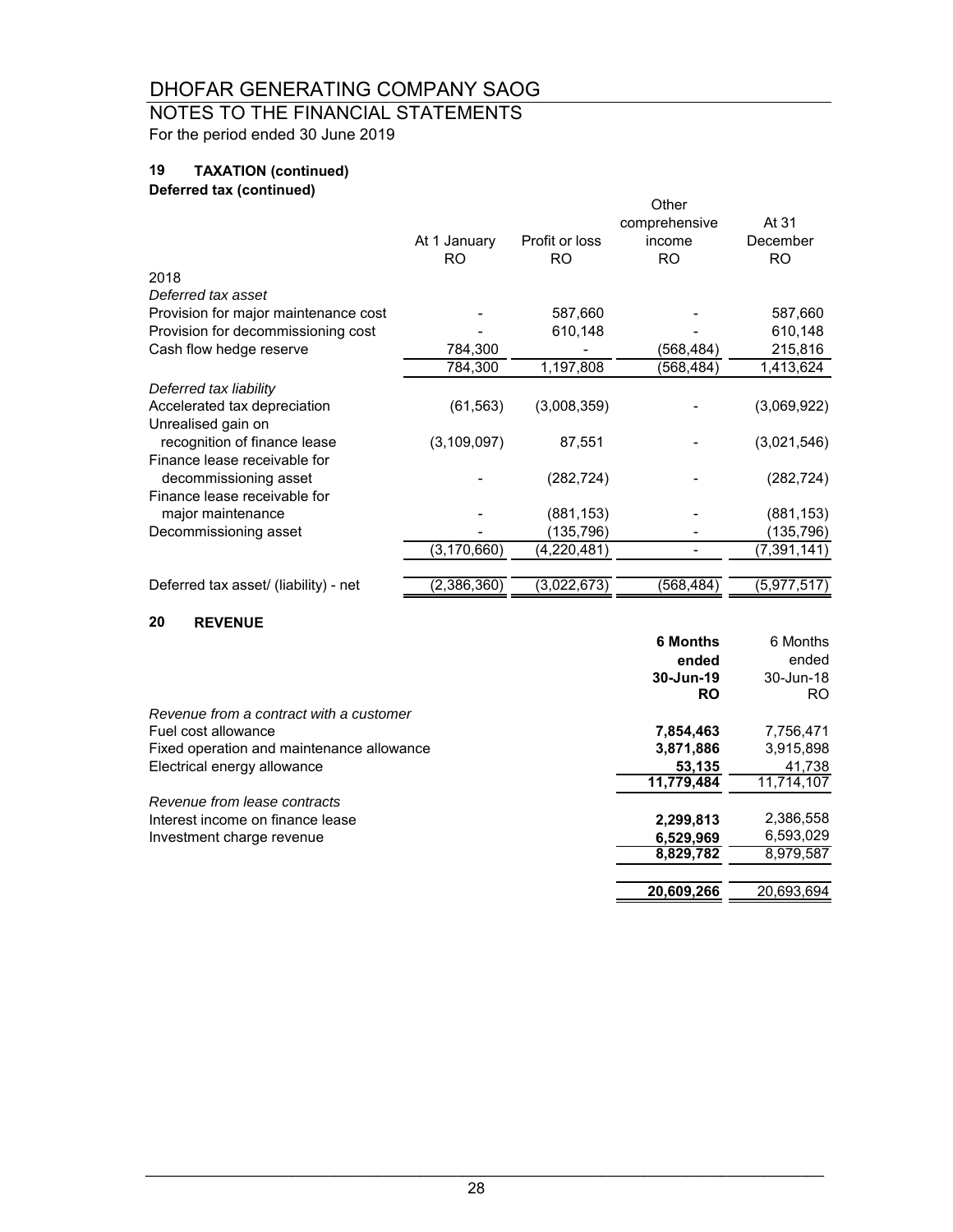## NOTES TO THE FINANCIAL STATEMENTS For the period ended 30 June 2019

## **19 TAXATION (continued)**

## **Deferred tax (continued)**

|                                       |               |                | Other         |             |
|---------------------------------------|---------------|----------------|---------------|-------------|
|                                       |               |                | comprehensive | At 31       |
|                                       | At 1 January  | Profit or loss | income        | December    |
|                                       | RO.           | RO.            | <b>RO</b>     | <b>RO</b>   |
| 2018                                  |               |                |               |             |
| Deferred tax asset                    |               |                |               |             |
| Provision for major maintenance cost  |               | 587,660        |               | 587,660     |
| Provision for decommissioning cost    |               | 610,148        |               | 610,148     |
| Cash flow hedge reserve               | 784,300       |                | (568,484)     | 215,816     |
|                                       | 784,300       | 1,197,808      | (568,484)     | 1,413,624   |
| Deferred tax liability                |               |                |               |             |
| Accelerated tax depreciation          | (61, 563)     | (3,008,359)    |               | (3,069,922) |
| Unrealised gain on                    |               |                |               |             |
| recognition of finance lease          | (3, 109, 097) | 87,551         |               | (3,021,546) |
| Finance lease receivable for          |               |                |               |             |
| decommissioning asset                 |               | (282, 724)     |               | (282, 724)  |
| Finance lease receivable for          |               |                |               |             |
| major maintenance                     |               | (881, 153)     |               | (881, 153)  |
| Decommissioning asset                 |               | (135, 796)     |               | (135, 796)  |
|                                       | (3,170,660)   | (4,220,481)    |               | (7,391,141) |
|                                       |               |                |               |             |
| Deferred tax asset/ (liability) - net | (2,386,360)   | (3,022,673)    | (568, 484)    | (5,977,517) |
|                                       |               |                |               |             |

### **20 REVENUE**

|                                           | <b>6 Months</b> | 6 Months   |
|-------------------------------------------|-----------------|------------|
|                                           | ended           | ended      |
|                                           | 30-Jun-19       | 30-Jun-18  |
|                                           | <b>RO</b>       | RO.        |
| Revenue from a contract with a customer   |                 |            |
| Fuel cost allowance                       | 7,854,463       | 7,756,471  |
| Fixed operation and maintenance allowance | 3,871,886       | 3,915,898  |
| Electrical energy allowance               | 53.135          | 41,738     |
|                                           | 11,779,484      | 11,714,107 |
| Revenue from lease contracts              |                 |            |
| Interest income on finance lease          | 2,299,813       | 2,386,558  |
| Investment charge revenue                 | 6,529,969       | 6,593,029  |
|                                           | 8,829,782       | 8,979,587  |
|                                           | 20,609,266      | 20.693.694 |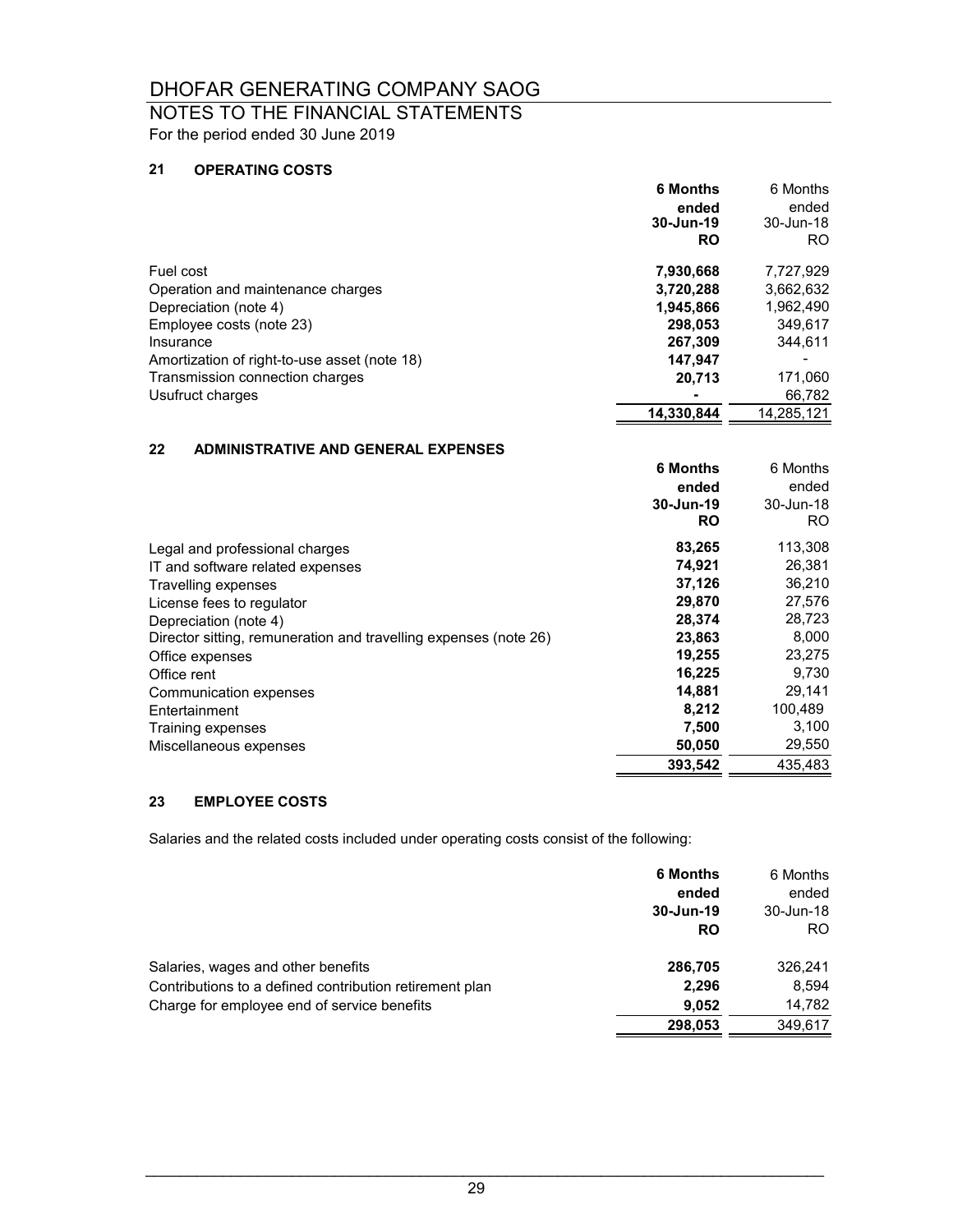## NOTES TO THE FINANCIAL STATEMENTS For the period ended 30 June 2019

### **21 OPERATING COSTS**

|                                              | 6 Months   | 6 Months   |
|----------------------------------------------|------------|------------|
|                                              | ended      | ended      |
|                                              | 30-Jun-19  | 30-Jun-18  |
|                                              | <b>RO</b>  | RO.        |
| Fuel cost                                    | 7,930,668  | 7,727,929  |
| Operation and maintenance charges            | 3,720,288  | 3,662,632  |
| Depreciation (note 4)                        | 1,945,866  | 1,962,490  |
| Employee costs (note 23)                     | 298.053    | 349,617    |
| Insurance                                    | 267,309    | 344.611    |
| Amortization of right-to-use asset (note 18) | 147.947    |            |
| Transmission connection charges              | 20.713     | 171,060    |
| Usufruct charges                             |            | 66,782     |
|                                              | 14.330.844 | 14,285,121 |

## **22 ADMINISTRATIVE AND GENERAL EXPENSES**

|                                                                  | <b>6 Months</b><br>ended<br>30-Jun-19<br><b>RO</b> | 6 Months<br>ended<br>30-Jun-18<br>RO. |
|------------------------------------------------------------------|----------------------------------------------------|---------------------------------------|
| Legal and professional charges                                   | 83,265                                             | 113,308                               |
| IT and software related expenses                                 | 74.921                                             | 26,381                                |
| Travelling expenses                                              | 37,126                                             | 36,210                                |
| License fees to regulator                                        | 29,870                                             | 27,576                                |
| Depreciation (note 4)                                            | 28,374                                             | 28,723                                |
| Director sitting, remuneration and travelling expenses (note 26) | 23,863                                             | 8,000                                 |
| Office expenses                                                  | 19,255                                             | 23,275                                |
| Office rent                                                      | 16,225                                             | 9,730                                 |
| Communication expenses                                           | 14,881                                             | 29,141                                |
| Entertainment                                                    | 8,212                                              | 100.489                               |
| Training expenses                                                | 7.500                                              | 3,100                                 |
| Miscellaneous expenses                                           | 50,050                                             | 29,550                                |
|                                                                  | 393,542                                            | 435,483                               |

## **23 EMPLOYEE COSTS**

Salaries and the related costs included under operating costs consist of the following:

|                                                         | <b>6 Months</b><br>ended<br>30-Jun-19 | 6 Months<br>ended<br>30-Jun-18 |
|---------------------------------------------------------|---------------------------------------|--------------------------------|
|                                                         | RO                                    | RO.                            |
| Salaries, wages and other benefits                      | 286,705                               | 326,241                        |
| Contributions to a defined contribution retirement plan | 2,296                                 | 8.594                          |
| Charge for employee end of service benefits             | 9.052                                 | 14,782                         |
|                                                         | 298,053                               | 349,617                        |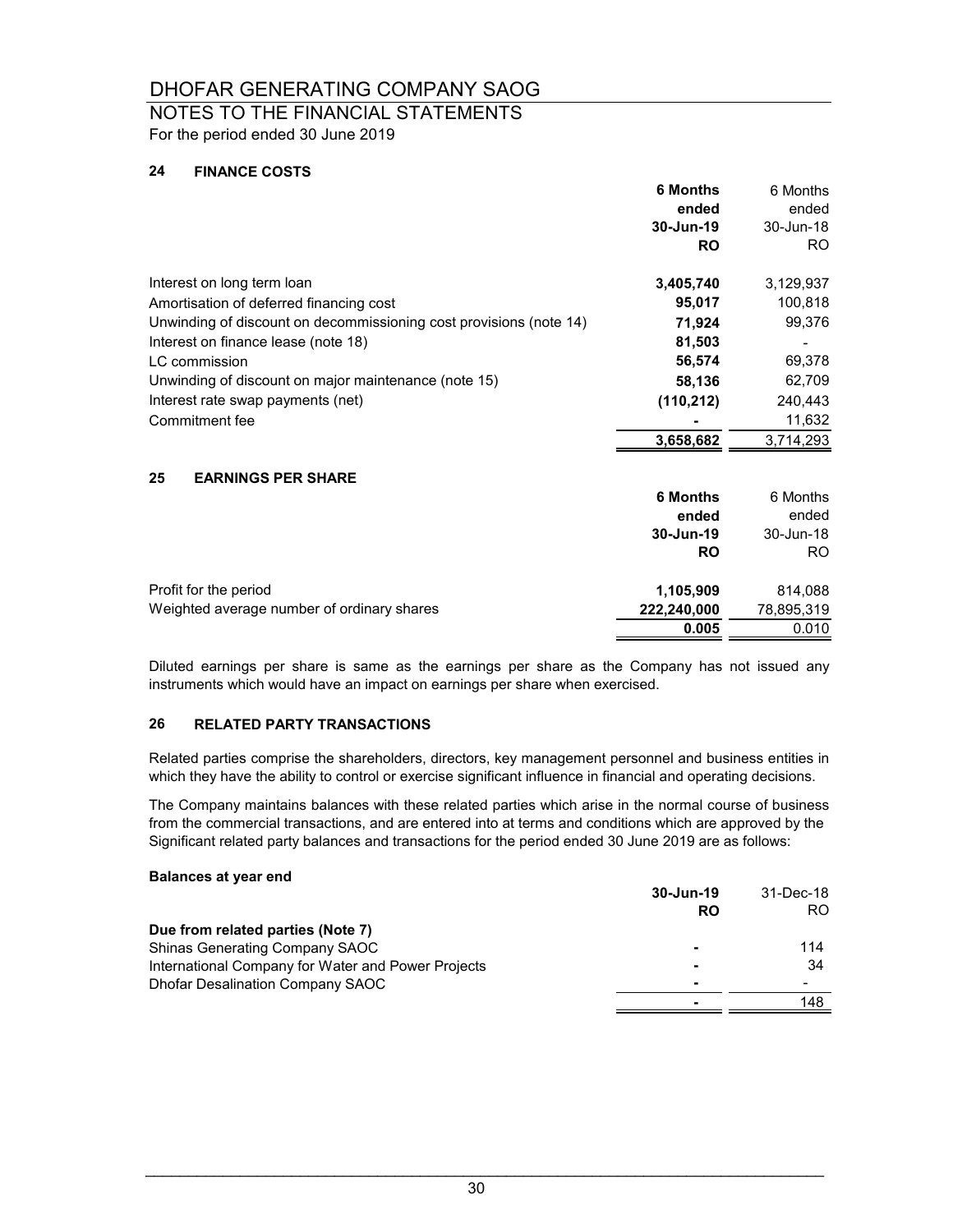## NOTES TO THE FINANCIAL STATEMENTS For the period ended 30 June 2019

#### **24 FINANCE COSTS**

|                                                                    | <b>6 Months</b><br>ended | 6 Months<br>ended |
|--------------------------------------------------------------------|--------------------------|-------------------|
|                                                                    | 30-Jun-19<br><b>RO</b>   | 30-Jun-18<br>RO.  |
| Interest on long term loan                                         | 3,405,740                | 3,129,937         |
| Amortisation of deferred financing cost                            | 95,017                   | 100,818           |
| Unwinding of discount on decommissioning cost provisions (note 14) | 71,924                   | 99,376            |
| Interest on finance lease (note 18)                                | 81,503                   |                   |
| LC commission                                                      | 56,574                   | 69,378            |
| Unwinding of discount on major maintenance (note 15)               | 58,136                   | 62,709            |
| Interest rate swap payments (net)                                  | (110, 212)               | 240,443           |
| Commitment fee                                                     |                          | 11,632            |
|                                                                    | 3,658,682                | 3,714,293         |
| 25<br><b>EARNINGS PER SHARE</b>                                    |                          |                   |
|                                                                    | <b>6 Months</b>          | 6 Months          |
|                                                                    | ended                    | ended             |
|                                                                    | 30-Jun-19                | 30-Jun-18         |
|                                                                    | <b>RO</b>                | R <sub>O</sub>    |
| Profit for the period                                              | 1,105,909                | 814,088           |
| Weighted average number of ordinary shares                         | 222,240,000              | 78,895,319        |
|                                                                    | 0.005                    | 0.010             |

Diluted earnings per share is same as the earnings per share as the Company has not issued any instruments which would have an impact on earnings per share when exercised.

#### **26 RELATED PARTY TRANSACTIONS**

Related parties comprise the shareholders, directors, key management personnel and business entities in which they have the ability to control or exercise significant influence in financial and operating decisions.

The Company maintains balances with these related parties which arise in the normal course of business from the commercial transactions, and are entered into at terms and conditions which are approved by the Significant related party balances and transactions for the period ended 30 June 2019 are as follows:

## **Balances at year end**

|                                                    | 30-Jun-19 | 31-Dec-18 |
|----------------------------------------------------|-----------|-----------|
|                                                    | RO        | RO.       |
| Due from related parties (Note 7)                  |           |           |
| Shinas Generating Company SAOC                     |           | 114       |
| International Company for Water and Power Projects |           | 34        |
| <b>Dhofar Desalination Company SAOC</b>            |           |           |
|                                                    |           | 148       |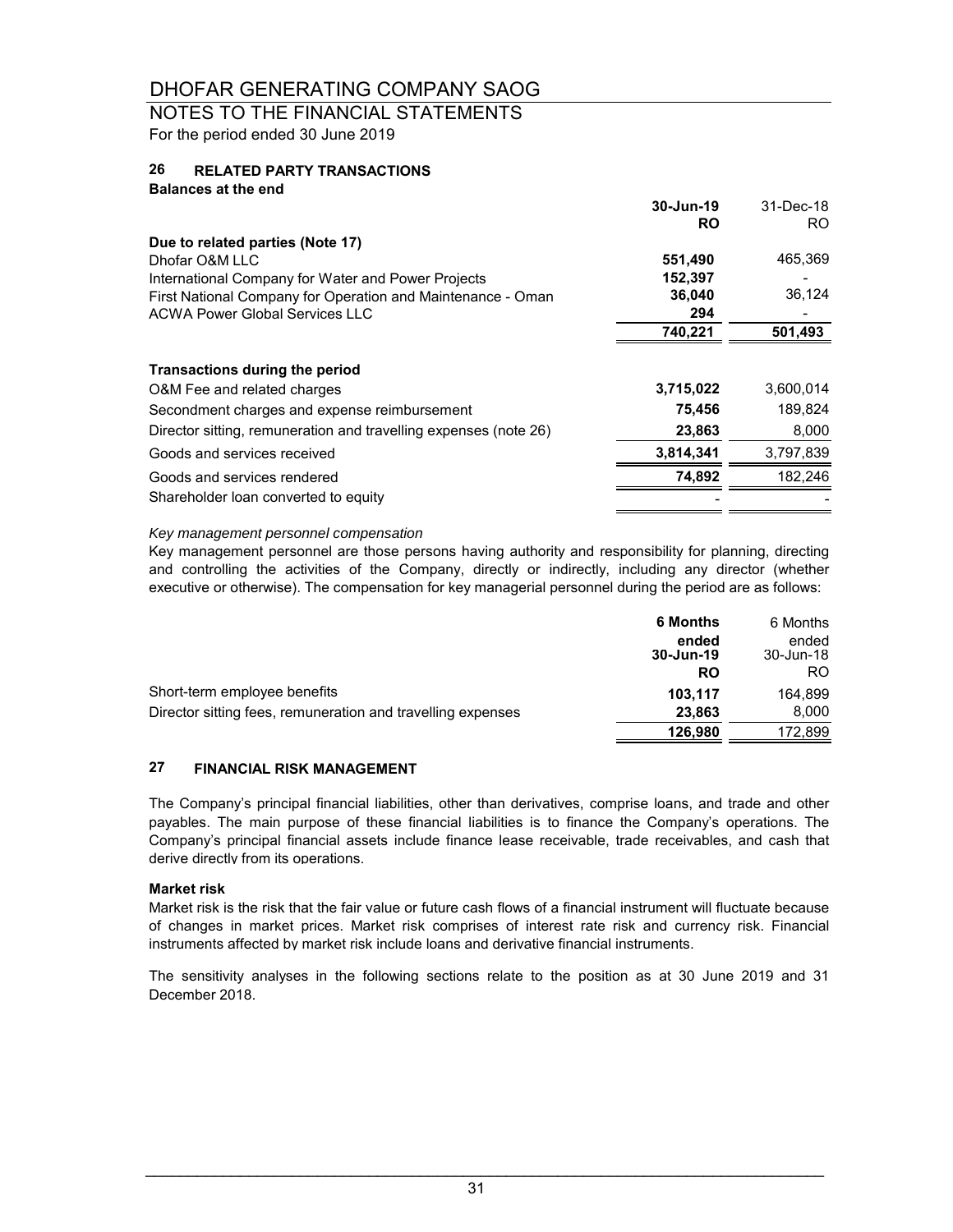## NOTES TO THE FINANCIAL STATEMENTS For the period ended 30 June 2019

#### **26 RELATED PARTY TRANSACTIONS**

| <b>Balances at the end</b>                                       |           |           |
|------------------------------------------------------------------|-----------|-----------|
|                                                                  | 30-Jun-19 | 31-Dec-18 |
|                                                                  | <b>RO</b> | RO.       |
| Due to related parties (Note 17)                                 |           |           |
| Dhofar O&M LLC                                                   | 551,490   | 465,369   |
| International Company for Water and Power Projects               | 152,397   |           |
| First National Company for Operation and Maintenance - Oman      | 36,040    | 36,124    |
| <b>ACWA Power Global Services LLC</b>                            | 294       |           |
|                                                                  | 740,221   | 501,493   |
| <b>Transactions during the period</b>                            |           |           |
| O&M Fee and related charges                                      | 3,715,022 | 3,600,014 |
| Secondment charges and expense reimbursement                     | 75,456    | 189,824   |
| Director sitting, remuneration and travelling expenses (note 26) | 23,863    | 8,000     |
| Goods and services received                                      | 3,814,341 | 3,797,839 |
| Goods and services rendered                                      | 74,892    | 182.246   |
| Shareholder loan converted to equity                             |           |           |
|                                                                  |           |           |

### *Key management personnel compensation*

Key management personnel are those persons having authority and responsibility for planning, directing and controlling the activities of the Company, directly or indirectly, including any director (whether executive or otherwise). The compensation for key managerial personnel during the period are as follows:

|                                                             | <b>6 Months</b> | 6 Months  |
|-------------------------------------------------------------|-----------------|-----------|
|                                                             | ended           | ended     |
|                                                             | 30-Jun-19       | 30-Jun-18 |
|                                                             | <b>RO</b>       | RO        |
| Short-term employee benefits                                | 103.117         | 164.899   |
| Director sitting fees, remuneration and travelling expenses | 23.863          | 8,000     |
|                                                             | 126,980         | 172,899   |

#### **27 FINANCIAL RISK MANAGEMENT**

The Company's principal financial liabilities, other than derivatives, comprise loans, and trade and other payables. The main purpose of these financial liabilities is to finance the Company's operations. The Company's principal financial assets include finance lease receivable, trade receivables, and cash that derive directly from its operations.

#### **Market risk**

Market risk is the risk that the fair value or future cash flows of a financial instrument will fluctuate because of changes in market prices. Market risk comprises of interest rate risk and currency risk. Financial instruments affected by market risk include loans and derivative financial instruments.

The sensitivity analyses in the following sections relate to the position as at 30 June 2019 and 31 December 2018.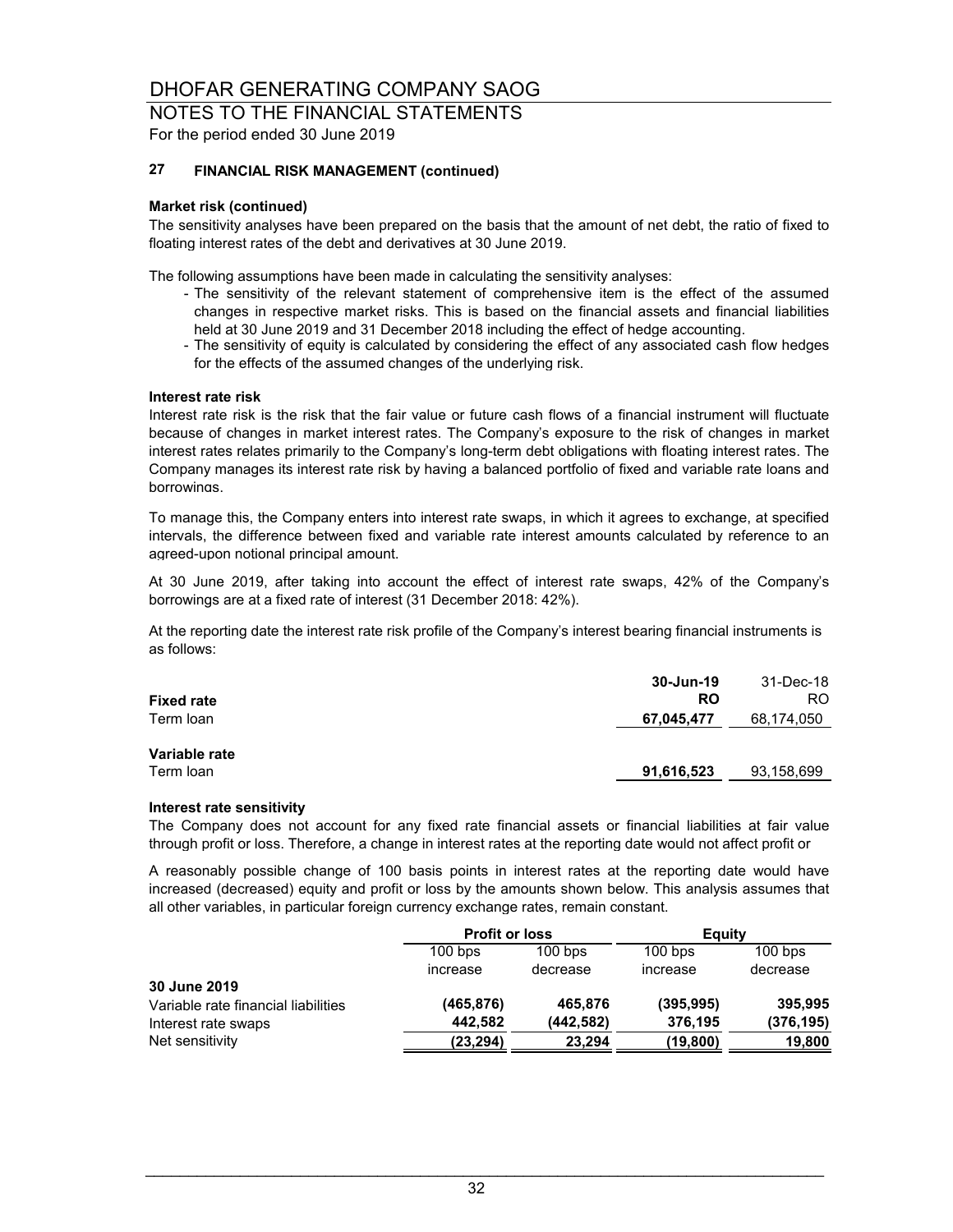### NOTES TO THE FINANCIAL STATEMENTS For the period ended 30 June 2019

#### **27 FINANCIAL RISK MANAGEMENT (continued)**

#### **Market risk (continued)**

The sensitivity analyses have been prepared on the basis that the amount of net debt, the ratio of fixed to floating interest rates of the debt and derivatives at 30 June 2019.

The following assumptions have been made in calculating the sensitivity analyses:

- The sensitivity of the relevant statement of comprehensive item is the effect of the assumed changes in respective market risks. This is based on the financial assets and financial liabilities held at 30 June 2019 and 31 December 2018 including the effect of hedge accounting.
- The sensitivity of equity is calculated by considering the effect of any associated cash flow hedges for the effects of the assumed changes of the underlying risk.

#### **Interest rate risk**

Interest rate risk is the risk that the fair value or future cash flows of a financial instrument will fluctuate because of changes in market interest rates. The Company's exposure to the risk of changes in market interest rates relates primarily to the Company's long-term debt obligations with floating interest rates. The Company manages its interest rate risk by having a balanced portfolio of fixed and variable rate loans and borrowings.

To manage this, the Company enters into interest rate swaps, in which it agrees to exchange, at specified intervals, the difference between fixed and variable rate interest amounts calculated by reference to an agreed-upon notional principal amount.

At 30 June 2019, after taking into account the effect of interest rate swaps, 42% of the Company's borrowings are at a fixed rate of interest (31 December 2018: 42%).

At the reporting date the interest rate risk profile of the Company's interest bearing financial instruments is as follows:

| <b>Fixed rate</b>          | 30-Jun-19<br><b>RO</b> | 31-Dec-18<br>RO. |
|----------------------------|------------------------|------------------|
| Term loan                  | 67,045,477             | 68,174,050       |
| Variable rate<br>Term loan | 91,616,523             | 93,158,699       |

#### **Interest rate sensitivity**

The Company does not account for any fixed rate financial assets or financial liabilities at fair value through profit or loss. Therefore, a change in interest rates at the reporting date would not affect profit or

A reasonably possible change of 100 basis points in interest rates at the reporting date would have increased (decreased) equity and profit or loss by the amounts shown below. This analysis assumes that all other variables, in particular foreign currency exchange rates, remain constant.

|                                     | <b>Profit or loss</b> |           | Equity     |            |
|-------------------------------------|-----------------------|-----------|------------|------------|
|                                     | $100$ bps             | $100$ bps | $100$ bps  | $100$ bps  |
|                                     | increase              | decrease  | increase   | decrease   |
| 30 June 2019                        |                       |           |            |            |
| Variable rate financial liabilities | (465.876)             | 465.876   | (395, 995) | 395,995    |
| Interest rate swaps                 | 442,582               | (442,582) | 376,195    | (376, 195) |
| Net sensitivity                     | (23,294)              | 23,294    | (19, 800)  | 19,800     |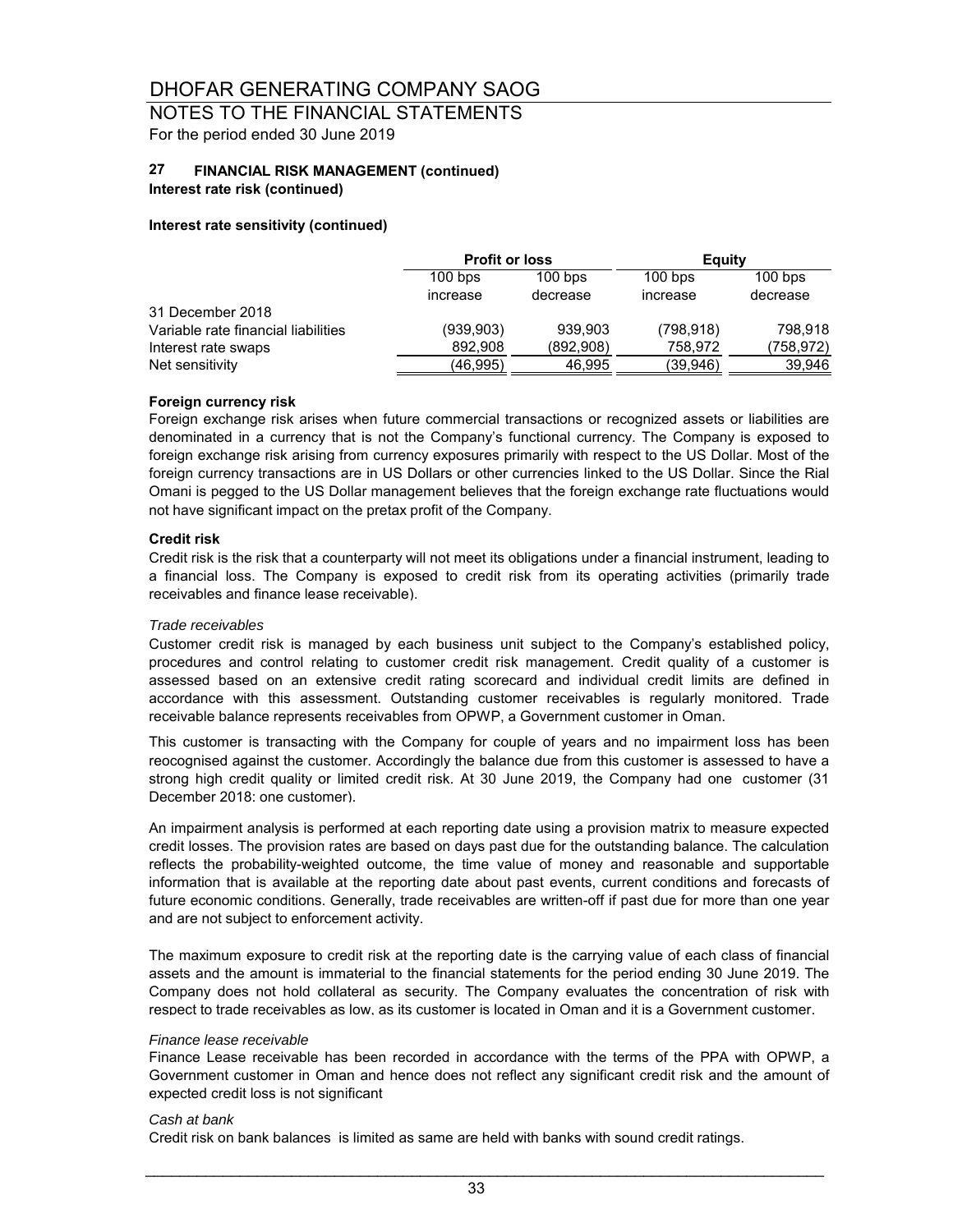## NOTES TO THE FINANCIAL STATEMENTS For the period ended 30 June 2019

#### **27 FINANCIAL RISK MANAGEMENT (continued)**

### **Interest rate risk (continued)**

### **Interest rate sensitivity (continued)**

|                                     | <b>Profit or loss</b> |           | Eauity    |           |
|-------------------------------------|-----------------------|-----------|-----------|-----------|
|                                     | $100$ bps             | $100$ bps | $100$ bps | $100$ bps |
|                                     | increase              | decrease  | increase  | decrease  |
| 31 December 2018                    |                       |           |           |           |
| Variable rate financial liabilities | (939, 903)            | 939.903   | (798.918) | 798.918   |
| Interest rate swaps                 | 892,908               | (892,908) | 758,972   | (758,972) |
| Net sensitivity                     | (46,995)              | 46,995    | (39,946)  | 39.946    |

### **Foreign currency risk**

Foreign exchange risk arises when future commercial transactions or recognized assets or liabilities are denominated in a currency that is not the Company's functional currency. The Company is exposed to foreign exchange risk arising from currency exposures primarily with respect to the US Dollar. Most of the foreign currency transactions are in US Dollars or other currencies linked to the US Dollar. Since the Rial Omani is pegged to the US Dollar management believes that the foreign exchange rate fluctuations would not have significant impact on the pretax profit of the Company.

#### **Credit risk**

Credit risk is the risk that a counterparty will not meet its obligations under a financial instrument, leading to a financial loss. The Company is exposed to credit risk from its operating activities (primarily trade receivables and finance lease receivable).

#### *Trade receivables*

Customer credit risk is managed by each business unit subject to the Company's established policy, procedures and control relating to customer credit risk management. Credit quality of a customer is assessed based on an extensive credit rating scorecard and individual credit limits are defined in accordance with this assessment. Outstanding customer receivables is regularly monitored. Trade receivable balance represents receivables from OPWP, a Government customer in Oman.

This customer is transacting with the Company for couple of years and no impairment loss has been reocognised against the customer. Accordingly the balance due from this customer is assessed to have a strong high credit quality or limited credit risk. At 30 June 2019, the Company had one customer (31 December 2018: one customer).

An impairment analysis is performed at each reporting date using a provision matrix to measure expected credit losses. The provision rates are based on days past due for the outstanding balance. The calculation reflects the probability-weighted outcome, the time value of money and reasonable and supportable information that is available at the reporting date about past events, current conditions and forecasts of future economic conditions. Generally, trade receivables are written-off if past due for more than one year and are not subject to enforcement activity.

The maximum exposure to credit risk at the reporting date is the carrying value of each class of financial assets and the amount is immaterial to the financial statements for the period ending 30 June 2019. The Company does not hold collateral as security. The Company evaluates the concentration of risk with respect to trade receivables as low, as its customer is located in Oman and it is a Government customer.

#### *Finance lease receivable*

Finance Lease receivable has been recorded in accordance with the terms of the PPA with OPWP, a Government customer in Oman and hence does not reflect any significant credit risk and the amount of expected credit loss is not significant

#### *Cash at bank*

Credit risk on bank balances is limited as same are held with banks with sound credit ratings.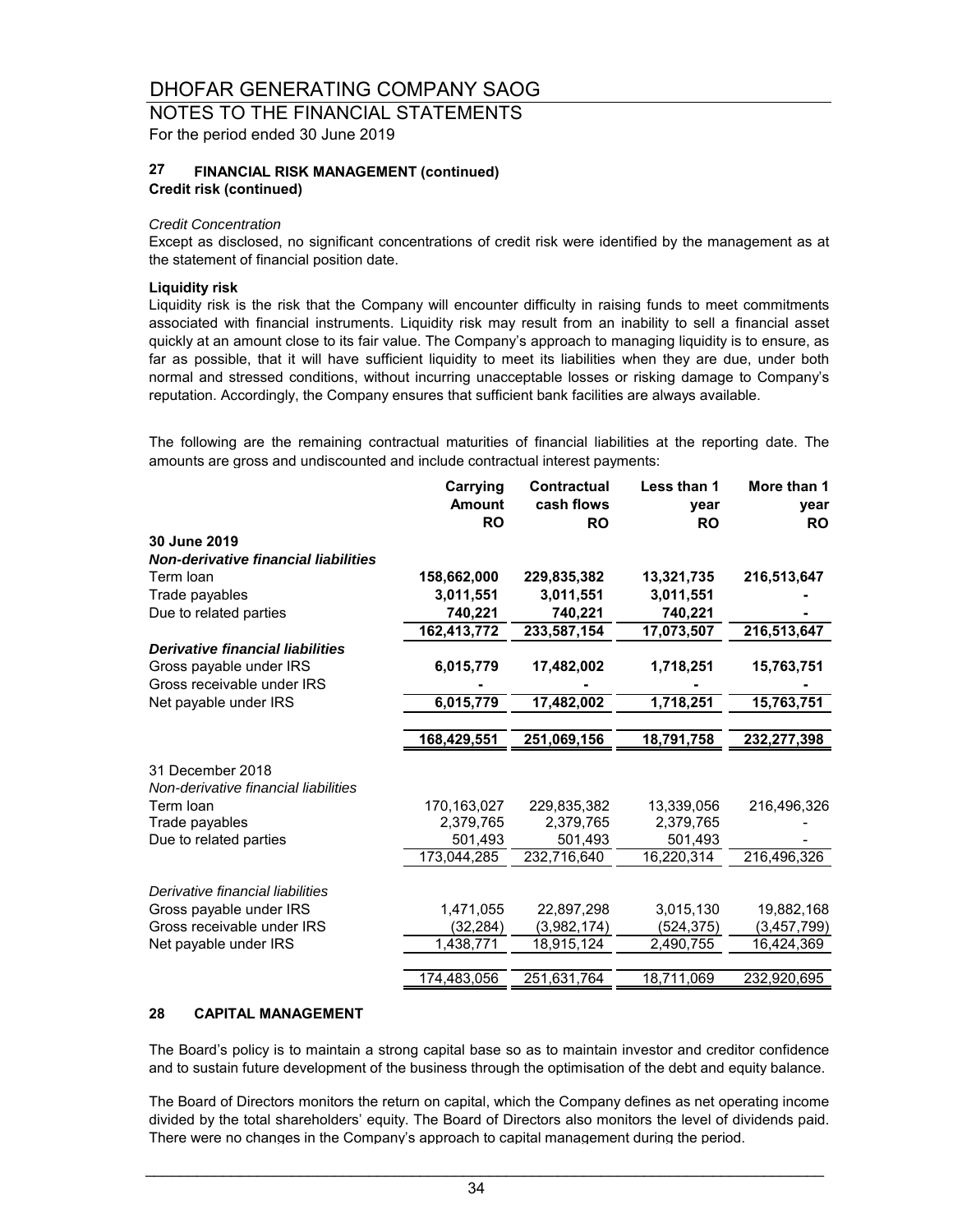NOTES TO THE FINANCIAL STATEMENTS For the period ended 30 June 2019

#### **27 Credit risk (continued) FINANCIAL RISK MANAGEMENT (continued)**

#### *Credit Concentration*

Except as disclosed, no significant concentrations of credit risk were identified by the management as at the statement of financial position date.

#### **Liquidity risk**

Liquidity risk is the risk that the Company will encounter difficulty in raising funds to meet commitments associated with financial instruments. Liquidity risk may result from an inability to sell a financial asset quickly at an amount close to its fair value. The Company's approach to managing liquidity is to ensure, as far as possible, that it will have sufficient liquidity to meet its liabilities when they are due, under both normal and stressed conditions, without incurring unacceptable losses or risking damage to Company's reputation. Accordingly, the Company ensures that sufficient bank facilities are always available.

The following are the remaining contractual maturities of financial liabilities at the reporting date. The amounts are gross and undiscounted and include contractual interest payments:

|                                             | Carrying<br><b>Amount</b> | Contractual<br>cash flows | Less than 1<br>year     | More than 1<br>year |
|---------------------------------------------|---------------------------|---------------------------|-------------------------|---------------------|
|                                             | <b>RO</b>                 | <b>RO</b>                 | <b>RO</b>               | <b>RO</b>           |
| 30 June 2019                                |                           |                           |                         |                     |
| <b>Non-derivative financial liabilities</b> |                           |                           |                         |                     |
| Term loan                                   | 158,662,000               | 229,835,382               | 13,321,735              | 216,513,647         |
| Trade payables                              | 3,011,551                 | 3,011,551                 | 3,011,551               |                     |
| Due to related parties                      | 740,221                   | 740,221                   | 740,221                 |                     |
|                                             | 162,413,772               | 233,587,154               | $\overline{17,}073,507$ | 216,513,647         |
| <b>Derivative financial liabilities</b>     |                           |                           |                         |                     |
| Gross payable under IRS                     | 6,015,779                 | 17,482,002                | 1,718,251               | 15,763,751          |
| Gross receivable under IRS                  |                           |                           |                         |                     |
| Net payable under IRS                       | 6,015,779                 | 17,482,002                | 1,718,251               | 15,763,751          |
|                                             |                           |                           |                         |                     |
|                                             | 168,429,551               | 251.069.156               | 18,791,758              | 232,277,398         |
| 31 December 2018                            |                           |                           |                         |                     |
| Non-derivative financial liabilities        |                           |                           |                         |                     |
| Term loan                                   | 170, 163, 027             | 229,835,382               | 13,339,056              | 216,496,326         |
| Trade payables                              | 2,379,765                 | 2,379,765                 | 2,379,765               |                     |
| Due to related parties                      | 501,493                   | 501,493                   | 501,493                 |                     |
|                                             | 173,044,285               | 232,716,640               | 16,220,314              | 216,496,326         |
|                                             |                           |                           |                         |                     |
| Derivative financial liabilities            |                           |                           |                         |                     |
| Gross payable under IRS                     | 1,471,055                 | 22,897,298                | 3,015,130               | 19,882,168          |
| Gross receivable under IRS                  | (32, 284)                 | (3,982,174)               | (524, 375)              | (3,457,799)         |
| Net payable under IRS                       | 1,438,771                 | 18,915,124                | 2,490,755               | 16,424,369          |
|                                             |                           |                           |                         |                     |
|                                             | 174,483,056               | 251,631,764               | 18,711,069              | 232,920,695         |

#### **28 CAPITAL MANAGEMENT**

The Board's policy is to maintain a strong capital base so as to maintain investor and creditor confidence and to sustain future development of the business through the optimisation of the debt and equity balance.

The Board of Directors monitors the return on capital, which the Company defines as net operating income divided by the total shareholders' equity. The Board of Directors also monitors the level of dividends paid. There were no changes in the Company's approach to capital management during the period.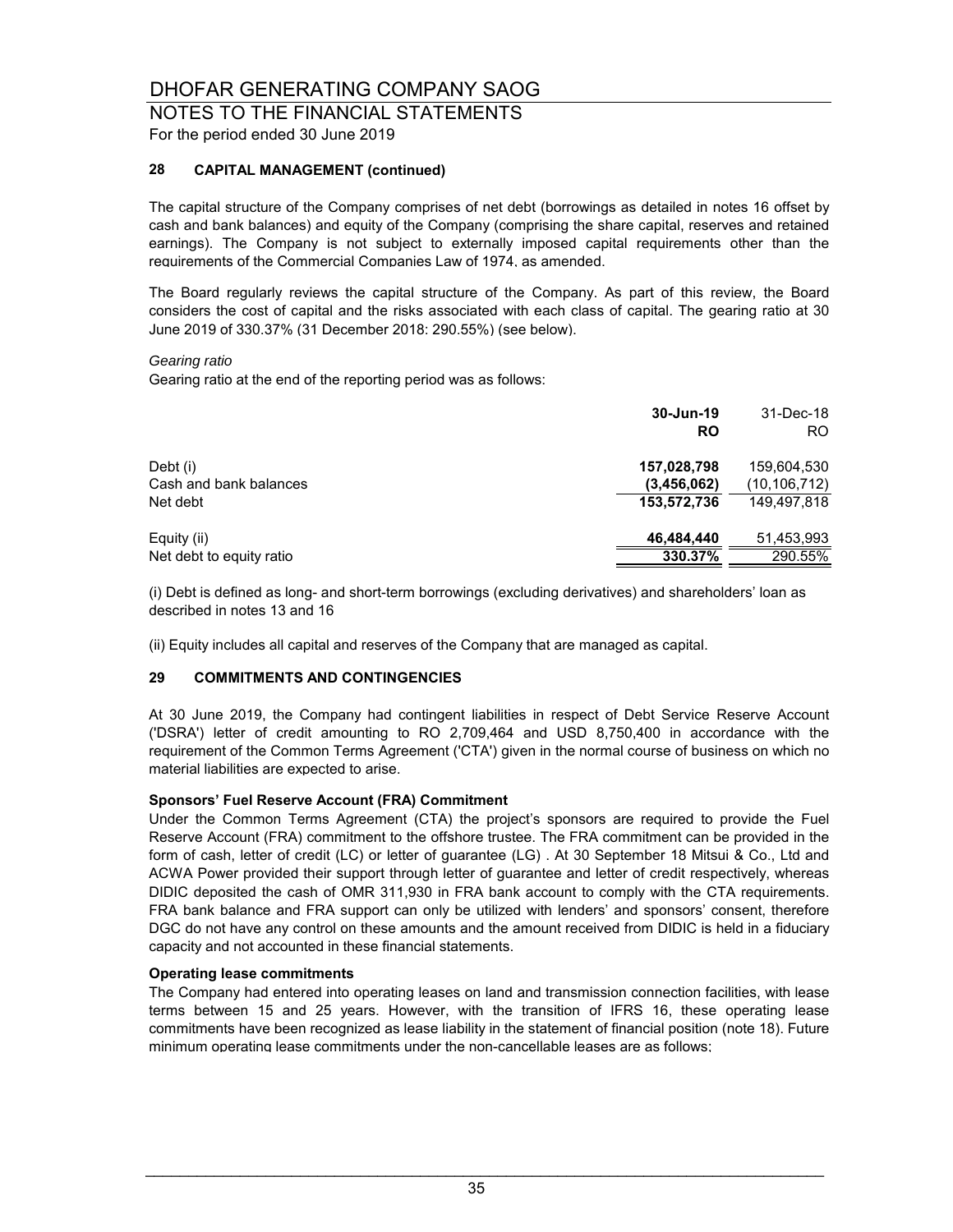### NOTES TO THE FINANCIAL STATEMENTS For the period ended 30 June 2019

### **28 CAPITAL MANAGEMENT (continued)**

The capital structure of the Company comprises of net debt (borrowings as detailed in notes 16 offset by cash and bank balances) and equity of the Company (comprising the share capital, reserves and retained earnings). The Company is not subject to externally imposed capital requirements other than the requirements of the Commercial Companies Law of 1974, as amended.

The Board regularly reviews the capital structure of the Company. As part of this review, the Board considers the cost of capital and the risks associated with each class of capital. The gearing ratio at 30 June 2019 of 330.37% (31 December 2018: 290.55%) (see below).

#### *Gearing ratio*

Gearing ratio at the end of the reporting period was as follows:

|                          | 30-Jun-19<br>RO | 31-Dec-18<br>RO. |
|--------------------------|-----------------|------------------|
| Debt (i)                 | 157,028,798     | 159,604,530      |
| Cash and bank balances   | (3,456,062)     | (10, 106, 712)   |
| Net debt                 | 153,572,736     | 149.497.818      |
| Equity (ii)              | 46,484,440      | 51,453,993       |
| Net debt to equity ratio | 330.37%         | 290.55%          |

(i) Debt is defined as long- and short-term borrowings (excluding derivatives) and shareholders' loan as described in notes 13 and 16

(ii) Equity includes all capital and reserves of the Company that are managed as capital.

#### **29 COMMITMENTS AND CONTINGENCIES**

At 30 June 2019, the Company had contingent liabilities in respect of Debt Service Reserve Account ('DSRA') letter of credit amounting to RO 2,709,464 and USD 8,750,400 in accordance with the requirement of the Common Terms Agreement ('CTA') given in the normal course of business on which no material liabilities are expected to arise.

#### **Sponsors' Fuel Reserve Account (FRA) Commitment**

Under the Common Terms Agreement (CTA) the project's sponsors are required to provide the Fuel Reserve Account (FRA) commitment to the offshore trustee. The FRA commitment can be provided in the form of cash, letter of credit (LC) or letter of guarantee (LG) . At 30 September 18 Mitsui & Co., Ltd and ACWA Power provided their support through letter of guarantee and letter of credit respectively, whereas DIDIC deposited the cash of OMR 311,930 in FRA bank account to comply with the CTA requirements. FRA bank balance and FRA support can only be utilized with lenders' and sponsors' consent, therefore DGC do not have any control on these amounts and the amount received from DIDIC is held in a fiduciary capacity and not accounted in these financial statements.

#### **Operating lease commitments**

The Company had entered into operating leases on land and transmission connection facilities, with lease terms between 15 and 25 years. However, with the transition of IFRS 16, these operating lease commitments have been recognized as lease liability in the statement of financial position (note 18). Future minimum operating lease commitments under the non-cancellable leases are as follows;